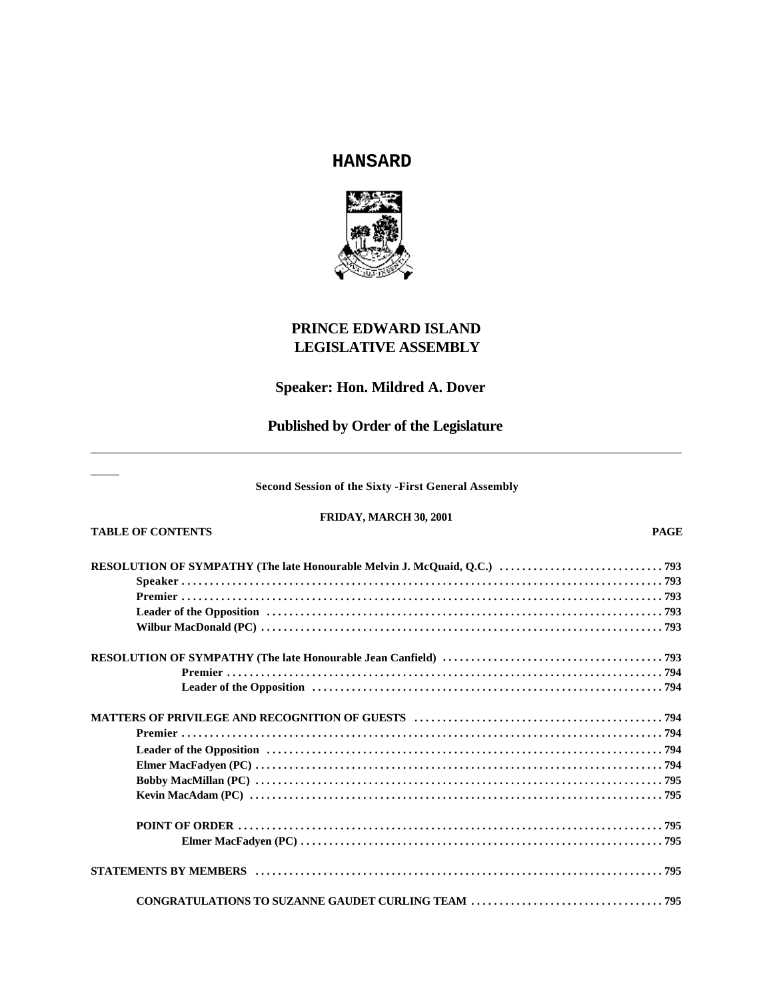# **HANSARD**



# **PRINCE EDWARD ISLAND LEGISLATIVE ASSEMBLY**

# **Speaker: Hon. Mildred A. Dover**

# **Published by Order of the Legislature**

### **Second Session of the Sixty -First General Assembly**

### **FRIDAY, MARCH 30, 2001 TABLE OF CONTENTS PAGE**

# **RESOLUTION OF SYMPATHY (The late Honourable Melvin J. McQuaid, Q.C.) ............................. 793 Speaker ..................................................................................... 793 Premier ..................................................................................... 793 Leader of the Opposition ...................................................................... 793 Wilbur MacDonald (PC) ....................................................................... 793 RESOLUTION OF SYMPATHY (The late Honourable Jean Canfield) ....................................... 793 Premier ............................................................................. 794 Leader of the Opposition .............................................................. 794 MATTERS OF PRIVILEGE AND RECOGNITION OF GUESTS ............................................ 794 Premier ..................................................................................... 794 Leader of the Opposition ...................................................................... 794 Elmer MacFadyen (PC) ........................................................................ 794 Bobby MacMillan (PC) ........................................................................ 795 Kevin MacAdam (PC) ......................................................................... 795 POINT OF ORDER ........................................................................... 795 Elmer MacFadyen (PC) ................................................................ 795 STATEMENTS BY MEMBERS ........................................................................ 795 CONGRATULATIONS TO SUZANNE GAUDET CURLING TEAM .................................. 795**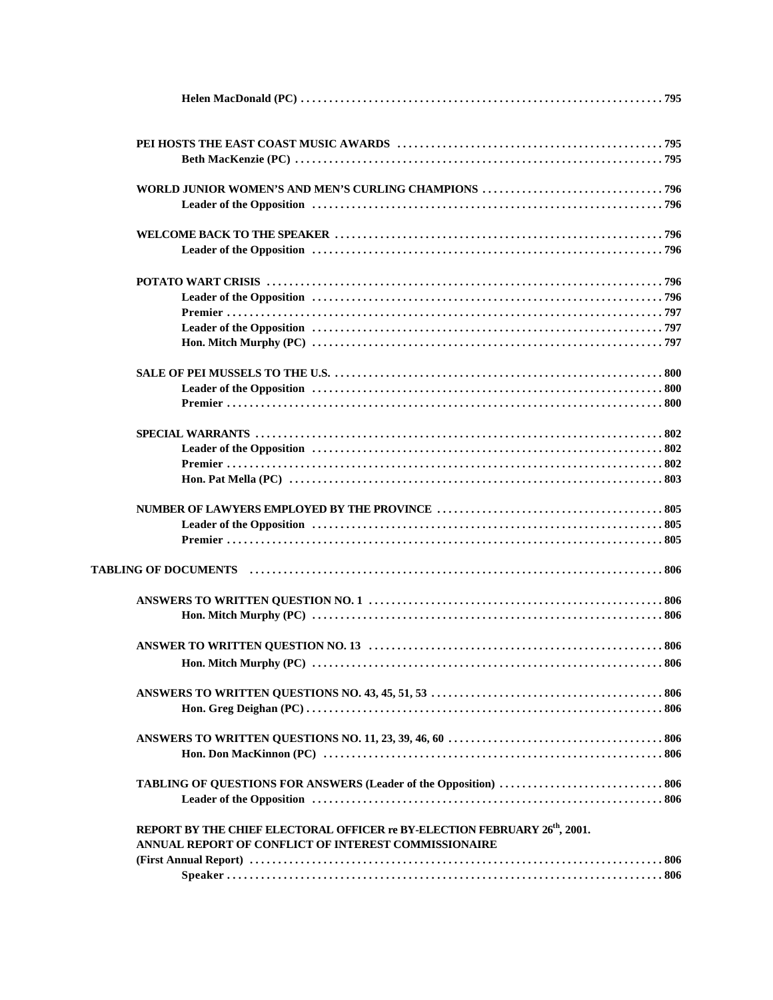| REPORT BY THE CHIEF ELECTORAL OFFICER re BY-ELECTION FEBRUARY 26 <sup>th</sup> , 2001. |
|----------------------------------------------------------------------------------------|
| ANNUAL REPORT OF CONFLICT OF INTEREST COMMISSIONAIRE                                   |
|                                                                                        |
|                                                                                        |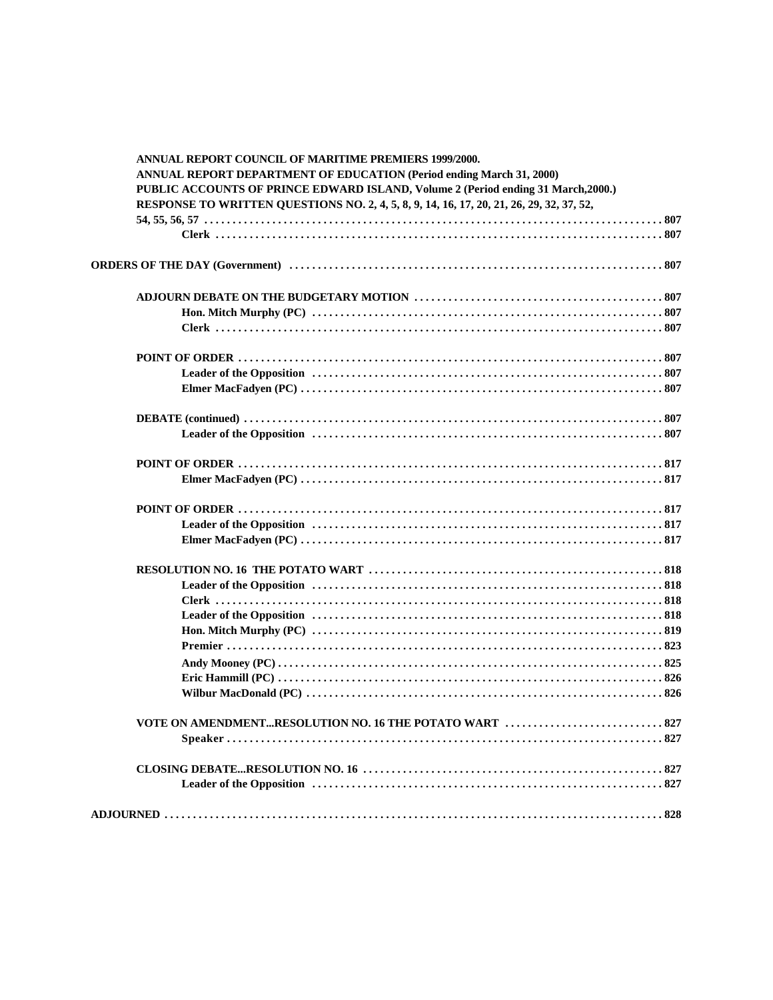| <b>ANNUAL REPORT COUNCIL OF MARITIME PREMIERS 1999/2000.</b>                             |
|------------------------------------------------------------------------------------------|
| <b>ANNUAL REPORT DEPARTMENT OF EDUCATION (Period ending March 31, 2000)</b>              |
| PUBLIC ACCOUNTS OF PRINCE EDWARD ISLAND, Volume 2 (Period ending 31 March, 2000.)        |
| RESPONSE TO WRITTEN QUESTIONS NO. 2, 4, 5, 8, 9, 14, 16, 17, 20, 21, 26, 29, 32, 37, 52, |
|                                                                                          |
|                                                                                          |
|                                                                                          |
|                                                                                          |
|                                                                                          |
|                                                                                          |
|                                                                                          |
|                                                                                          |
|                                                                                          |
|                                                                                          |
|                                                                                          |
|                                                                                          |
|                                                                                          |
|                                                                                          |
|                                                                                          |
|                                                                                          |
|                                                                                          |
|                                                                                          |
|                                                                                          |
|                                                                                          |
|                                                                                          |
|                                                                                          |
|                                                                                          |
|                                                                                          |
|                                                                                          |
|                                                                                          |
|                                                                                          |
|                                                                                          |
|                                                                                          |
|                                                                                          |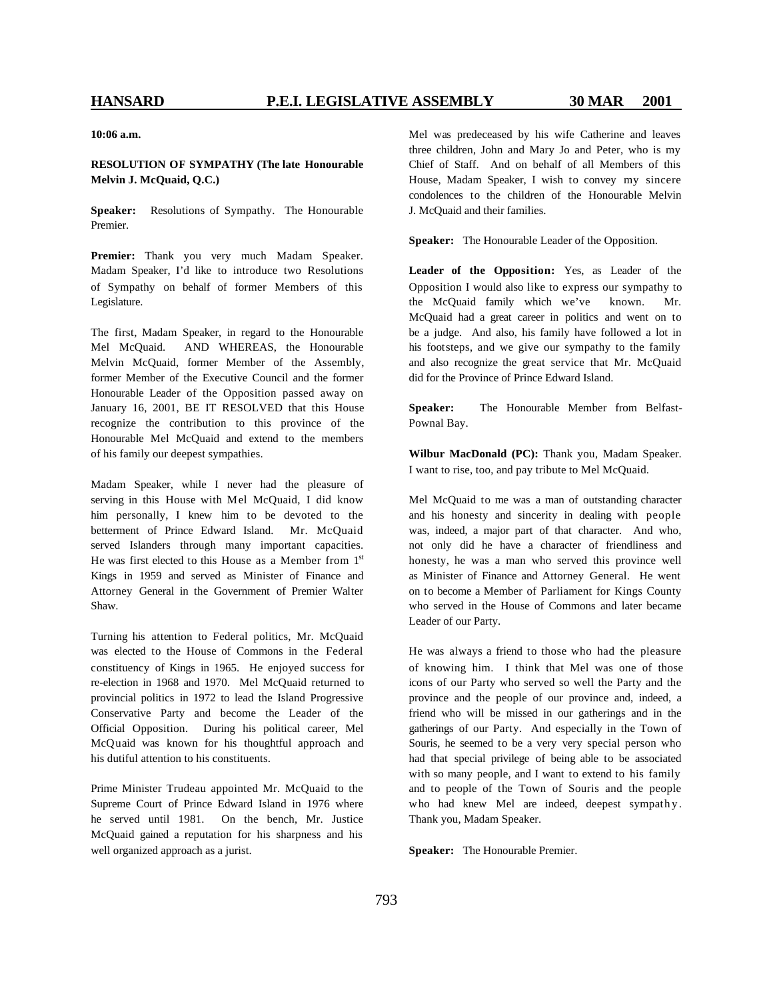**10:06 a.m.**

### **RESOLUTION OF SYMPATHY (The late Honourable Melvin J. McQuaid, Q.C.)**

**Speaker:** Resolutions of Sympathy. The Honourable Premier.

**Premier:** Thank you very much Madam Speaker. Madam Speaker, I'd like to introduce two Resolutions of Sympathy on behalf of former Members of this Legislature.

The first, Madam Speaker, in regard to the Honourable Mel McQuaid. AND WHEREAS, the Honourable Melvin McQuaid, former Member of the Assembly, former Member of the Executive Council and the former Honourable Leader of the Opposition passed away on January 16, 2001, BE IT RESOLVED that this House recognize the contribution to this province of the Honourable Mel McQuaid and extend to the members of his family our deepest sympathies.

Madam Speaker, while I never had the pleasure of serving in this House with Mel McQuaid, I did know him personally, I knew him to be devoted to the betterment of Prince Edward Island. Mr. McQuaid served Islanders through many important capacities. He was first elected to this House as a Member from  $1<sup>st</sup>$ Kings in 1959 and served as Minister of Finance and Attorney General in the Government of Premier Walter Shaw.

Turning his attention to Federal politics, Mr. McQuaid was elected to the House of Commons in the Federal constituency of Kings in 1965. He enjoyed success for re-election in 1968 and 1970. Mel McQuaid returned to provincial politics in 1972 to lead the Island Progressive Conservative Party and become the Leader of the Official Opposition. During his political career, Mel McQuaid was known for his thoughtful approach and his dutiful attention to his constituents.

Prime Minister Trudeau appointed Mr. McQuaid to the Supreme Court of Prince Edward Island in 1976 where he served until 1981. On the bench, Mr. Justice McQuaid gained a reputation for his sharpness and his well organized approach as a jurist.

Mel was predeceased by his wife Catherine and leaves three children, John and Mary Jo and Peter, who is my Chief of Staff. And on behalf of all Members of this House, Madam Speaker, I wish to convey my sincere condolences to the children of the Honourable Melvin J. McQuaid and their families.

**Speaker:** The Honourable Leader of the Opposition.

**Leader of the Opposition:** Yes, as Leader of the Opposition I would also like to express our sympathy to the McQuaid family which we've known. Mr. McQuaid had a great career in politics and went on to be a judge. And also, his family have followed a lot in his footsteps, and we give our sympathy to the family and also recognize the great service that Mr. McQuaid did for the Province of Prince Edward Island.

**Speaker:** The Honourable Member from Belfast-Pownal Bay.

**Wilbur MacDonald (PC):** Thank you, Madam Speaker. I want to rise, too, and pay tribute to Mel McQuaid.

Mel McQuaid to me was a man of outstanding character and his honesty and sincerity in dealing with people was, indeed, a major part of that character. And who, not only did he have a character of friendliness and honesty, he was a man who served this province well as Minister of Finance and Attorney General. He went on to become a Member of Parliament for Kings County who served in the House of Commons and later became Leader of our Party.

He was always a friend to those who had the pleasure of knowing him. I think that Mel was one of those icons of our Party who served so well the Party and the province and the people of our province and, indeed, a friend who will be missed in our gatherings and in the gatherings of our Party. And especially in the Town of Souris, he seemed to be a very very special person who had that special privilege of being able to be associated with so many people, and I want to extend to his family and to people of the Town of Souris and the people who had knew Mel are indeed, deepest sympathy. Thank you, Madam Speaker.

**Speaker:** The Honourable Premier.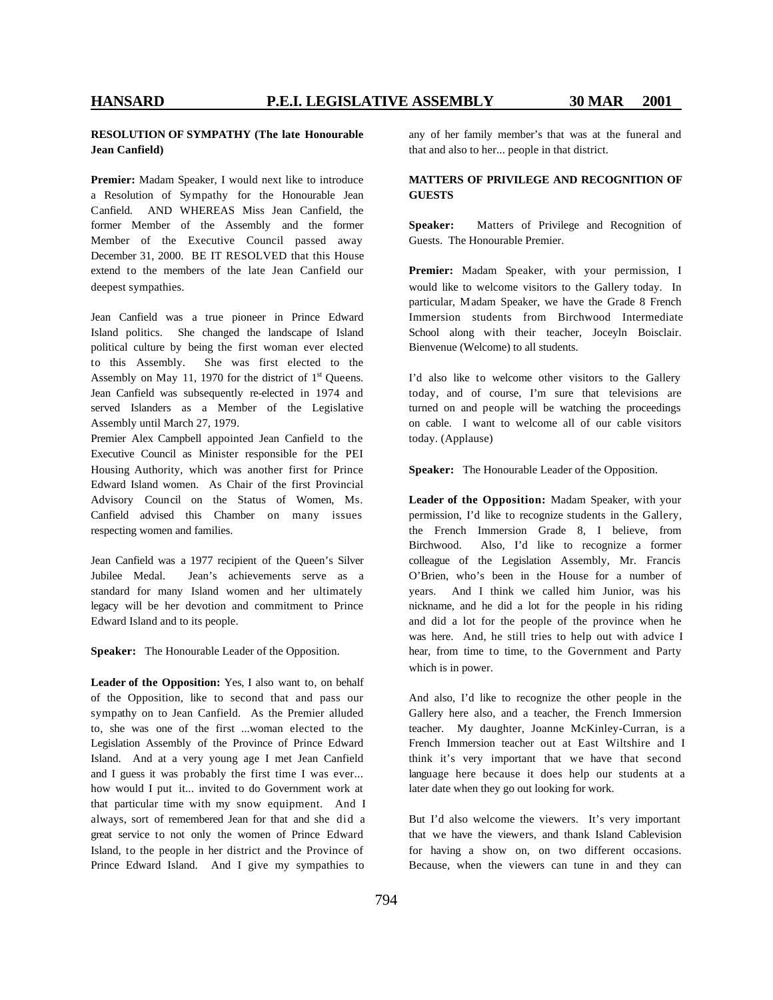### **RESOLUTION OF SYMPATHY (The late Honourable Jean Canfield)**

**Premier:** Madam Speaker, I would next like to introduce a Resolution of Sympathy for the Honourable Jean Canfield. AND WHEREAS Miss Jean Canfield, the former Member of the Assembly and the former Member of the Executive Council passed away December 31, 2000. BE IT RESOLVED that this House extend to the members of the late Jean Canfield our deepest sympathies.

Jean Canfield was a true pioneer in Prince Edward Island politics. She changed the landscape of Island political culture by being the first woman ever elected to this Assembly. She was first elected to the Assembly on May 11, 1970 for the district of  $1<sup>st</sup>$  Queens. Jean Canfield was subsequently re-elected in 1974 and served Islanders as a Member of the Legislative Assembly until March 27, 1979.

Premier Alex Campbell appointed Jean Canfield to the Executive Council as Minister responsible for the PEI Housing Authority, which was another first for Prince Edward Island women. As Chair of the first Provincial Advisory Council on the Status of Women, Ms. Canfield advised this Chamber on many issues respecting women and families.

Jean Canfield was a 1977 recipient of the Queen's Silver Jubilee Medal. Jean's achievements serve as a standard for many Island women and her ultimately legacy will be her devotion and commitment to Prince Edward Island and to its people.

**Speaker:** The Honourable Leader of the Opposition.

**Leader of the Opposition:** Yes, I also want to, on behalf of the Opposition, like to second that and pass our sympathy on to Jean Canfield. As the Premier alluded to, she was one of the first ...woman elected to the Legislation Assembly of the Province of Prince Edward Island. And at a very young age I met Jean Canfield and I guess it was probably the first time I was ever... how would I put it... invited to do Government work at that particular time with my snow equipment. And I always, sort of remembered Jean for that and she did a great service to not only the women of Prince Edward Island, to the people in her district and the Province of Prince Edward Island. And I give my sympathies to

any of her family member's that was at the funeral and that and also to her... people in that district.

### **MATTERS OF PRIVILEGE AND RECOGNITION OF GUESTS**

**Speaker:** Matters of Privilege and Recognition of Guests. The Honourable Premier.

**Premier:** Madam Speaker, with your permission, I would like to welcome visitors to the Gallery today. In particular, Madam Speaker, we have the Grade 8 French Immersion students from Birchwood Intermediate School along with their teacher, Joceyln Boisclair. Bienvenue (Welcome) to all students.

I'd also like to welcome other visitors to the Gallery today, and of course, I'm sure that televisions are turned on and people will be watching the proceedings on cable. I want to welcome all of our cable visitors today. (Applause)

**Speaker:** The Honourable Leader of the Opposition.

**Leader of the Opposition:** Madam Speaker, with your permission, I'd like to recognize students in the Gallery, the French Immersion Grade 8, I believe, from Birchwood. Also, I'd like to recognize a former colleague of the Legislation Assembly, Mr. Francis O'Brien, who's been in the House for a number of years. And I think we called him Junior, was his nickname, and he did a lot for the people in his riding and did a lot for the people of the province when he was here. And, he still tries to help out with advice I hear, from time to time, to the Government and Party which is in power.

And also, I'd like to recognize the other people in the Gallery here also, and a teacher, the French Immersion teacher. My daughter, Joanne McKinley-Curran, is a French Immersion teacher out at East Wiltshire and I think it's very important that we have that second language here because it does help our students at a later date when they go out looking for work.

But I'd also welcome the viewers. It's very important that we have the viewers, and thank Island Cablevision for having a show on, on two different occasions. Because, when the viewers can tune in and they can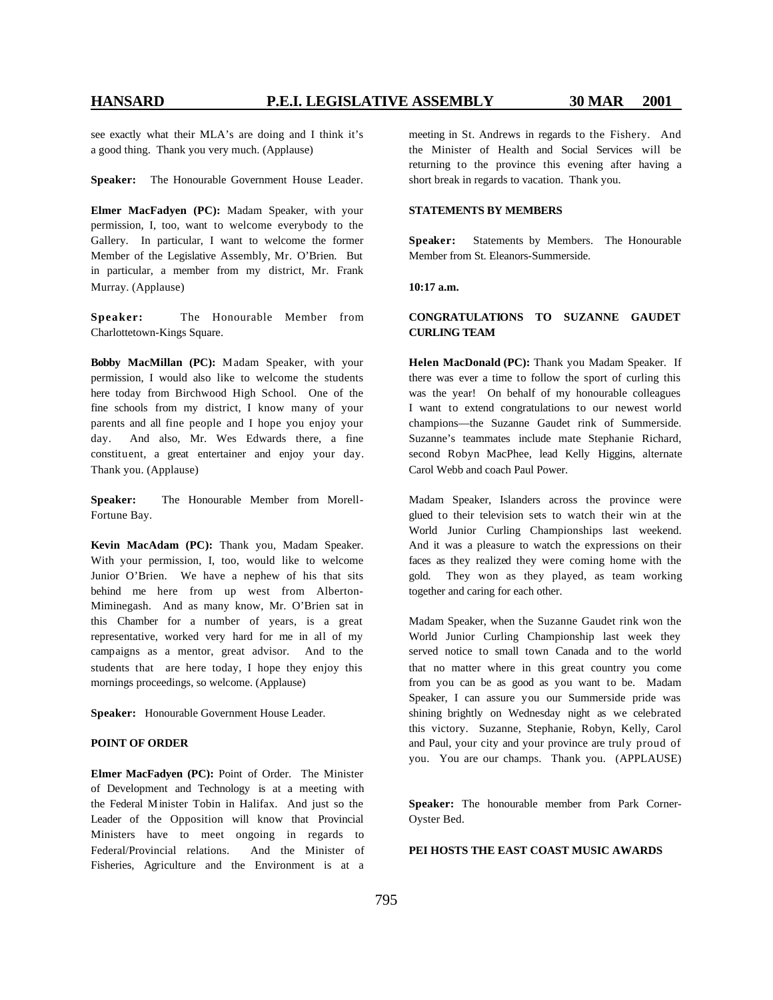see exactly what their MLA's are doing and I think it's a good thing. Thank you very much. (Applause)

**Speaker:** The Honourable Government House Leader.

**Elmer MacFadyen (PC):** Madam Speaker, with your permission, I, too, want to welcome everybody to the Gallery. In particular, I want to welcome the former Member of the Legislative Assembly, Mr. O'Brien. But in particular, a member from my district, Mr. Frank Murray. (Applause)

**Speaker:** The Honourable Member from Charlottetown-Kings Square.

**Bobby MacMillan (PC):** Madam Speaker, with your permission, I would also like to welcome the students here today from Birchwood High School. One of the fine schools from my district, I know many of your parents and all fine people and I hope you enjoy your day. And also, Mr. Wes Edwards there, a fine constituent, a great entertainer and enjoy your day. Thank you. (Applause)

**Speaker:** The Honourable Member from Morell-Fortune Bay.

**Kevin MacAdam (PC):** Thank you, Madam Speaker. With your permission, I, too, would like to welcome Junior O'Brien. We have a nephew of his that sits behind me here from up west from Alberton-Miminegash. And as many know, Mr. O'Brien sat in this Chamber for a number of years, is a great representative, worked very hard for me in all of my campaigns as a mentor, great advisor. And to the students that are here today, I hope they enjoy this mornings proceedings, so welcome. (Applause)

**Speaker:** Honourable Government House Leader.

### **POINT OF ORDER**

**Elmer MacFadyen (PC):** Point of Order. The Minister of Development and Technology is at a meeting with the Federal Minister Tobin in Halifax. And just so the Leader of the Opposition will know that Provincial Ministers have to meet ongoing in regards to Federal/Provincial relations. And the Minister of Fisheries, Agriculture and the Environment is at a meeting in St. Andrews in regards to the Fishery. And the Minister of Health and Social Services will be returning to the province this evening after having a short break in regards to vacation. Thank you.

### **STATEMENTS BY MEMBERS**

**Speaker:** Statements by Members. The Honourable Member from St. Eleanors-Summerside.

**10:17 a.m.**

### **CONGRATULATIONS TO SUZANNE GAUDET CURLING TEAM**

**Helen MacDonald (PC):** Thank you Madam Speaker. If there was ever a time to follow the sport of curling this was the year! On behalf of my honourable colleagues I want to extend congratulations to our newest world champions—the Suzanne Gaudet rink of Summerside. Suzanne's teammates include mate Stephanie Richard, second Robyn MacPhee, lead Kelly Higgins, alternate Carol Webb and coach Paul Power.

Madam Speaker, Islanders across the province were glued to their television sets to watch their win at the World Junior Curling Championships last weekend. And it was a pleasure to watch the expressions on their faces as they realized they were coming home with the gold. They won as they played, as team working together and caring for each other.

Madam Speaker, when the Suzanne Gaudet rink won the World Junior Curling Championship last week they served notice to small town Canada and to the world that no matter where in this great country you come from you can be as good as you want to be. Madam Speaker, I can assure you our Summerside pride was shining brightly on Wednesday night as we celebrated this victory. Suzanne, Stephanie, Robyn, Kelly, Carol and Paul, your city and your province are truly proud of you. You are our champs. Thank you. (APPLAUSE)

**Speaker:** The honourable member from Park Corner-Oyster Bed.

### **PEI HOSTS THE EAST COAST MUSIC AWARDS**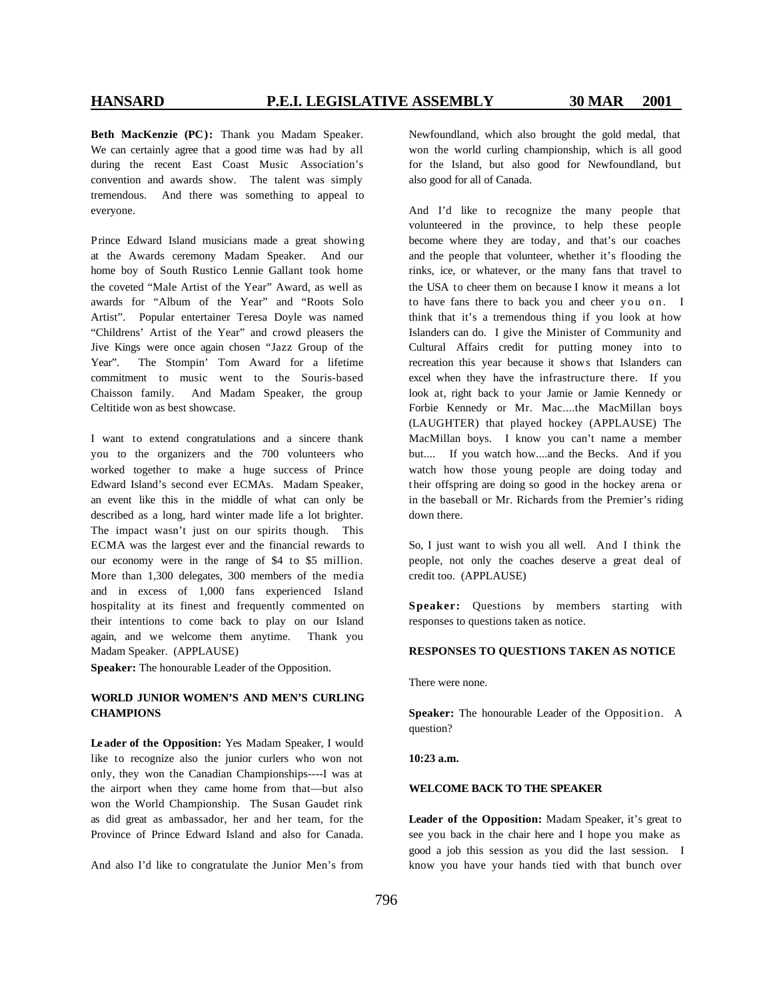**Beth MacKenzie (PC):** Thank you Madam Speaker. We can certainly agree that a good time was had by all during the recent East Coast Music Association's convention and awards show. The talent was simply tremendous. And there was something to appeal to everyone.

Prince Edward Island musicians made a great showing at the Awards ceremony Madam Speaker. And our home boy of South Rustico Lennie Gallant took home the coveted "Male Artist of the Year" Award, as well as awards for "Album of the Year" and "Roots Solo Artist". Popular entertainer Teresa Doyle was named "Childrens' Artist of the Year" and crowd pleasers the Jive Kings were once again chosen "Jazz Group of the Year". The Stompin' Tom Award for a lifetime commitment to music went to the Souris-based Chaisson family. And Madam Speaker, the group Celtitide won as best showcase.

I want to extend congratulations and a sincere thank you to the organizers and the 700 volunteers who worked together to make a huge success of Prince Edward Island's second ever ECMAs. Madam Speaker, an event like this in the middle of what can only be described as a long, hard winter made life a lot brighter. The impact wasn't just on our spirits though. This ECMA was the largest ever and the financial rewards to our economy were in the range of \$4 to \$5 million. More than 1,300 delegates, 300 members of the media and in excess of 1,000 fans experienced Island hospitality at its finest and frequently commented on their intentions to come back to play on our Island again, and we welcome them anytime. Thank you Madam Speaker. (APPLAUSE)

**Speaker:** The honourable Leader of the Opposition.

### **WORLD JUNIOR WOMEN'S AND MEN'S CURLING CHAMPIONS**

**Le ader of the Opposition:** Yes Madam Speaker, I would like to recognize also the junior curlers who won not only, they won the Canadian Championships----I was at the airport when they came home from that—but also won the World Championship. The Susan Gaudet rink as did great as ambassador, her and her team, for the Province of Prince Edward Island and also for Canada.

And also I'd like to congratulate the Junior Men's from

Newfoundland, which also brought the gold medal, that won the world curling championship, which is all good for the Island, but also good for Newfoundland, but also good for all of Canada.

And I'd like to recognize the many people that volunteered in the province, to help these people become where they are today, and that's our coaches and the people that volunteer, whether it's flooding the rinks, ice, or whatever, or the many fans that travel to the USA to cheer them on because I know it means a lot to have fans there to back you and cheer you on. I think that it's a tremendous thing if you look at how Islanders can do. I give the Minister of Community and Cultural Affairs credit for putting money into to recreation this year because it shows that Islanders can excel when they have the infrastructure there. If you look at, right back to your Jamie or Jamie Kennedy or Forbie Kennedy or Mr. Mac....the MacMillan boys (LAUGHTER) that played hockey (APPLAUSE) The MacMillan boys. I know you can't name a member but.... If you watch how....and the Becks. And if you watch how those young people are doing today and t heir offspring are doing so good in the hockey arena or in the baseball or Mr. Richards from the Premier's riding down there.

So, I just want to wish you all well. And I think the people, not only the coaches deserve a great deal of credit too. (APPLAUSE)

**Speaker:** Questions by members starting with responses to questions taken as notice.

### **RESPONSES TO QUESTIONS TAKEN AS NOTICE**

There were none.

**Speaker:** The honourable Leader of the Opposition. A question?

### **10:23 a.m.**

### **WELCOME BACK TO THE SPEAKER**

**Leader of the Opposition:** Madam Speaker, it's great to see you back in the chair here and I hope you make as good a job this session as you did the last session. I know you have your hands tied with that bunch over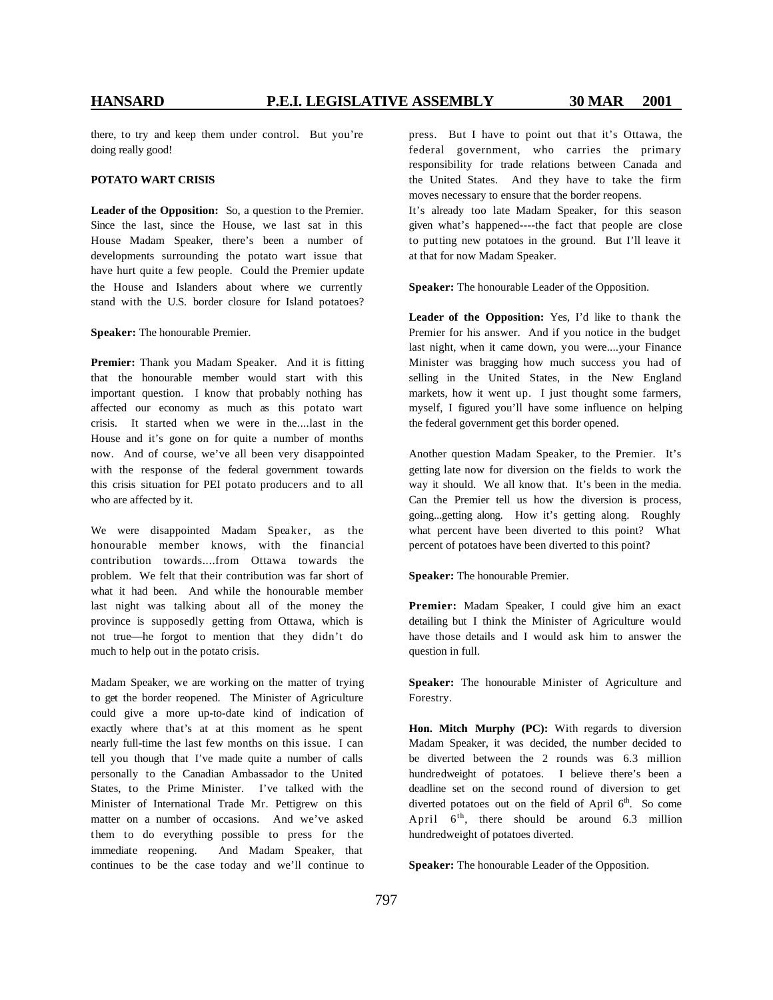there, to try and keep them under control. But you're doing really good!

### **POTATO WART CRISIS**

**Leader of the Opposition:** So, a question to the Premier. Since the last, since the House, we last sat in this House Madam Speaker, there's been a number of developments surrounding the potato wart issue that have hurt quite a few people. Could the Premier update the House and Islanders about where we currently stand with the U.S. border closure for Island potatoes?

**Speaker:** The honourable Premier.

**Premier:** Thank you Madam Speaker. And it is fitting that the honourable member would start with this important question. I know that probably nothing has affected our economy as much as this potato wart crisis. It started when we were in the....last in the House and it's gone on for quite a number of months now. And of course, we've all been very disappointed with the response of the federal government towards this crisis situation for PEI potato producers and to all who are affected by it.

We were disappointed Madam Speaker, as the honourable member knows, with the financial contribution towards....from Ottawa towards the problem. We felt that their contribution was far short of what it had been. And while the honourable member last night was talking about all of the money the province is supposedly getting from Ottawa, which is not true—he forgot to mention that they didn't do much to help out in the potato crisis.

Madam Speaker, we are working on the matter of trying to get the border reopened. The Minister of Agriculture could give a more up-to-date kind of indication of exactly where that's at at this moment as he spent nearly full-time the last few months on this issue. I can tell you though that I've made quite a number of calls personally to the Canadian Ambassador to the United States, to the Prime Minister. I've talked with the Minister of International Trade Mr. Pettigrew on this matter on a number of occasions. And we've asked t hem to do everything possible to press for the immediate reopening. And Madam Speaker, that continues to be the case today and we'll continue to press. But I have to point out that it's Ottawa, the federal government, who carries the primary responsibility for trade relations between Canada and the United States. And they have to take the firm moves necessary to ensure that the border reopens.

It's already too late Madam Speaker, for this season given what's happened----the fact that people are close to putting new potatoes in the ground. But I'll leave it at that for now Madam Speaker.

**Speaker:** The honourable Leader of the Opposition.

**Leader of the Opposition:** Yes, I'd like to thank the Premier for his answer. And if you notice in the budget last night, when it came down, you were....your Finance Minister was bragging how much success you had of selling in the United States, in the New England markets, how it went up. I just thought some farmers, myself, I figured you'll have some influence on helping the federal government get this border opened.

Another question Madam Speaker, to the Premier. It's getting late now for diversion on the fields to work the way it should. We all know that. It's been in the media. Can the Premier tell us how the diversion is process, going...getting along. How it's getting along. Roughly what percent have been diverted to this point? What percent of potatoes have been diverted to this point?

**Speaker:** The honourable Premier.

**Premier:** Madam Speaker, I could give him an exact detailing but I think the Minister of Agriculture would have those details and I would ask him to answer the question in full.

**Speaker:** The honourable Minister of Agriculture and Forestry.

**Hon. Mitch Murphy (PC):** With regards to diversion Madam Speaker, it was decided, the number decided to be diverted between the 2 rounds was 6.3 million hundredweight of potatoes. I believe there's been a deadline set on the second round of diversion to get diverted potatoes out on the field of April 6<sup>th</sup>. So come April  $6<sup>th</sup>$ , there should be around 6.3 million hundredweight of potatoes diverted.

**Speaker:** The honourable Leader of the Opposition.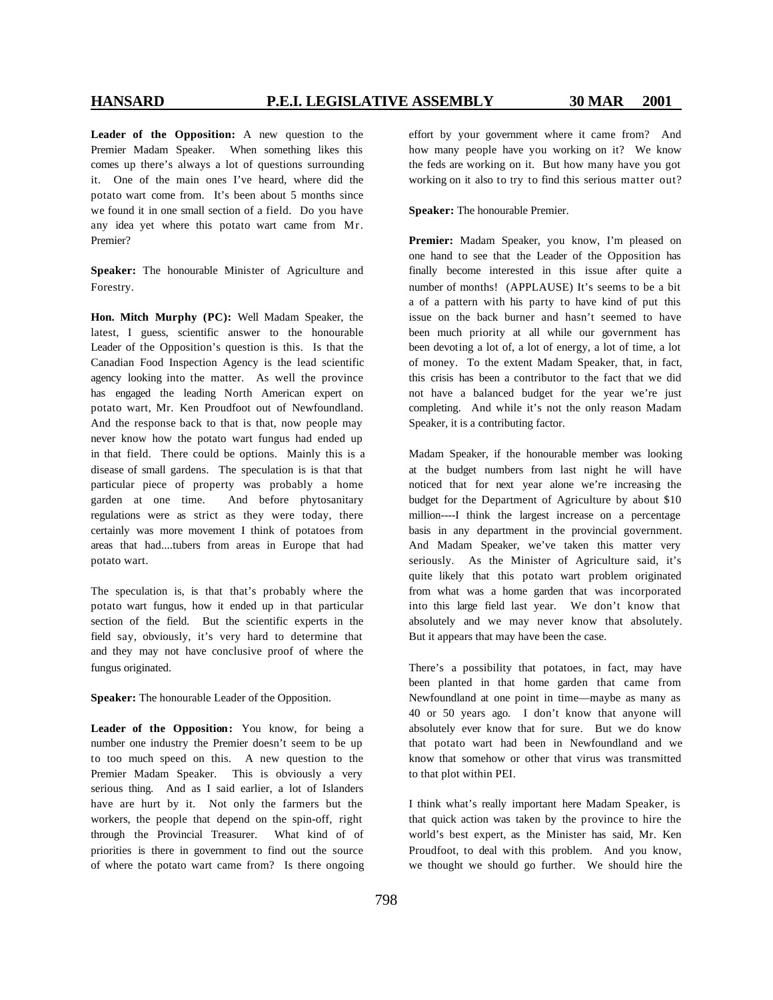**Leader of the Opposition:** A new question to the Premier Madam Speaker. When something likes this comes up there's always a lot of questions surrounding it. One of the main ones I've heard, where did the potato wart come from. It's been about 5 months since we found it in one small section of a field. Do you have any idea yet where this potato wart came from Mr. Premier?

**Speaker:** The honourable Minister of Agriculture and Forestry.

**Hon. Mitch Murphy (PC):** Well Madam Speaker, the latest, I guess, scientific answer to the honourable Leader of the Opposition's question is this. Is that the Canadian Food Inspection Agency is the lead scientific agency looking into the matter. As well the province has engaged the leading North American expert on potato wart, Mr. Ken Proudfoot out of Newfoundland. And the response back to that is that, now people may never know how the potato wart fungus had ended up in that field. There could be options. Mainly this is a disease of small gardens. The speculation is is that that particular piece of property was probably a home garden at one time. And before phytosanitary regulations were as strict as they were today, there certainly was more movement I think of potatoes from areas that had....tubers from areas in Europe that had potato wart.

The speculation is, is that that's probably where the potato wart fungus, how it ended up in that particular section of the field. But the scientific experts in the field say, obviously, it's very hard to determine that and they may not have conclusive proof of where the fungus originated.

**Speaker:** The honourable Leader of the Opposition.

**Leader of the Opposition:** You know, for being a number one industry the Premier doesn't seem to be up to too much speed on this. A new question to the Premier Madam Speaker. This is obviously a very serious thing. And as I said earlier, a lot of Islanders have are hurt by it. Not only the farmers but the workers, the people that depend on the spin-off, right through the Provincial Treasurer. What kind of of priorities is there in government to find out the source of where the potato wart came from? Is there ongoing effort by your government where it came from? And how many people have you working on it? We know the feds are working on it. But how many have you got working on it also to try to find this serious matter out?

**Speaker:** The honourable Premier.

**Premier:** Madam Speaker, you know, I'm pleased on one hand to see that the Leader of the Opposition has finally become interested in this issue after quite a number of months! (APPLAUSE) It's seems to be a bit a of a pattern with his party to have kind of put this issue on the back burner and hasn't seemed to have been much priority at all while our government has been devoting a lot of, a lot of energy, a lot of time, a lot of money. To the extent Madam Speaker, that, in fact, this crisis has been a contributor to the fact that we did not have a balanced budget for the year we're just completing. And while it's not the only reason Madam Speaker, it is a contributing factor.

Madam Speaker, if the honourable member was looking at the budget numbers from last night he will have noticed that for next year alone we're increasing the budget for the Department of Agriculture by about \$10 million----I think the largest increase on a percentage basis in any department in the provincial government. And Madam Speaker, we've taken this matter very seriously. As the Minister of Agriculture said, it's quite likely that this potato wart problem originated from what was a home garden that was incorporated into this large field last year. We don't know that absolutely and we may never know that absolutely. But it appears that may have been the case.

There's a possibility that potatoes, in fact, may have been planted in that home garden that came from Newfoundland at one point in time—maybe as many as 40 or 50 years ago. I don't know that anyone will absolutely ever know that for sure. But we do know that potato wart had been in Newfoundland and we know that somehow or other that virus was transmitted to that plot within PEI.

I think what's really important here Madam Speaker, is that quick action was taken by the province to hire the world's best expert, as the Minister has said, Mr. Ken Proudfoot, to deal with this problem. And you know, we thought we should go further. We should hire the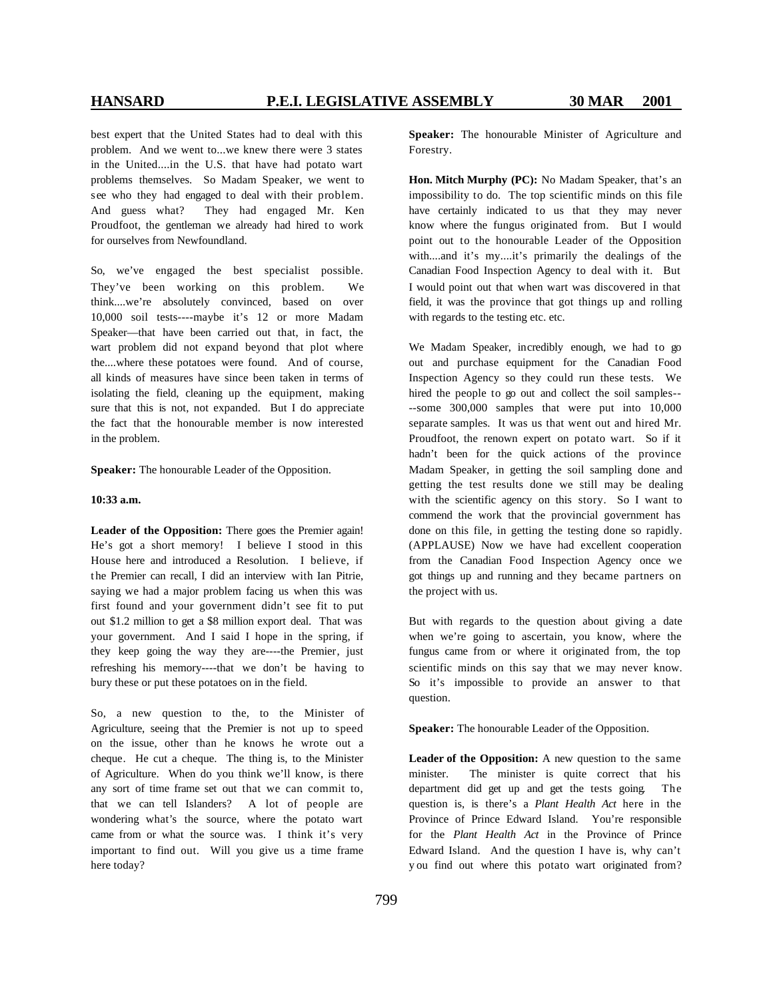best expert that the United States had to deal with this problem. And we went to...we knew there were 3 states in the United....in the U.S. that have had potato wart problems themselves. So Madam Speaker, we went to see who they had engaged to deal with their problem. And guess what? They had engaged Mr. Ken Proudfoot, the gentleman we already had hired to work for ourselves from Newfoundland.

So, we've engaged the best specialist possible. They've been working on this problem. We think....we're absolutely convinced, based on over 10,000 soil tests----maybe it's 12 or more Madam Speaker—that have been carried out that, in fact, the wart problem did not expand beyond that plot where the....where these potatoes were found. And of course, all kinds of measures have since been taken in terms of isolating the field, cleaning up the equipment, making sure that this is not, not expanded. But I do appreciate the fact that the honourable member is now interested in the problem.

**Speaker:** The honourable Leader of the Opposition.

### **10:33 a.m.**

**Leader of the Opposition:** There goes the Premier again! He's got a short memory! I believe I stood in this House here and introduced a Resolution. I believe, if t he Premier can recall, I did an interview with Ian Pitrie, saying we had a major problem facing us when this was first found and your government didn't see fit to put out \$1.2 million to get a \$8 million export deal. That was your government. And I said I hope in the spring, if they keep going the way they are----the Premier, just refreshing his memory----that we don't be having to bury these or put these potatoes on in the field.

So, a new question to the, to the Minister of Agriculture, seeing that the Premier is not up to speed on the issue, other than he knows he wrote out a cheque. He cut a cheque. The thing is, to the Minister of Agriculture. When do you think we'll know, is there any sort of time frame set out that we can commit to, that we can tell Islanders? A lot of people are wondering what's the source, where the potato wart came from or what the source was. I think it's very important to find out. Will you give us a time frame here today?

**Speaker:** The honourable Minister of Agriculture and Forestry.

**Hon. Mitch Murphy (PC):** No Madam Speaker, that's an impossibility to do. The top scientific minds on this file have certainly indicated to us that they may never know where the fungus originated from. But I would point out to the honourable Leader of the Opposition with....and it's my....it's primarily the dealings of the Canadian Food Inspection Agency to deal with it. But I would point out that when wart was discovered in that field, it was the province that got things up and rolling with regards to the testing etc. etc.

We Madam Speaker, incredibly enough, we had to go out and purchase equipment for the Canadian Food Inspection Agency so they could run these tests. We hired the people to go out and collect the soil samples-- --some 300,000 samples that were put into 10,000 separate samples. It was us that went out and hired Mr. Proudfoot, the renown expert on potato wart. So if it hadn't been for the quick actions of the province Madam Speaker, in getting the soil sampling done and getting the test results done we still may be dealing with the scientific agency on this story. So I want to commend the work that the provincial government has done on this file, in getting the testing done so rapidly. (APPLAUSE) Now we have had excellent cooperation from the Canadian Food Inspection Agency once we got things up and running and they became partners on the project with us.

But with regards to the question about giving a date when we're going to ascertain, you know, where the fungus came from or where it originated from, the top scientific minds on this say that we may never know. So it's impossible to provide an answer to that question.

**Speaker:** The honourable Leader of the Opposition.

**Leader of the Opposition:** A new question to the same minister. The minister is quite correct that his department did get up and get the tests going. The question is, is there's a *Plant Health Act* here in the Province of Prince Edward Island. You're responsible for the *Plant Health Act* in the Province of Prince Edward Island. And the question I have is, why can't y ou find out where this potato wart originated from?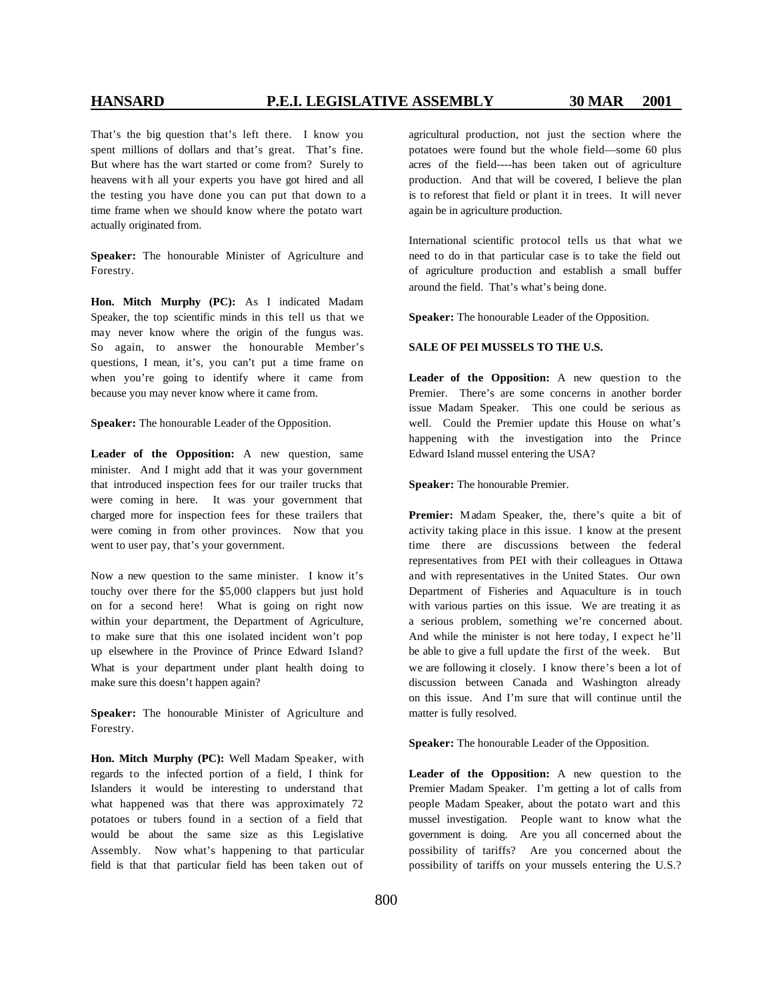That's the big question that's left there. I know you spent millions of dollars and that's great. That's fine. But where has the wart started or come from? Surely to heavens with all your experts you have got hired and all the testing you have done you can put that down to a time frame when we should know where the potato wart actually originated from.

**Speaker:** The honourable Minister of Agriculture and Forestry.

**Hon. Mitch Murphy (PC):** As I indicated Madam Speaker, the top scientific minds in this tell us that we may never know where the origin of the fungus was. So again, to answer the honourable Member's questions, I mean, it's, you can't put a time frame on when you're going to identify where it came from because you may never know where it came from.

**Speaker:** The honourable Leader of the Opposition.

**Leader of the Opposition:** A new question, same minister. And I might add that it was your government that introduced inspection fees for our trailer trucks that were coming in here. It was your government that charged more for inspection fees for these trailers that were coming in from other provinces. Now that you went to user pay, that's your government.

Now a new question to the same minister. I know it's touchy over there for the \$5,000 clappers but just hold on for a second here! What is going on right now within your department, the Department of Agriculture, to make sure that this one isolated incident won't pop up elsewhere in the Province of Prince Edward Island? What is your department under plant health doing to make sure this doesn't happen again?

**Speaker:** The honourable Minister of Agriculture and Forestry.

**Hon. Mitch Murphy (PC):** Well Madam Speaker, with regards to the infected portion of a field, I think for Islanders it would be interesting to understand that what happened was that there was approximately 72 potatoes or tubers found in a section of a field that would be about the same size as this Legislative Assembly. Now what's happening to that particular field is that that particular field has been taken out of

agricultural production, not just the section where the potatoes were found but the whole field—some 60 plus acres of the field----has been taken out of agriculture production. And that will be covered, I believe the plan is to reforest that field or plant it in trees. It will never again be in agriculture production.

International scientific protocol tells us that what we need to do in that particular case is to take the field out of agriculture production and establish a small buffer around the field. That's what's being done.

**Speaker:** The honourable Leader of the Opposition.

### **SALE OF PEI MUSSELS TO THE U.S.**

**Leader of the Opposition:** A new question to the Premier. There's are some concerns in another border issue Madam Speaker. This one could be serious as well. Could the Premier update this House on what's happening with the investigation into the Prince Edward Island mussel entering the USA?

**Speaker:** The honourable Premier.

Premier: Madam Speaker, the, there's quite a bit of activity taking place in this issue. I know at the present time there are discussions between the federal representatives from PEI with their colleagues in Ottawa and with representatives in the United States. Our own Department of Fisheries and Aquaculture is in touch with various parties on this issue. We are treating it as a serious problem, something we're concerned about. And while the minister is not here today, I expect he'll be able to give a full update the first of the week. But we are following it closely. I know there's been a lot of discussion between Canada and Washington already on this issue. And I'm sure that will continue until the matter is fully resolved.

**Speaker:** The honourable Leader of the Opposition.

**Leader of the Opposition:** A new question to the Premier Madam Speaker. I'm getting a lot of calls from people Madam Speaker, about the potato wart and this mussel investigation. People want to know what the government is doing. Are you all concerned about the possibility of tariffs? Are you concerned about the possibility of tariffs on your mussels entering the U.S.?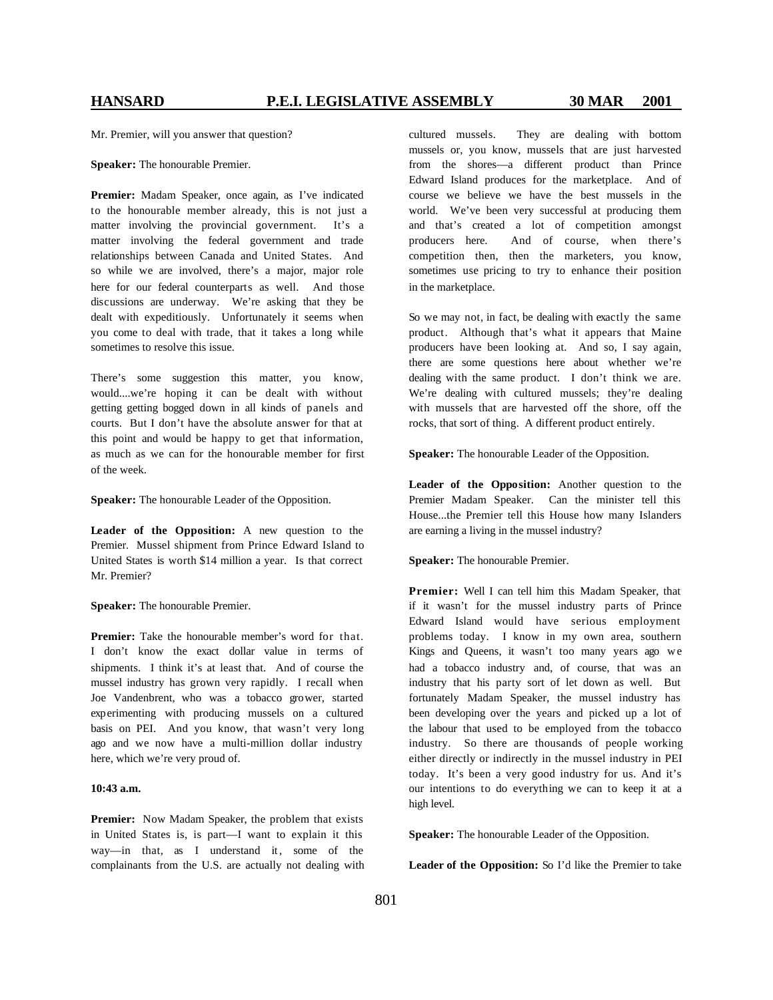Mr. Premier, will you answer that question?

**Speaker:** The honourable Premier.

**Premier:** Madam Speaker, once again, as I've indicated to the honourable member already, this is not just a matter involving the provincial government. It's a matter involving the federal government and trade relationships between Canada and United States. And so while we are involved, there's a major, major role here for our federal counterparts as well. And those discussions are underway. We're asking that they be dealt with expeditiously. Unfortunately it seems when you come to deal with trade, that it takes a long while sometimes to resolve this issue.

There's some suggestion this matter, you know, would....we're hoping it can be dealt with without getting getting bogged down in all kinds of panels and courts. But I don't have the absolute answer for that at this point and would be happy to get that information, as much as we can for the honourable member for first of the week.

**Speaker:** The honourable Leader of the Opposition.

**Leader of the Opposition:** A new question to the Premier. Mussel shipment from Prince Edward Island to United States is worth \$14 million a year. Is that correct Mr. Premier?

**Speaker:** The honourable Premier.

**Premier:** Take the honourable member's word for that. I don't know the exact dollar value in terms of shipments. I think it's at least that. And of course the mussel industry has grown very rapidly. I recall when Joe Vandenbrent, who was a tobacco grower, started experimenting with producing mussels on a cultured basis on PEI. And you know, that wasn't very long ago and we now have a multi-million dollar industry here, which we're very proud of.

### **10:43 a.m.**

Premier: Now Madam Speaker, the problem that exists in United States is, is part—I want to explain it this way—in that, as I understand it, some of the complainants from the U.S. are actually not dealing with cultured mussels. They are dealing with bottom mussels or, you know, mussels that are just harvested from the shores—a different product than Prince Edward Island produces for the marketplace. And of course we believe we have the best mussels in the world. We've been very successful at producing them and that's created a lot of competition amongst producers here. And of course, when there's competition then, then the marketers, you know, sometimes use pricing to try to enhance their position in the marketplace.

So we may not, in fact, be dealing with exactly the same product. Although that's what it appears that Maine producers have been looking at. And so, I say again, there are some questions here about whether we're dealing with the same product. I don't think we are. We're dealing with cultured mussels; they're dealing with mussels that are harvested off the shore, off the rocks, that sort of thing. A different product entirely.

**Speaker:** The honourable Leader of the Opposition.

**Leader of the Opposition:** Another question to the Premier Madam Speaker. Can the minister tell this House...the Premier tell this House how many Islanders are earning a living in the mussel industry?

**Speaker:** The honourable Premier.

**Premier:** Well I can tell him this Madam Speaker, that if it wasn't for the mussel industry parts of Prince Edward Island would have serious employment problems today. I know in my own area, southern Kings and Queens, it wasn't too many years ago we had a tobacco industry and, of course, that was an industry that his party sort of let down as well. But fortunately Madam Speaker, the mussel industry has been developing over the years and picked up a lot of the labour that used to be employed from the tobacco industry. So there are thousands of people working either directly or indirectly in the mussel industry in PEI today. It's been a very good industry for us. And it's our intentions to do everything we can to keep it at a high level.

**Speaker:** The honourable Leader of the Opposition.

**Leader of the Opposition:** So I'd like the Premier to take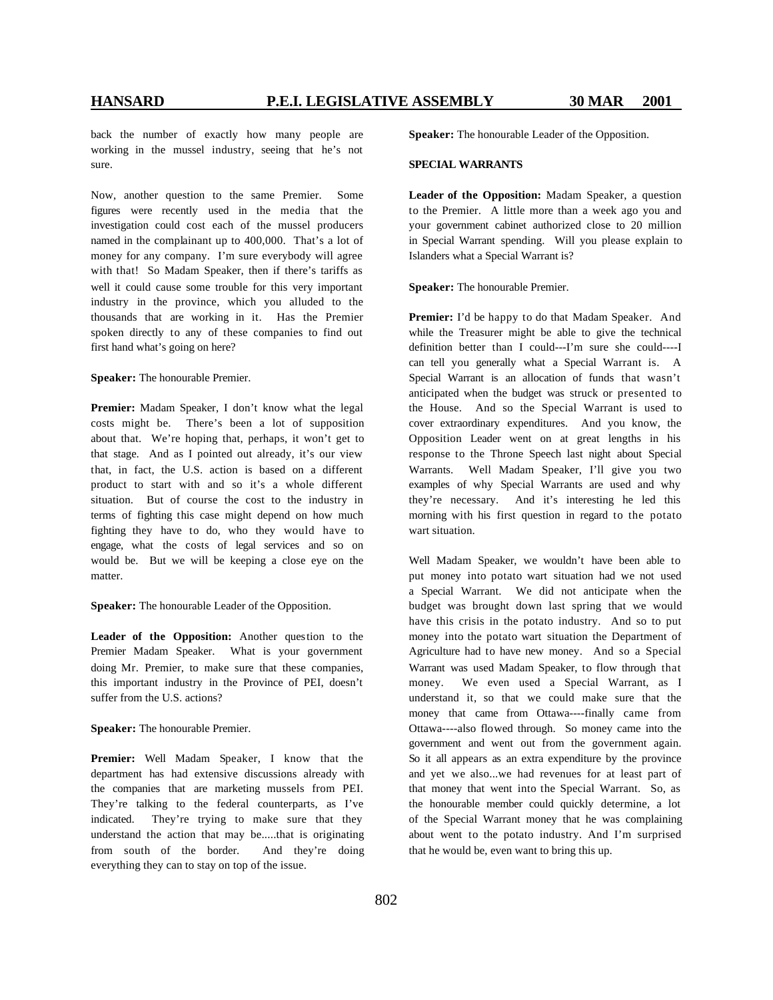back the number of exactly how many people are working in the mussel industry, seeing that he's not sure.

Now, another question to the same Premier. Some figures were recently used in the media that the investigation could cost each of the mussel producers named in the complainant up to 400,000. That's a lot of money for any company. I'm sure everybody will agree with that! So Madam Speaker, then if there's tariffs as well it could cause some trouble for this very important industry in the province, which you alluded to the thousands that are working in it. Has the Premier spoken directly to any of these companies to find out first hand what's going on here?

**Speaker:** The honourable Premier.

**Premier:** Madam Speaker, I don't know what the legal costs might be. There's been a lot of supposition about that. We're hoping that, perhaps, it won't get to that stage. And as I pointed out already, it's our view that, in fact, the U.S. action is based on a different product to start with and so it's a whole different situation. But of course the cost to the industry in terms of fighting this case might depend on how much fighting they have to do, who they would have to engage, what the costs of legal services and so on would be. But we will be keeping a close eye on the matter.

**Speaker:** The honourable Leader of the Opposition.

**Leader of the Opposition:** Another question to the Premier Madam Speaker. What is your government doing Mr. Premier, to make sure that these companies, this important industry in the Province of PEI, doesn't suffer from the U.S. actions?

**Speaker:** The honourable Premier.

**Premier:** Well Madam Speaker, I know that the department has had extensive discussions already with the companies that are marketing mussels from PEI. They're talking to the federal counterparts, as I've indicated. They're trying to make sure that they understand the action that may be.....that is originating from south of the border. And they're doing everything they can to stay on top of the issue.

**Speaker:** The honourable Leader of the Opposition.

### **SPECIAL WARRANTS**

**Leader of the Opposition:** Madam Speaker, a question to the Premier. A little more than a week ago you and your government cabinet authorized close to 20 million in Special Warrant spending. Will you please explain to Islanders what a Special Warrant is?

**Speaker:** The honourable Premier.

**Premier:** I'd be happy to do that Madam Speaker. And while the Treasurer might be able to give the technical definition better than I could---I'm sure she could----I can tell you generally what a Special Warrant is. A Special Warrant is an allocation of funds that wasn't anticipated when the budget was struck or presented to the House. And so the Special Warrant is used to cover extraordinary expenditures. And you know, the Opposition Leader went on at great lengths in his response to the Throne Speech last night about Special Warrants. Well Madam Speaker, I'll give you two examples of why Special Warrants are used and why they're necessary. And it's interesting he led this morning with his first question in regard to the potato wart situation.

Well Madam Speaker, we wouldn't have been able to put money into potato wart situation had we not used a Special Warrant. We did not anticipate when the budget was brought down last spring that we would have this crisis in the potato industry. And so to put money into the potato wart situation the Department of Agriculture had to have new money. And so a Special Warrant was used Madam Speaker, to flow through that money. We even used a Special Warrant, as I understand it, so that we could make sure that the money that came from Ottawa----finally came from Ottawa----also flowed through. So money came into the government and went out from the government again. So it all appears as an extra expenditure by the province and yet we also...we had revenues for at least part of that money that went into the Special Warrant. So, as the honourable member could quickly determine, a lot of the Special Warrant money that he was complaining about went to the potato industry. And I'm surprised that he would be, even want to bring this up.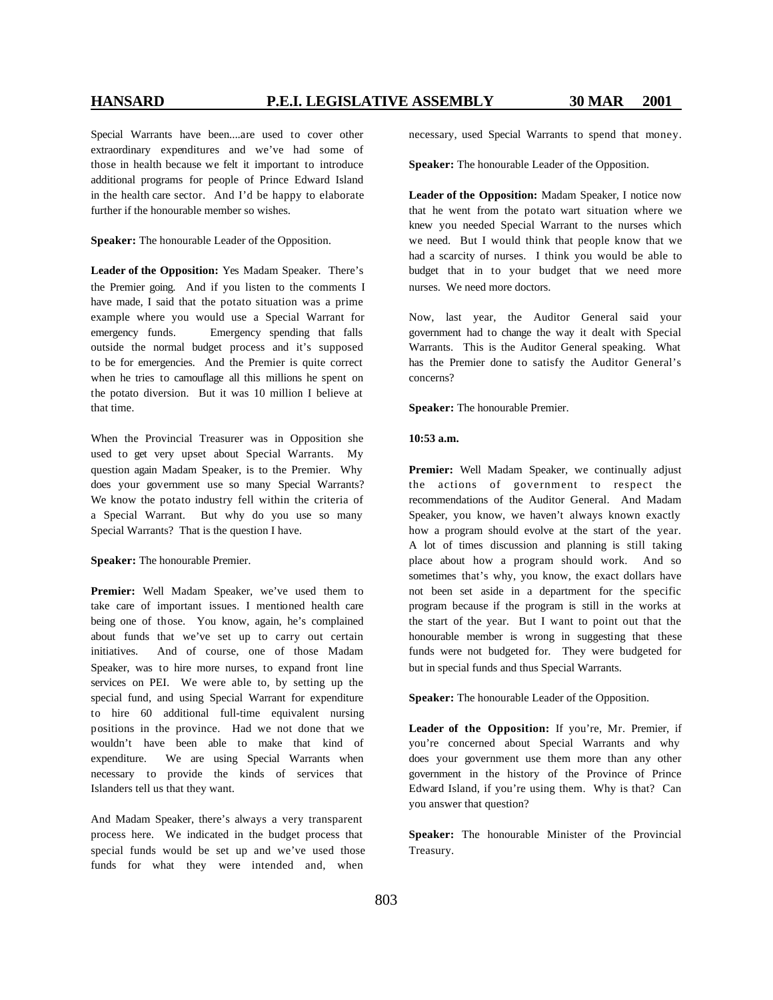Special Warrants have been....are used to cover other extraordinary expenditures and we've had some of those in health because we felt it important to introduce additional programs for people of Prince Edward Island in the health care sector. And I'd be happy to elaborate further if the honourable member so wishes.

**Speaker:** The honourable Leader of the Opposition.

**Leader of the Opposition:** Yes Madam Speaker. There's the Premier going. And if you listen to the comments I have made, I said that the potato situation was a prime example where you would use a Special Warrant for emergency funds. Emergency spending that falls outside the normal budget process and it's supposed to be for emergencies. And the Premier is quite correct when he tries to camouflage all this millions he spent on the potato diversion. But it was 10 million I believe at that time.

When the Provincial Treasurer was in Opposition she used to get very upset about Special Warrants. My question again Madam Speaker, is to the Premier. Why does your government use so many Special Warrants? We know the potato industry fell within the criteria of a Special Warrant. But why do you use so many Special Warrants? That is the question I have.

**Speaker:** The honourable Premier.

**Premier:** Well Madam Speaker, we've used them to take care of important issues. I mentioned health care being one of those. You know, again, he's complained about funds that we've set up to carry out certain initiatives. And of course, one of those Madam Speaker, was to hire more nurses, to expand front line services on PEI. We were able to, by setting up the special fund, and using Special Warrant for expenditure to hire 60 additional full-time equivalent nursing positions in the province. Had we not done that we wouldn't have been able to make that kind of expenditure. We are using Special Warrants when necessary to provide the kinds of services that Islanders tell us that they want.

And Madam Speaker, there's always a very transparent process here. We indicated in the budget process that special funds would be set up and we've used those funds for what they were intended and, when

necessary, used Special Warrants to spend that money.

**Speaker:** The honourable Leader of the Opposition.

**Leader of the Opposition:** Madam Speaker, I notice now that he went from the potato wart situation where we knew you needed Special Warrant to the nurses which we need. But I would think that people know that we had a scarcity of nurses. I think you would be able to budget that in to your budget that we need more nurses. We need more doctors.

Now, last year, the Auditor General said your government had to change the way it dealt with Special Warrants. This is the Auditor General speaking. What has the Premier done to satisfy the Auditor General's concerns?

**Speaker:** The honourable Premier.

### **10:53 a.m.**

**Premier:** Well Madam Speaker, we continually adjust the actions of government to respect the recommendations of the Auditor General. And Madam Speaker, you know, we haven't always known exactly how a program should evolve at the start of the year. A lot of times discussion and planning is still taking place about how a program should work. And so sometimes that's why, you know, the exact dollars have not been set aside in a department for the specific program because if the program is still in the works at the start of the year. But I want to point out that the honourable member is wrong in suggesting that these funds were not budgeted for. They were budgeted for but in special funds and thus Special Warrants.

**Speaker:** The honourable Leader of the Opposition.

**Leader of the Opposition:** If you're, Mr. Premier, if you're concerned about Special Warrants and why does your government use them more than any other government in the history of the Province of Prince Edward Island, if you're using them. Why is that? Can you answer that question?

**Speaker:** The honourable Minister of the Provincial Treasury.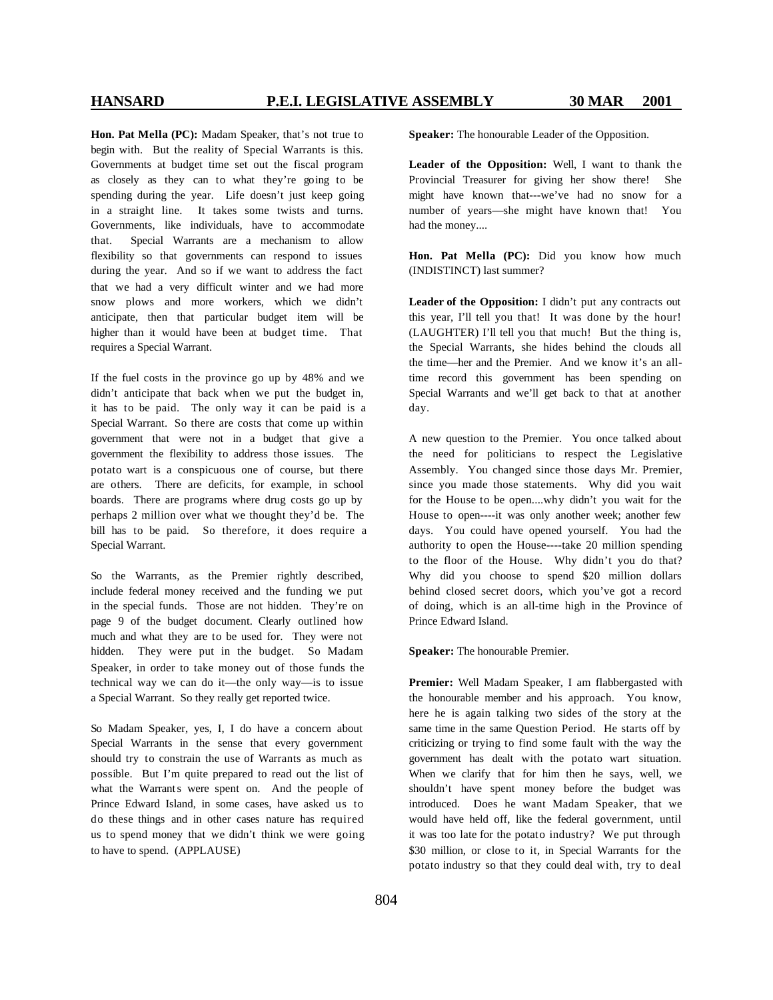**Hon. Pat Mella (PC):** Madam Speaker, that's not true to begin with. But the reality of Special Warrants is this. Governments at budget time set out the fiscal program as closely as they can to what they're going to be spending during the year. Life doesn't just keep going in a straight line. It takes some twists and turns. Governments, like individuals, have to accommodate that. Special Warrants are a mechanism to allow flexibility so that governments can respond to issues during the year. And so if we want to address the fact that we had a very difficult winter and we had more snow plows and more workers, which we didn't anticipate, then that particular budget item will be higher than it would have been at budget time. That requires a Special Warrant.

If the fuel costs in the province go up by 48% and we didn't anticipate that back when we put the budget in, it has to be paid. The only way it can be paid is a Special Warrant. So there are costs that come up within government that were not in a budget that give a government the flexibility to address those issues. The potato wart is a conspicuous one of course, but there are others. There are deficits, for example, in school boards. There are programs where drug costs go up by perhaps 2 million over what we thought they'd be. The bill has to be paid. So therefore, it does require a Special Warrant.

So the Warrants, as the Premier rightly described, include federal money received and the funding we put in the special funds. Those are not hidden. They're on page 9 of the budget document. Clearly outlined how much and what they are to be used for. They were not hidden. They were put in the budget. So Madam Speaker, in order to take money out of those funds the technical way we can do it—the only way—is to issue a Special Warrant. So they really get reported twice.

So Madam Speaker, yes, I, I do have a concern about Special Warrants in the sense that every government should try to constrain the use of Warrants as much as possible. But I'm quite prepared to read out the list of what the Warrants were spent on. And the people of Prince Edward Island, in some cases, have asked us to do these things and in other cases nature has required us to spend money that we didn't think we were going to have to spend. (APPLAUSE)

**Speaker:** The honourable Leader of the Opposition.

**Leader of the Opposition:** Well, I want to thank the Provincial Treasurer for giving her show there! She might have known that---we've had no snow for a number of years—she might have known that! You had the money....

**Hon. Pat Mella (PC):** Did you know how much (INDISTINCT) last summer?

**Leader of the Opposition:** I didn't put any contracts out this year, I'll tell you that! It was done by the hour! (LAUGHTER) I'll tell you that much! But the thing is, the Special Warrants, she hides behind the clouds all the time—her and the Premier. And we know it's an alltime record this government has been spending on Special Warrants and we'll get back to that at another day.

A new question to the Premier. You once talked about the need for politicians to respect the Legislative Assembly. You changed since those days Mr. Premier, since you made those statements. Why did you wait for the House to be open....why didn't you wait for the House to open----it was only another week; another few days. You could have opened yourself. You had the authority to open the House----take 20 million spending to the floor of the House. Why didn't you do that? Why did you choose to spend \$20 million dollars behind closed secret doors, which you've got a record of doing, which is an all-time high in the Province of Prince Edward Island.

**Speaker:** The honourable Premier.

**Premier:** Well Madam Speaker, I am flabbergasted with the honourable member and his approach. You know, here he is again talking two sides of the story at the same time in the same Question Period. He starts off by criticizing or trying to find some fault with the way the government has dealt with the potato wart situation. When we clarify that for him then he says, well, we shouldn't have spent money before the budget was introduced. Does he want Madam Speaker, that we would have held off, like the federal government, until it was too late for the potato industry? We put through \$30 million, or close to it, in Special Warrants for the potato industry so that they could deal with, try to deal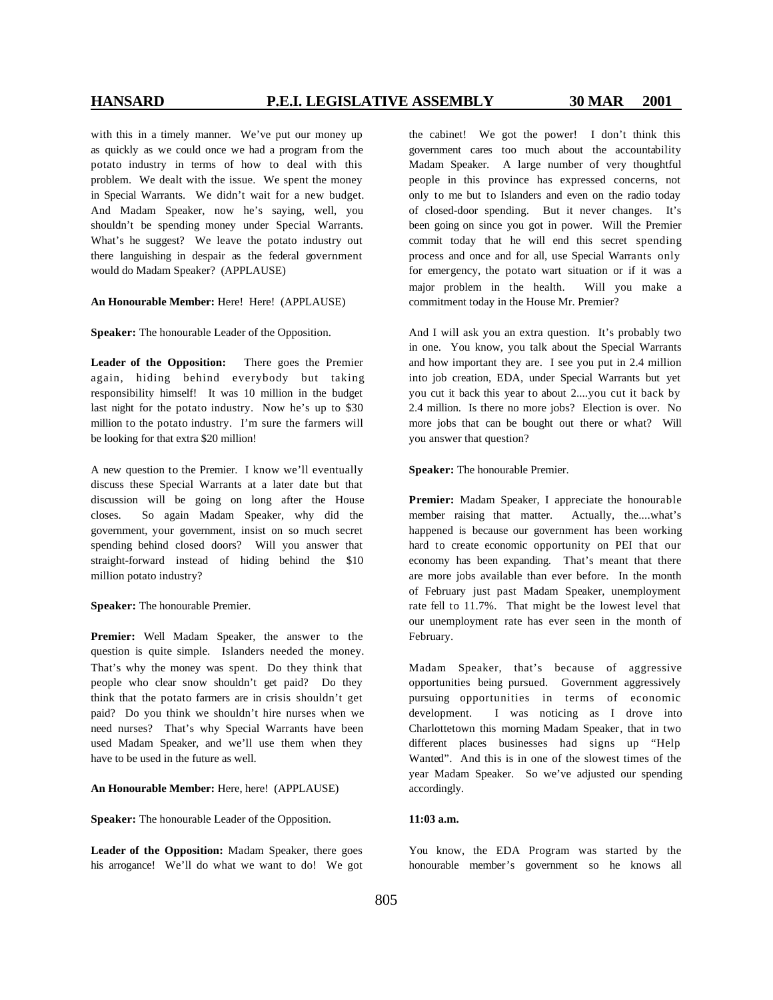with this in a timely manner. We've put our money up as quickly as we could once we had a program from the potato industry in terms of how to deal with this problem. We dealt with the issue. We spent the money in Special Warrants. We didn't wait for a new budget. And Madam Speaker, now he's saying, well, you shouldn't be spending money under Special Warrants. What's he suggest? We leave the potato industry out there languishing in despair as the federal government would do Madam Speaker? (APPLAUSE)

### **An Honourable Member:** Here! Here! (APPLAUSE)

**Speaker:** The honourable Leader of the Opposition.

**Leader of the Opposition:** There goes the Premier again, hiding behind everybody but taking responsibility himself! It was 10 million in the budget last night for the potato industry. Now he's up to \$30 million to the potato industry. I'm sure the farmers will be looking for that extra \$20 million!

A new question to the Premier. I know we'll eventually discuss these Special Warrants at a later date but that discussion will be going on long after the House closes. So again Madam Speaker, why did the government, your government, insist on so much secret spending behind closed doors? Will you answer that straight-forward instead of hiding behind the \$10 million potato industry?

**Speaker:** The honourable Premier.

**Premier:** Well Madam Speaker, the answer to the question is quite simple. Islanders needed the money. That's why the money was spent. Do they think that people who clear snow shouldn't get paid? Do they think that the potato farmers are in crisis shouldn't get paid? Do you think we shouldn't hire nurses when we need nurses? That's why Special Warrants have been used Madam Speaker, and we'll use them when they have to be used in the future as well.

**An Honourable Member:** Here, here! (APPLAUSE)

**Speaker:** The honourable Leader of the Opposition.

**Leader of the Opposition:** Madam Speaker, there goes his arrogance! We'll do what we want to do! We got

the cabinet! We got the power! I don't think this government cares too much about the accountability Madam Speaker. A large number of very thoughtful people in this province has expressed concerns, not only to me but to Islanders and even on the radio today of closed-door spending. But it never changes. It's been going on since you got in power. Will the Premier commit today that he will end this secret spending process and once and for all, use Special Warrants only for emergency, the potato wart situation or if it was a major problem in the health. Will you make a commitment today in the House Mr. Premier?

And I will ask you an extra question. It's probably two in one. You know, you talk about the Special Warrants and how important they are. I see you put in 2.4 million into job creation, EDA, under Special Warrants but yet you cut it back this year to about 2....you cut it back by 2.4 million. Is there no more jobs? Election is over. No more jobs that can be bought out there or what? Will you answer that question?

**Speaker:** The honourable Premier.

**Premier:** Madam Speaker, I appreciate the honourable member raising that matter. Actually, the....what's happened is because our government has been working hard to create economic opportunity on PEI that our economy has been expanding. That's meant that there are more jobs available than ever before. In the month of February just past Madam Speaker, unemployment rate fell to 11.7%. That might be the lowest level that our unemployment rate has ever seen in the month of February.

Madam Speaker, that's because of aggressive opportunities being pursued. Government aggressively pursuing opportunities in terms of economic development. I was noticing as I drove into Charlottetown this morning Madam Speaker, that in two different places businesses had signs up "Help Wanted". And this is in one of the slowest times of the year Madam Speaker. So we've adjusted our spending accordingly.

### **11:03 a.m.**

You know, the EDA Program was started by the honourable member's government so he knows all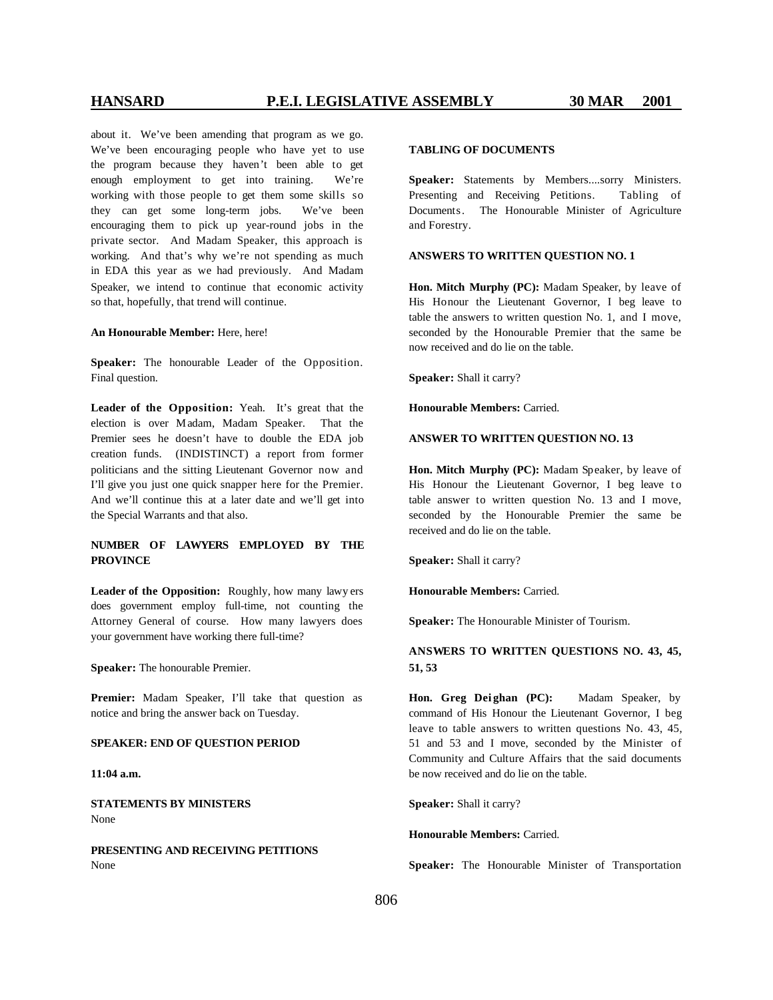about it. We've been amending that program as we go. We've been encouraging people who have yet to use the program because they haven't been able to get enough employment to get into training. We're working with those people to get them some skills so they can get some long-term jobs. We've been encouraging them to pick up year-round jobs in the private sector. And Madam Speaker, this approach is working. And that's why we're not spending as much in EDA this year as we had previously. And Madam Speaker, we intend to continue that economic activity so that, hopefully, that trend will continue.

### **An Honourable Member:** Here, here!

**Speaker:** The honourable Leader of the Opposition. Final question.

**Leader of the Opposition:** Yeah. It's great that the election is over M adam, Madam Speaker. That the Premier sees he doesn't have to double the EDA job creation funds. (INDISTINCT) a report from former politicians and the sitting Lieutenant Governor now and I'll give you just one quick snapper here for the Premier. And we'll continue this at a later date and we'll get into the Special Warrants and that also.

## **NUMBER OF LAWYERS EMPLOYED BY THE PROVINCE**

**Leader of the Opposition:** Roughly, how many lawy ers does government employ full-time, not counting the Attorney General of course. How many lawyers does your government have working there full-time?

**Speaker:** The honourable Premier.

**Premier:** Madam Speaker, I'll take that question as notice and bring the answer back on Tuesday.

### **SPEAKER: END OF QUESTION PERIOD**

**11:04 a.m.**

**STATEMENTS BY MINISTERS** None

**PRESENTING AND RECEIVING PETITIONS** None

### **TABLING OF DOCUMENTS**

**Speaker:** Statements by Members....sorry Ministers. Presenting and Receiving Petitions. Tabling of Documents. The Honourable Minister of Agriculture and Forestry.

### **ANSWERS TO WRITTEN QUESTION NO. 1**

**Hon. Mitch Murphy (PC):** Madam Speaker, by leave of His Honour the Lieutenant Governor, I beg leave to table the answers to written question No. 1, and I move, seconded by the Honourable Premier that the same be now received and do lie on the table.

**Speaker:** Shall it carry?

**Honourable Members:** Carried.

### **ANSWER TO WRITTEN QUESTION NO. 13**

**Hon. Mitch Murphy (PC):** Madam Speaker, by leave of His Honour the Lieutenant Governor, I beg leave to table answer to written question No. 13 and I move, seconded by the Honourable Premier the same be received and do lie on the table.

**Speaker:** Shall it carry?

**Honourable Members:** Carried.

**Speaker:** The Honourable Minister of Tourism.

**ANSWERS TO WRITTEN QUESTIONS NO. 43, 45, 51, 53**

**Hon. Greg Dei ghan (PC):** Madam Speaker, by command of His Honour the Lieutenant Governor, I beg leave to table answers to written questions No. 43, 45, 51 and 53 and I move, seconded by the Minister of Community and Culture Affairs that the said documents be now received and do lie on the table.

**Speaker:** Shall it carry?

**Honourable Members:** Carried.

**Speaker:** The Honourable Minister of Transportation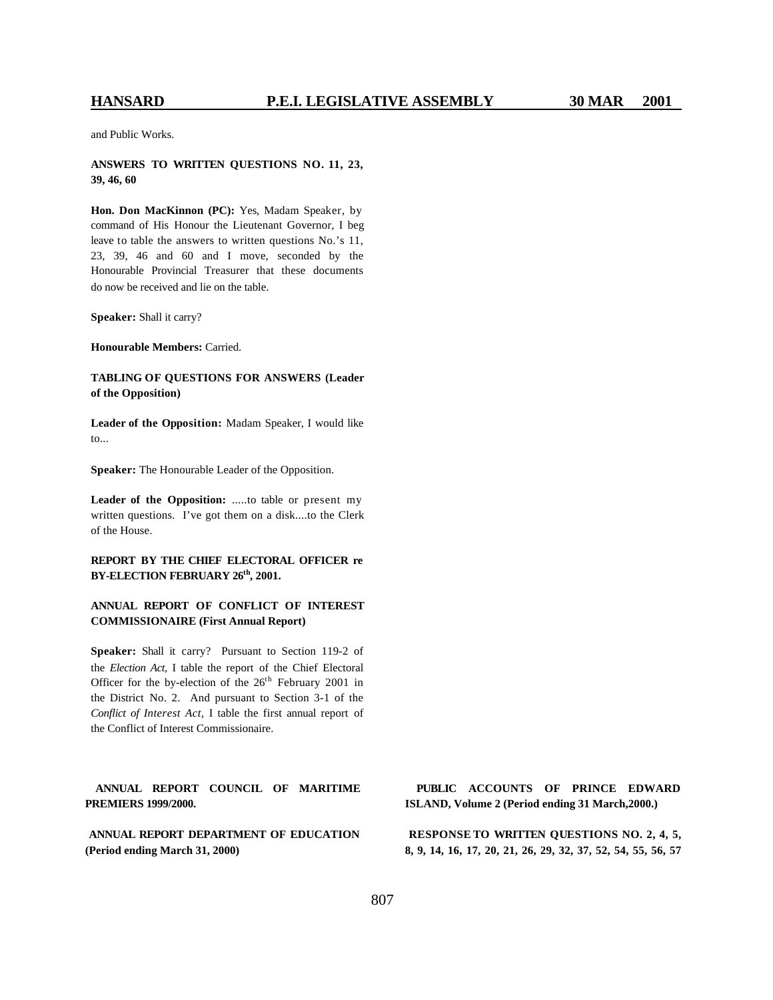and Public Works.

**ANSWERS TO WRITTEN QUESTIONS NO. 11, 23, 39, 46, 60**

**Hon. Don MacKinnon (PC):** Yes, Madam Speaker, by command of His Honour the Lieutenant Governor, I beg leave to table the answers to written questions No.'s 11, 23, 39, 46 and 60 and I move, seconded by the Honourable Provincial Treasurer that these documents do now be received and lie on the table.

**Speaker:** Shall it carry?

**Honourable Members:** Carried.

**TABLING OF QUESTIONS FOR ANSWERS (Leader of the Opposition)**

**Leader of the Opposition:** Madam Speaker, I would like to...

**Speaker:** The Honourable Leader of the Opposition.

**Leader of the Opposition:** .....to table or present my written questions. I've got them on a disk....to the Clerk of the House.

**REPORT BY THE CHIEF ELECTORAL OFFICER re BY-ELECTION FEBRUARY 26th, 2001.**

### **ANNUAL REPORT OF CONFLICT OF INTEREST COMMISSIONAIRE (First Annual Report)**

**Speaker:** Shall it carry? Pursuant to Section 119-2 of the *Election Act*, I table the report of the Chief Electoral Officer for the by-election of the  $26<sup>th</sup>$  February 2001 in the District No. 2. And pursuant to Section 3-1 of the *Conflict of Interest Act,* I table the first annual report of the Conflict of Interest Commissionaire.

**ANNUAL REPORT COUNCIL OF MARITIME PREMIERS 1999/2000.**

**ANNUAL REPORT DEPARTMENT OF EDUCATION (Period ending March 31, 2000)**

**PUBLIC ACCOUNTS OF PRINCE EDWARD ISLAND, Volume 2 (Period ending 31 March,2000.)**

**RESPONSE TO WRITTEN QUESTIONS NO. 2, 4, 5, 8, 9, 14, 16, 17, 20, 21, 26, 29, 32, 37, 52, 54, 55, 56, 57**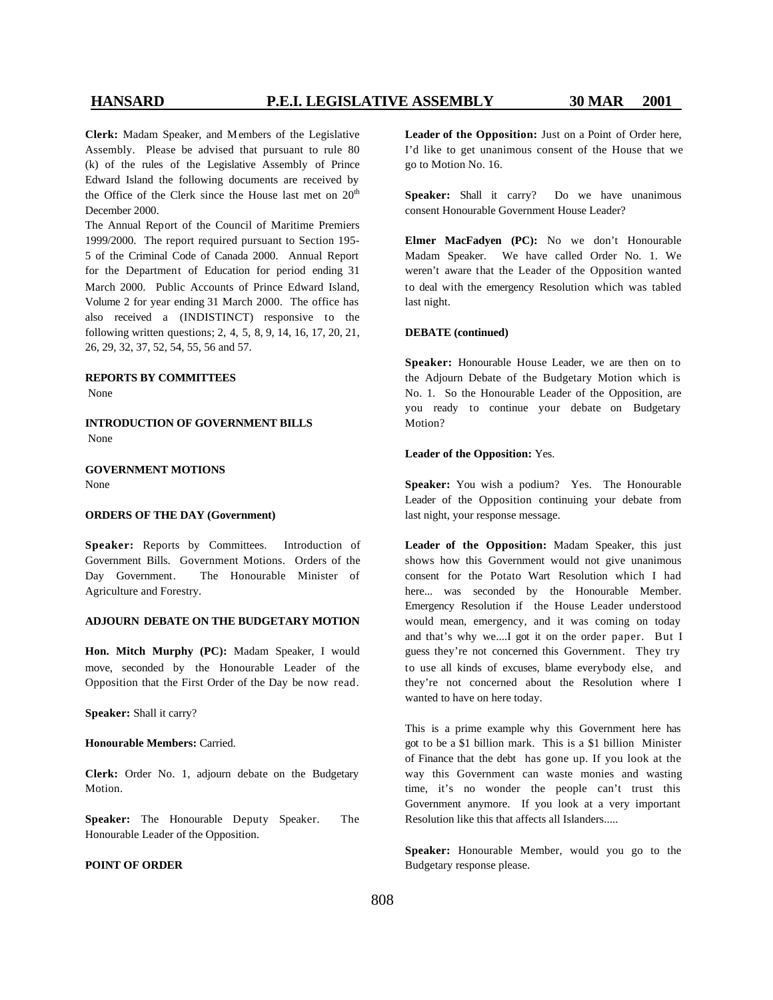**Clerk:** Madam Speaker, and M embers of the Legislative Assembly. Please be advised that pursuant to rule 80 (k) of the rules of the Legislative Assembly of Prince Edward Island the following documents are received by the Office of the Clerk since the House last met on  $20<sup>th</sup>$ December 2000.

The Annual Report of the Council of Maritime Premiers 1999/2000. The report required pursuant to Section 195- 5 of the Criminal Code of Canada 2000. Annual Report for the Department of Education for period ending 31 March 2000. Public Accounts of Prince Edward Island, Volume 2 for year ending 31 March 2000. The office has also received a (INDISTINCT) responsive to the following written questions; 2, 4, 5, 8, 9, 14, 16, 17, 20, 21, 26, 29, 32, 37, 52, 54, 55, 56 and 57.

### **REPORTS BY COMMITTEES**

None

**INTRODUCTION OF GOVERNMENT BILLS** None

**GOVERNMENT MOTIONS** None

### **ORDERS OF THE DAY (Government)**

Speaker: Reports by Committees. Introduction of Government Bills. Government Motions. Orders of the Day Government. The Honourable Minister of Agriculture and Forestry.

### **ADJOURN DEBATE ON THE BUDGETARY MOTION**

**Hon. Mitch Murphy (PC):** Madam Speaker, I would move, seconded by the Honourable Leader of the Opposition that the First Order of the Day be now read.

**Speaker:** Shall it carry?

**Honourable Members:** Carried.

**Clerk:** Order No. 1, adjourn debate on the Budgetary Motion.

**Speaker:** The Honourable Deputy Speaker. The Honourable Leader of the Opposition.

### **POINT OF ORDER**

**Leader of the Opposition:** Just on a Point of Order here, I'd like to get unanimous consent of the House that we go to Motion No. 16.

**Speaker:** Shall it carry? Do we have unanimous consent Honourable Government House Leader?

**Elmer MacFadyen (PC):** No we don't Honourable Madam Speaker. We have called Order No. 1. We weren't aware that the Leader of the Opposition wanted to deal with the emergency Resolution which was tabled last night.

### **DEBATE (continued)**

**Speaker:** Honourable House Leader, we are then on to the Adjourn Debate of the Budgetary Motion which is No. 1. So the Honourable Leader of the Opposition, are you ready to continue your debate on Budgetary Motion?

### **Leader of the Opposition:** Yes.

**Speaker:** You wish a podium? Yes. The Honourable Leader of the Opposition continuing your debate from last night, your response message.

**Leader of the Opposition:** Madam Speaker, this just shows how this Government would not give unanimous consent for the Potato Wart Resolution which I had here... was seconded by the Honourable Member. Emergency Resolution if the House Leader understood would mean, emergency, and it was coming on today and that's why we....I got it on the order paper. But I guess they're not concerned this Government. They try to use all kinds of excuses, blame everybody else, and they're not concerned about the Resolution where I wanted to have on here today.

This is a prime example why this Government here has got to be a \$1 billion mark. This is a \$1 billion Minister of Finance that the debt has gone up. If you look at the way this Government can waste monies and wasting time, it's no wonder the people can't trust this Government anymore. If you look at a very important Resolution like this that affects all Islanders.....

**Speaker:** Honourable Member, would you go to the Budgetary response please.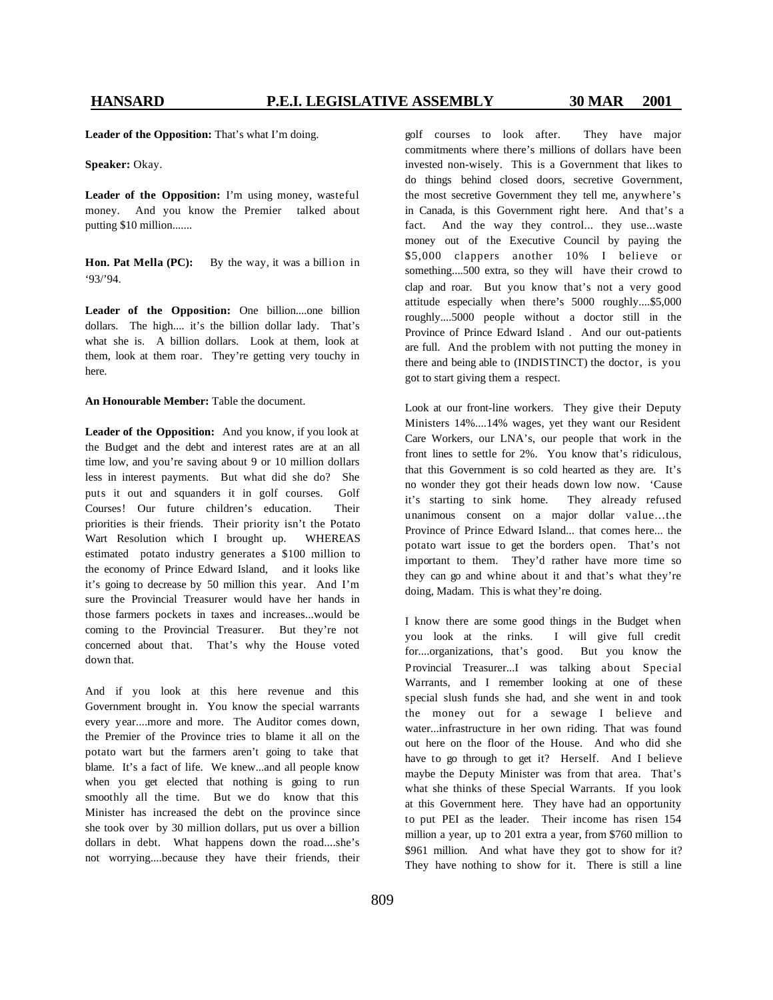**Leader of the Opposition:** That's what I'm doing.

**Speaker:** Okay.

**Leader of the Opposition:** I'm using money, wasteful money. And you know the Premier talked about putting \$10 million.......

**Hon. Pat Mella (PC):** By the way, it was <sup>a</sup> billion in '93/'94.

**Leader of the Opposition:** One billion....one billion dollars. The high.... it's the billion dollar lady. That's what she is. A billion dollars. Look at them, look at them, look at them roar. They're getting very touchy in here.

**An Honourable Member:** Table the document.

**Leader of the Opposition:** And you know, if you look at the Budget and the debt and interest rates are at an all time low, and you're saving about 9 or 10 million dollars less in interest payments. But what did she do? She puts it out and squanders it in golf courses. Golf Courses! Our future children's education. Their priorities is their friends. Their priority isn't the Potato Wart Resolution which I brought up. WHEREAS estimated potato industry generates a \$100 million to the economy of Prince Edward Island, and it looks like it's going to decrease by 50 million this year. And I'm sure the Provincial Treasurer would have her hands in those farmers pockets in taxes and increases...would be coming to the Provincial Treasurer. But they're not concerned about that. That's why the House voted down that.

And if you look at this here revenue and this Government brought in. You know the special warrants every year....more and more. The Auditor comes down, the Premier of the Province tries to blame it all on the potato wart but the farmers aren't going to take that blame. It's a fact of life. We knew...and all people know when you get elected that nothing is going to run smoothly all the time. But we do know that this Minister has increased the debt on the province since she took over by 30 million dollars, put us over a billion dollars in debt. What happens down the road....she's not worrying....because they have their friends, their

golf courses to look after. They have major commitments where there's millions of dollars have been invested non-wisely. This is a Government that likes to do things behind closed doors, secretive Government, the most secretive Government they tell me, anywhere's in Canada, is this Government right here. And that's a fact. And the way they control... they use...waste money out of the Executive Council by paying the \$5,000 clappers another 10% I believe or something....500 extra, so they will have their crowd to clap and roar. But you know that's not a very good attitude especially when there's 5000 roughly....\$5,000 roughly....5000 people without a doctor still in the Province of Prince Edward Island . And our out-patients are full. And the problem with not putting the money in there and being able to (INDISTINCT) the doctor, is you got to start giving them a respect.

Look at our front-line workers. They give their Deputy Ministers 14%....14% wages, yet they want our Resident Care Workers, our LNA's, our people that work in the front lines to settle for 2%. You know that's ridiculous, that this Government is so cold hearted as they are. It's no wonder they got their heads down low now. 'Cause it's starting to sink home. They already refused unanimous consent on a major dollar value...the Province of Prince Edward Island... that comes here... the potato wart issue to get the borders open. That's not important to them. They'd rather have more time so they can go and whine about it and that's what they're doing, Madam. This is what they're doing.

I know there are some good things in the Budget when you look at the rinks. I will give full credit for....organizations, that's good. But you know the Provincial Treasurer...I was talking about Special Warrants, and I remember looking at one of these special slush funds she had, and she went in and took the money out for a sewage I believe and water...infrastructure in her own riding. That was found out here on the floor of the House. And who did she have to go through to get it? Herself. And I believe maybe the Deputy Minister was from that area. That's what she thinks of these Special Warrants. If you look at this Government here. They have had an opportunity to put PEI as the leader. Their income has risen 154 million a year, up to 201 extra a year, from \$760 million to \$961 million. And what have they got to show for it? They have nothing to show for it. There is still a line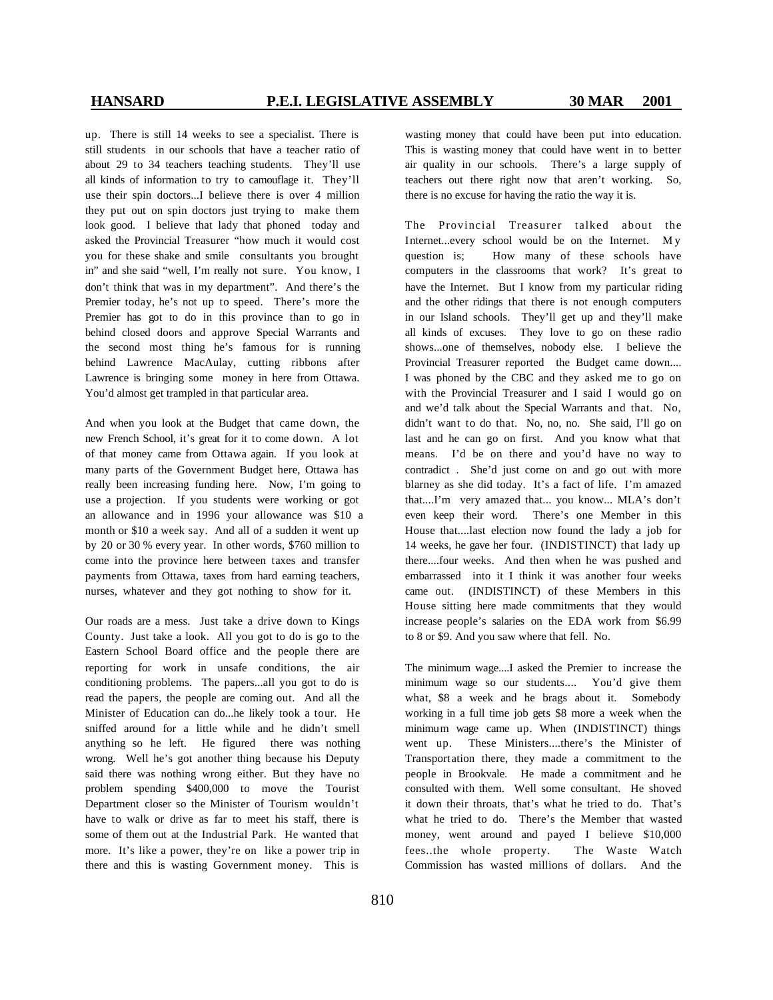up. There is still 14 weeks to see a specialist. There is still students in our schools that have a teacher ratio of about 29 to 34 teachers teaching students. They'll use all kinds of information to try to camouflage it. They'll use their spin doctors...I believe there is over 4 million they put out on spin doctors just trying to make them look good. I believe that lady that phoned today and asked the Provincial Treasurer "how much it would cost you for these shake and smile consultants you brought in" and she said "well, I'm really not sure. You know, I don't think that was in my department". And there's the Premier today, he's not up to speed. There's more the Premier has got to do in this province than to go in behind closed doors and approve Special Warrants and the second most thing he's famous for is running behind Lawrence MacAulay, cutting ribbons after Lawrence is bringing some money in here from Ottawa. You'd almost get trampled in that particular area.

And when you look at the Budget that came down, the new French School, it's great for it to come down. A lot of that money came from Ottawa again. If you look at many parts of the Government Budget here, Ottawa has really been increasing funding here. Now, I'm going to use a projection. If you students were working or got an allowance and in 1996 your allowance was \$10 a month or \$10 a week say. And all of a sudden it went up by 20 or 30 % every year. In other words, \$760 million to come into the province here between taxes and transfer payments from Ottawa, taxes from hard earning teachers, nurses, whatever and they got nothing to show for it.

Our roads are a mess. Just take a drive down to Kings County. Just take a look. All you got to do is go to the Eastern School Board office and the people there are reporting for work in unsafe conditions, the air conditioning problems. The papers...all you got to do is read the papers, the people are coming out. And all the Minister of Education can do...he likely took a tour. He sniffed around for a little while and he didn't smell anything so he left. He figured there was nothing wrong. Well he's got another thing because his Deputy said there was nothing wrong either. But they have no problem spending \$400,000 to move the Tourist Department closer so the Minister of Tourism wouldn't have to walk or drive as far to meet his staff, there is some of them out at the Industrial Park. He wanted that more. It's like a power, they're on like a power trip in there and this is wasting Government money. This is

wasting money that could have been put into education. This is wasting money that could have went in to better air quality in our schools. There's a large supply of teachers out there right now that aren't working. So, there is no excuse for having the ratio the way it is.

The Provincial Treasurer talked about the Internet...every school would be on the Internet. My question is; How many of these schools have computers in the classrooms that work? It's great to have the Internet. But I know from my particular riding and the other ridings that there is not enough computers in our Island schools. They'll get up and they'll make all kinds of excuses. They love to go on these radio shows...one of themselves, nobody else. I believe the Provincial Treasurer reported the Budget came down.... I was phoned by the CBC and they asked me to go on with the Provincial Treasurer and I said I would go on and we'd talk about the Special Warrants and that. No, didn't want to do that. No, no, no. She said, I'll go on last and he can go on first. And you know what that means. I'd be on there and you'd have no way to contradict . She'd just come on and go out with more blarney as she did today. It's a fact of life. I'm amazed that....I'm very amazed that... you know... MLA's don't even keep their word. There's one Member in this House that....last election now found the lady a job for 14 weeks, he gave her four. (INDISTINCT) that lady up there....four weeks. And then when he was pushed and embarrassed into it I think it was another four weeks came out. (INDISTINCT) of these Members in this House sitting here made commitments that they would increase people's salaries on the EDA work from \$6.99 to 8 or \$9. And you saw where that fell. No.

The minimum wage....I asked the Premier to increase the minimum wage so our students.... You'd give them what, \$8 a week and he brags about it. Somebody working in a full time job gets \$8 more a week when the minimum wage came up. When (INDISTINCT) things went up. These Ministers....there's the Minister of Transportation there, they made a commitment to the people in Brookvale. He made a commitment and he consulted with them. Well some consultant. He shoved it down their throats, that's what he tried to do. That's what he tried to do. There's the Member that wasted money, went around and payed I believe \$10,000 fees..the whole property. The Waste Watch Commission has wasted millions of dollars. And the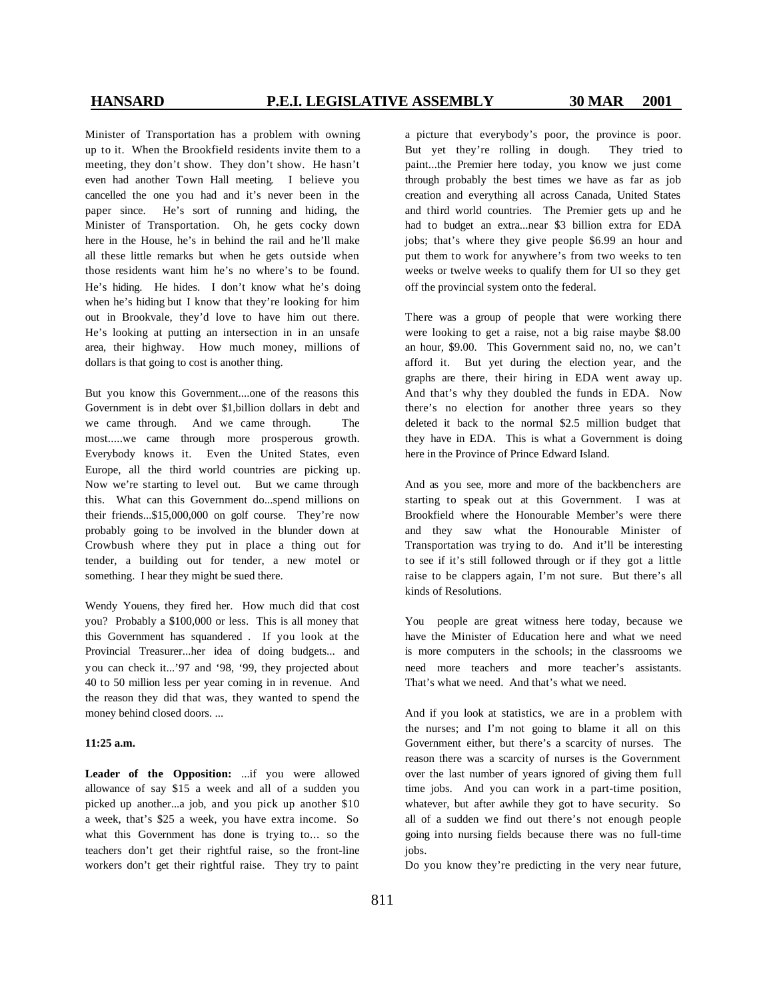Minister of Transportation has a problem with owning up to it. When the Brookfield residents invite them to a meeting, they don't show. They don't show. He hasn't even had another Town Hall meeting. I believe you cancelled the one you had and it's never been in the paper since. He's sort of running and hiding, the Minister of Transportation. Oh, he gets cocky down here in the House, he's in behind the rail and he'll make all these little remarks but when he gets outside when those residents want him he's no where's to be found. He's hiding. He hides. I don't know what he's doing when he's hiding but I know that they're looking for him out in Brookvale, they'd love to have him out there. He's looking at putting an intersection in in an unsafe area, their highway. How much money, millions of dollars is that going to cost is another thing.

But you know this Government....one of the reasons this Government is in debt over \$1,billion dollars in debt and we came through. And we came through. The most.....we came through more prosperous growth. Everybody knows it. Even the United States, even Europe, all the third world countries are picking up. Now we're starting to level out. But we came through this. What can this Government do...spend millions on their friends...\$15,000,000 on golf course. They're now probably going to be involved in the blunder down at Crowbush where they put in place a thing out for tender, a building out for tender, a new motel or something. I hear they might be sued there.

Wendy Youens, they fired her. How much did that cost you? Probably a \$100,000 or less. This is all money that this Government has squandered . If you look at the Provincial Treasurer...her idea of doing budgets... and you can check it...'97 and '98, '99, they projected about 40 to 50 million less per year coming in in revenue. And the reason they did that was, they wanted to spend the money behind closed doors. ...

### **11:25 a.m.**

**Leader of the Opposition:** ...if you were allowed allowance of say \$15 a week and all of a sudden you picked up another...a job, and you pick up another \$10 a week, that's \$25 a week, you have extra income. So what this Government has done is trying to... so the teachers don't get their rightful raise, so the front-line workers don't get their rightful raise. They try to paint a picture that everybody's poor, the province is poor. But yet they're rolling in dough. They tried to paint...the Premier here today, you know we just come through probably the best times we have as far as job creation and everything all across Canada, United States and third world countries. The Premier gets up and he had to budget an extra...near \$3 billion extra for EDA jobs; that's where they give people \$6.99 an hour and put them to work for anywhere's from two weeks to ten weeks or twelve weeks to qualify them for UI so they get off the provincial system onto the federal.

There was a group of people that were working there were looking to get a raise, not a big raise maybe \$8.00 an hour, \$9.00. This Government said no, no, we can't afford it. But yet during the election year, and the graphs are there, their hiring in EDA went away up. And that's why they doubled the funds in EDA. Now there's no election for another three years so they deleted it back to the normal \$2.5 million budget that they have in EDA. This is what a Government is doing here in the Province of Prince Edward Island.

And as you see, more and more of the backbenchers are starting to speak out at this Government. I was at Brookfield where the Honourable Member's were there and they saw what the Honourable Minister of Transportation was trying to do. And it'll be interesting to see if it's still followed through or if they got a little raise to be clappers again, I'm not sure. But there's all kinds of Resolutions.

You people are great witness here today, because we have the Minister of Education here and what we need is more computers in the schools; in the classrooms we need more teachers and more teacher's assistants. That's what we need. And that's what we need.

And if you look at statistics, we are in a problem with the nurses; and I'm not going to blame it all on this Government either, but there's a scarcity of nurses. The reason there was a scarcity of nurses is the Government over the last number of years ignored of giving them full time jobs. And you can work in a part-time position, whatever, but after awhile they got to have security. So all of a sudden we find out there's not enough people going into nursing fields because there was no full-time jobs.

Do you know they're predicting in the very near future,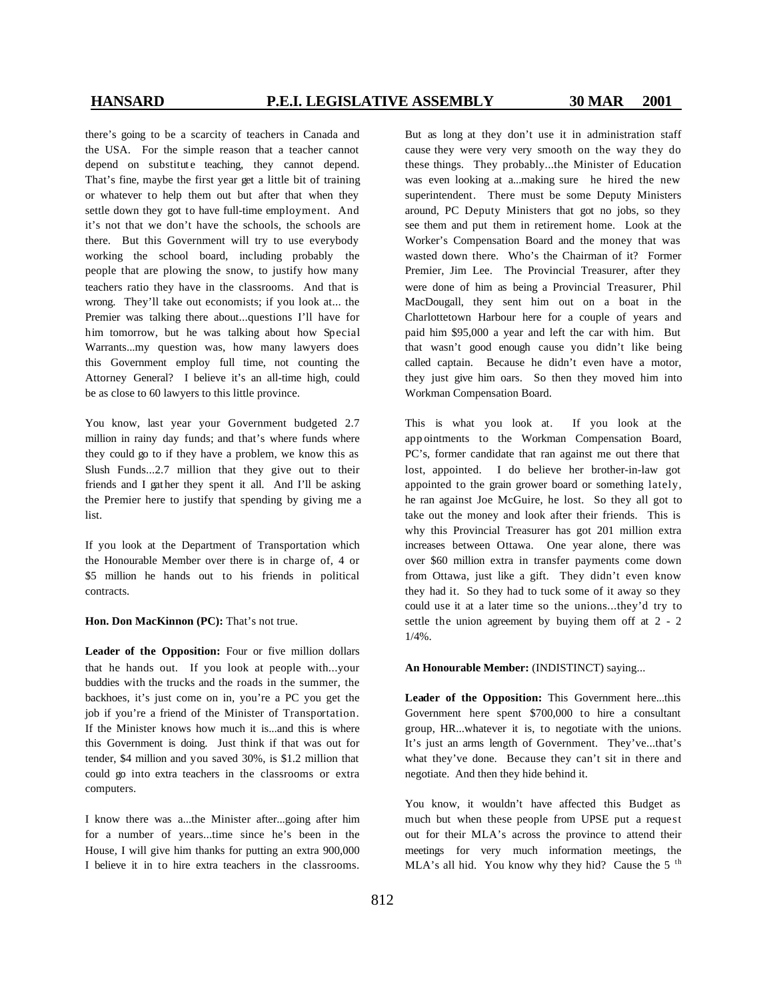there's going to be a scarcity of teachers in Canada and the USA. For the simple reason that a teacher cannot depend on substitute teaching, they cannot depend. That's fine, maybe the first year get a little bit of training or whatever to help them out but after that when they settle down they got to have full-time employment. And it's not that we don't have the schools, the schools are there. But this Government will try to use everybody working the school board, including probably the people that are plowing the snow, to justify how many teachers ratio they have in the classrooms. And that is wrong. They'll take out economists; if you look at... the Premier was talking there about...questions I'll have for him tomorrow, but he was talking about how Special Warrants...my question was, how many lawyers does this Government employ full time, not counting the Attorney General? I believe it's an all-time high, could be as close to 60 lawyers to this little province.

You know, last year your Government budgeted 2.7 million in rainy day funds; and that's where funds where they could go to if they have a problem, we know this as Slush Funds...2.7 million that they give out to their friends and I gat her they spent it all. And I'll be asking the Premier here to justify that spending by giving me a list.

If you look at the Department of Transportation which the Honourable Member over there is in charge of, 4 or \$5 million he hands out to his friends in political contracts.

**Hon. Don MacKinnon (PC):** That's not true.

**Leader of the Opposition:** Four or five million dollars that he hands out. If you look at people with...your buddies with the trucks and the roads in the summer, the backhoes, it's just come on in, you're a PC you get the job if you're a friend of the Minister of Transportation. If the Minister knows how much it is...and this is where this Government is doing. Just think if that was out for tender, \$4 million and you saved 30%, is \$1.2 million that could go into extra teachers in the classrooms or extra computers.

I know there was a...the Minister after...going after him for a number of years...time since he's been in the House, I will give him thanks for putting an extra 900,000 I believe it in to hire extra teachers in the classrooms. But as long at they don't use it in administration staff cause they were very very smooth on the way they do these things. They probably...the Minister of Education was even looking at a...making sure he hired the new superintendent. There must be some Deputy Ministers around, PC Deputy Ministers that got no jobs, so they see them and put them in retirement home. Look at the Worker's Compensation Board and the money that was wasted down there. Who's the Chairman of it? Former Premier, Jim Lee. The Provincial Treasurer, after they were done of him as being a Provincial Treasurer, Phil MacDougall, they sent him out on a boat in the Charlottetown Harbour here for a couple of years and paid him \$95,000 a year and left the car with him. But that wasn't good enough cause you didn't like being called captain. Because he didn't even have a motor, they just give him oars. So then they moved him into Workman Compensation Board.

This is what you look at. If you look at the app ointments to the Workman Compensation Board, PC's, former candidate that ran against me out there that lost, appointed. I do believe her brother-in-law got appointed to the grain grower board or something lately, he ran against Joe McGuire, he lost. So they all got to take out the money and look after their friends. This is why this Provincial Treasurer has got 201 million extra increases between Ottawa. One year alone, there was over \$60 million extra in transfer payments come down from Ottawa, just like a gift. They didn't even know they had it. So they had to tuck some of it away so they could use it at a later time so the unions...they'd try to settle the union agreement by buying them off at 2 - 2 1/4%.

### **An Honourable Member:** (INDISTINCT) saying...

**Leader of the Opposition:** This Government here...this Government here spent \$700,000 to hire a consultant group, HR...whatever it is, to negotiate with the unions. It's just an arms length of Government. They've...that's what they've done. Because they can't sit in there and negotiate. And then they hide behind it.

You know, it wouldn't have affected this Budget as much but when these people from UPSE put a request out for their MLA's across the province to attend their meetings for very much information meetings, the MLA's all hid. You know why they hid? Cause the  $5<sup>th</sup>$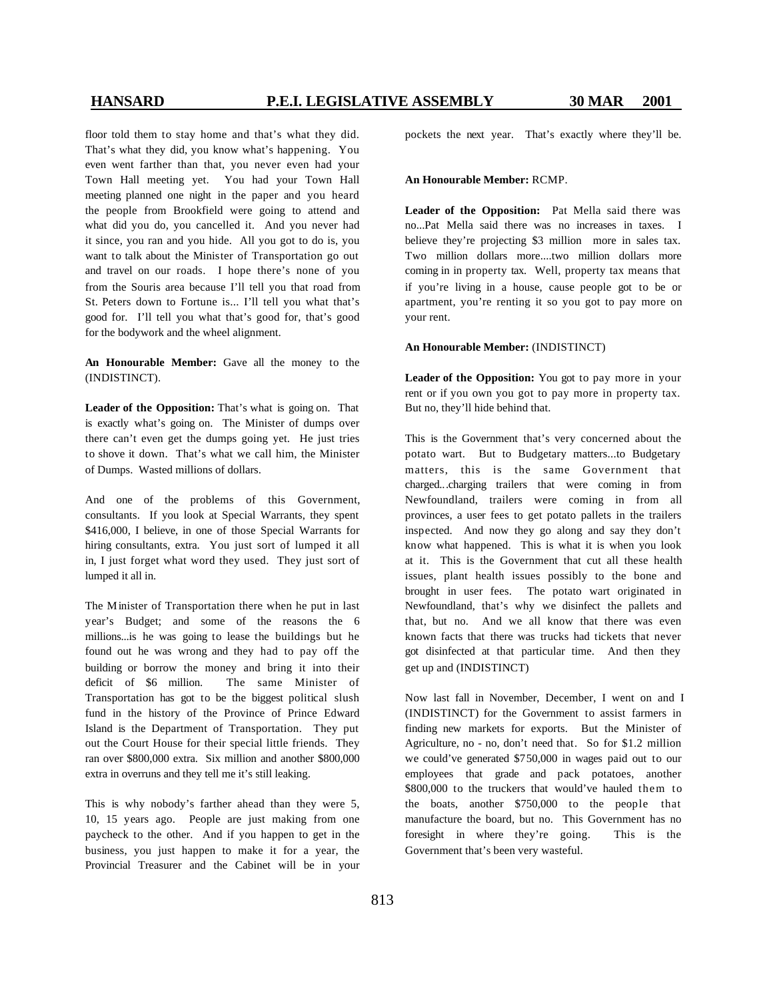floor told them to stay home and that's what they did. That's what they did, you know what's happening. You even went farther than that, you never even had your Town Hall meeting yet. You had your Town Hall meeting planned one night in the paper and you heard the people from Brookfield were going to attend and what did you do, you cancelled it. And you never had it since, you ran and you hide. All you got to do is, you want to talk about the Minister of Transportation go out and travel on our roads. I hope there's none of you from the Souris area because I'll tell you that road from St. Peters down to Fortune is... I'll tell you what that's good for. I'll tell you what that's good for, that's good for the bodywork and the wheel alignment.

**An Honourable Member:** Gave all the money to the (INDISTINCT).

**Leader of the Opposition:** That's what is going on. That is exactly what's going on. The Minister of dumps over there can't even get the dumps going yet. He just tries to shove it down. That's what we call him, the Minister of Dumps. Wasted millions of dollars.

And one of the problems of this Government, consultants. If you look at Special Warrants, they spent \$416,000, I believe, in one of those Special Warrants for hiring consultants, extra. You just sort of lumped it all in, I just forget what word they used. They just sort of lumped it all in.

The Minister of Transportation there when he put in last year's Budget; and some of the reasons the 6 millions...is he was going to lease the buildings but he found out he was wrong and they had to pay off the building or borrow the money and bring it into their deficit of \$6 million. The same Minister of Transportation has got to be the biggest political slush fund in the history of the Province of Prince Edward Island is the Department of Transportation. They put out the Court House for their special little friends. They ran over \$800,000 extra. Six million and another \$800,000 extra in overruns and they tell me it's still leaking.

This is why nobody's farther ahead than they were 5, 10, 15 years ago. People are just making from one paycheck to the other. And if you happen to get in the business, you just happen to make it for a year, the Provincial Treasurer and the Cabinet will be in your pockets the next year. That's exactly where they'll be.

### **An Honourable Member:** RCMP.

**Leader of the Opposition:** Pat Mella said there was no...Pat Mella said there was no increases in taxes. I believe they're projecting \$3 million more in sales tax. Two million dollars more....two million dollars more coming in in property tax. Well, property tax means that if you're living in a house, cause people got to be or apartment, you're renting it so you got to pay more on your rent.

### **An Honourable Member:** (INDISTINCT)

**Leader of the Opposition:** You got to pay more in your rent or if you own you got to pay more in property tax. But no, they'll hide behind that.

This is the Government that's very concerned about the potato wart. But to Budgetary matters...to Budgetary matters, this is the same Government that charged...charging trailers that were coming in from Newfoundland, trailers were coming in from all provinces, a user fees to get potato pallets in the trailers inspected. And now they go along and say they don't know what happened. This is what it is when you look at it. This is the Government that cut all these health issues, plant health issues possibly to the bone and brought in user fees. The potato wart originated in Newfoundland, that's why we disinfect the pallets and that, but no. And we all know that there was even known facts that there was trucks had tickets that never got disinfected at that particular time. And then they get up and (INDISTINCT)

Now last fall in November, December, I went on and I (INDISTINCT) for the Government to assist farmers in finding new markets for exports. But the Minister of Agriculture, no - no, don't need that. So for \$1.2 million we could've generated \$750,000 in wages paid out to our employees that grade and pack potatoes, another \$800,000 to the truckers that would've hauled them to the boats, another \$750,000 to the people that manufacture the board, but no. This Government has no foresight in where they're going. This is the Government that's been very wasteful.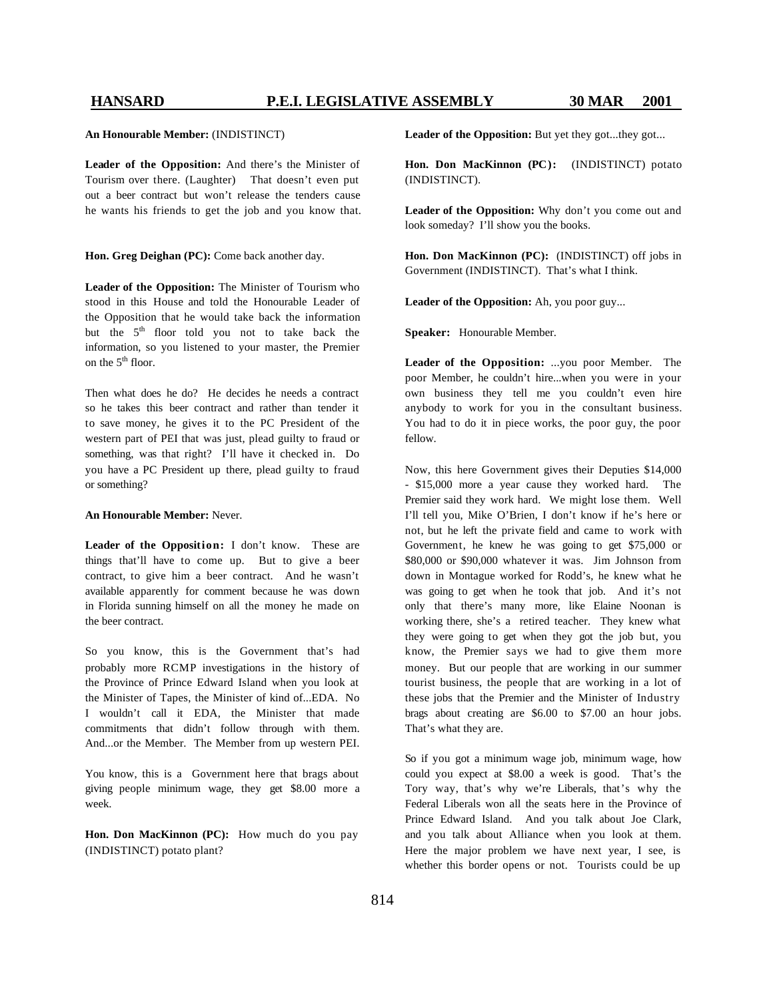### **An Honourable Member:** (INDISTINCT)

**Leader of the Opposition:** And there's the Minister of Tourism over there. (Laughter) That doesn't even put out a beer contract but won't release the tenders cause he wants his friends to get the job and you know that.

### **Hon. Greg Deighan (PC):** Come back another day.

**Leader of the Opposition:** The Minister of Tourism who stood in this House and told the Honourable Leader of the Opposition that he would take back the information but the 5<sup>th</sup> floor told you not to take back the information, so you listened to your master, the Premier on the  $5<sup>th</sup>$  floor.

Then what does he do? He decides he needs a contract so he takes this beer contract and rather than tender it to save money, he gives it to the PC President of the western part of PEI that was just, plead guilty to fraud or something, was that right? I'll have it checked in. Do you have a PC President up there, plead guilty to fraud or something?

### **An Honourable Member:** Never.

**Leader of the Opposition:** I don't know. These are things that'll have to come up. But to give a beer contract, to give him a beer contract. And he wasn't available apparently for comment because he was down in Florida sunning himself on all the money he made on the beer contract.

So you know, this is the Government that's had probably more RCMP investigations in the history of the Province of Prince Edward Island when you look at the Minister of Tapes, the Minister of kind of...EDA. No I wouldn't call it EDA, the Minister that made commitments that didn't follow through with them. And...or the Member. The Member from up western PEI.

You know, this is a Government here that brags about giving people minimum wage, they get \$8.00 more a week.

**Hon. Don MacKinnon (PC):** How much do you pay (INDISTINCT) potato plant?

Leader of the Opposition: But yet they got...they got...

**Hon. Don MacKinnon (PC):** (INDISTINCT) potato (INDISTINCT).

**Leader of the Opposition:** Why don't you come out and look someday? I'll show you the books.

**Hon. Don MacKinnon (PC):** (INDISTINCT) off jobs in Government (INDISTINCT). That's what I think.

**Leader of the Opposition:** Ah, you poor guy...

**Speaker:** Honourable Member.

**Leader of the Opposition:** ...you poor Member. The poor Member, he couldn't hire...when you were in your own business they tell me you couldn't even hire anybody to work for you in the consultant business. You had to do it in piece works, the poor guy, the poor fellow.

Now, this here Government gives their Deputies \$14,000 - \$15,000 more a year cause they worked hard. The Premier said they work hard. We might lose them. Well I'll tell you, Mike O'Brien, I don't know if he's here or not, but he left the private field and came to work with Government, he knew he was going to get \$75,000 or \$80,000 or \$90,000 whatever it was. Jim Johnson from down in Montague worked for Rodd's, he knew what he was going to get when he took that job. And it's not only that there's many more, like Elaine Noonan is working there, she's a retired teacher. They knew what they were going to get when they got the job but, you know, the Premier says we had to give them more money. But our people that are working in our summer tourist business, the people that are working in a lot of these jobs that the Premier and the Minister of Industry brags about creating are \$6.00 to \$7.00 an hour jobs. That's what they are.

So if you got a minimum wage job, minimum wage, how could you expect at \$8.00 a week is good. That's the Tory way, that's why we're Liberals, that's why the Federal Liberals won all the seats here in the Province of Prince Edward Island. And you talk about Joe Clark, and you talk about Alliance when you look at them. Here the major problem we have next year, I see, is whether this border opens or not. Tourists could be up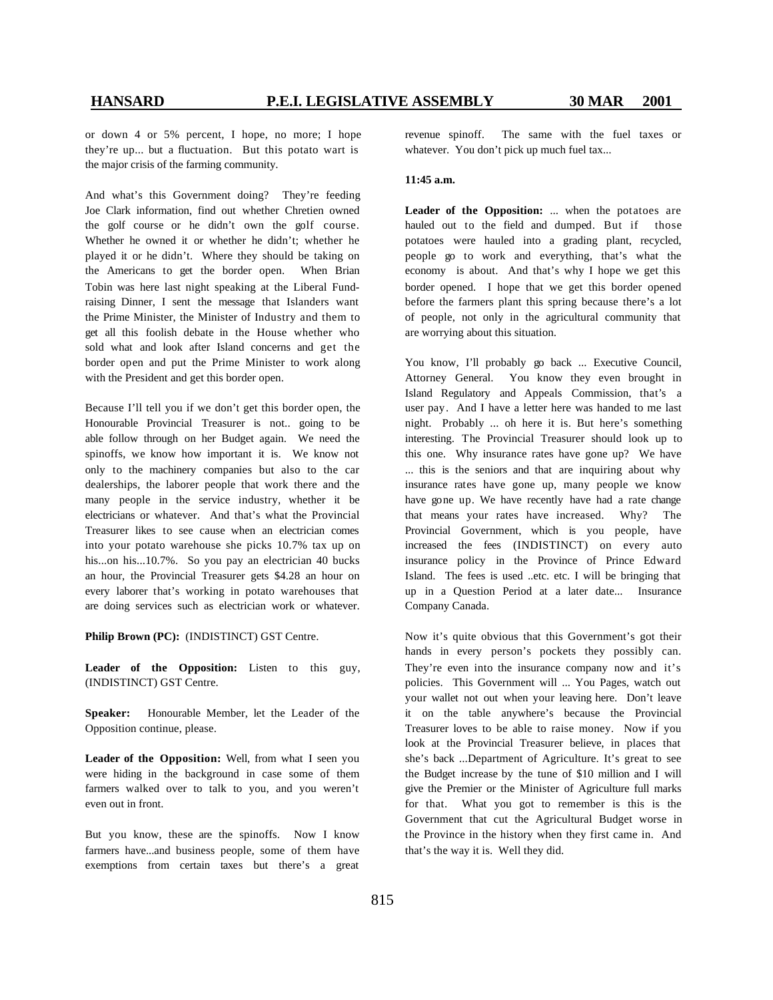or down 4 or 5% percent, I hope, no more; I hope they're up... but a fluctuation. But this potato wart is the major crisis of the farming community.

And what's this Government doing? They're feeding Joe Clark information, find out whether Chretien owned the golf course or he didn't own the golf course. Whether he owned it or whether he didn't; whether he played it or he didn't. Where they should be taking on the Americans to get the border open. When Brian Tobin was here last night speaking at the Liberal Fundraising Dinner, I sent the message that Islanders want the Prime Minister, the Minister of Industry and them to get all this foolish debate in the House whether who sold what and look after Island concerns and get the border open and put the Prime Minister to work along with the President and get this border open.

Because I'll tell you if we don't get this border open, the Honourable Provincial Treasurer is not.. going to be able follow through on her Budget again. We need the spinoffs, we know how important it is. We know not only to the machinery companies but also to the car dealerships, the laborer people that work there and the many people in the service industry, whether it be electricians or whatever. And that's what the Provincial Treasurer likes to see cause when an electrician comes into your potato warehouse she picks 10.7% tax up on his...on his...10.7%. So you pay an electrician 40 bucks an hour, the Provincial Treasurer gets \$4.28 an hour on every laborer that's working in potato warehouses that are doing services such as electrician work or whatever.

**Philip Brown (PC):** (INDISTINCT) GST Centre.

**Leader of the Opposition:** Listen to this guy, (INDISTINCT) GST Centre.

**Speaker:** Honourable Member, let the Leader of the Opposition continue, please.

**Leader of the Opposition:** Well, from what I seen you were hiding in the background in case some of them farmers walked over to talk to you, and you weren't even out in front.

But you know, these are the spinoffs. Now I know farmers have...and business people, some of them have exemptions from certain taxes but there's a great revenue spinoff. The same with the fuel taxes or whatever. You don't pick up much fuel tax...

### **11:45 a.m.**

**Leader of the Opposition:** ... when the potatoes are hauled out to the field and dumped. But if those potatoes were hauled into a grading plant, recycled, people go to work and everything, that's what the economy is about. And that's why I hope we get this border opened. I hope that we get this border opened before the farmers plant this spring because there's a lot of people, not only in the agricultural community that are worrying about this situation.

You know, I'll probably go back ... Executive Council, Attorney General. You know they even brought in Island Regulatory and Appeals Commission, that's a user pay. And I have a letter here was handed to me last night. Probably ... oh here it is. But here's something interesting. The Provincial Treasurer should look up to this one. Why insurance rates have gone up? We have ... this is the seniors and that are inquiring about why insurance rates have gone up, many people we know have gone up. We have recently have had a rate change that means your rates have increased. Why? The Provincial Government, which is you people, have increased the fees (INDISTINCT) on every auto insurance policy in the Province of Prince Edward Island. The fees is used ..etc. etc. I will be bringing that up in a Question Period at a later date... Insurance Company Canada.

Now it's quite obvious that this Government's got their hands in every person's pockets they possibly can. They're even into the insurance company now and it's policies. This Government will ... You Pages, watch out your wallet not out when your leaving here. Don't leave it on the table anywhere's because the Provincial Treasurer loves to be able to raise money. Now if you look at the Provincial Treasurer believe, in places that she's back ...Department of Agriculture. It's great to see the Budget increase by the tune of \$10 million and I will give the Premier or the Minister of Agriculture full marks for that. What you got to remember is this is the Government that cut the Agricultural Budget worse in the Province in the history when they first came in. And that's the way it is. Well they did.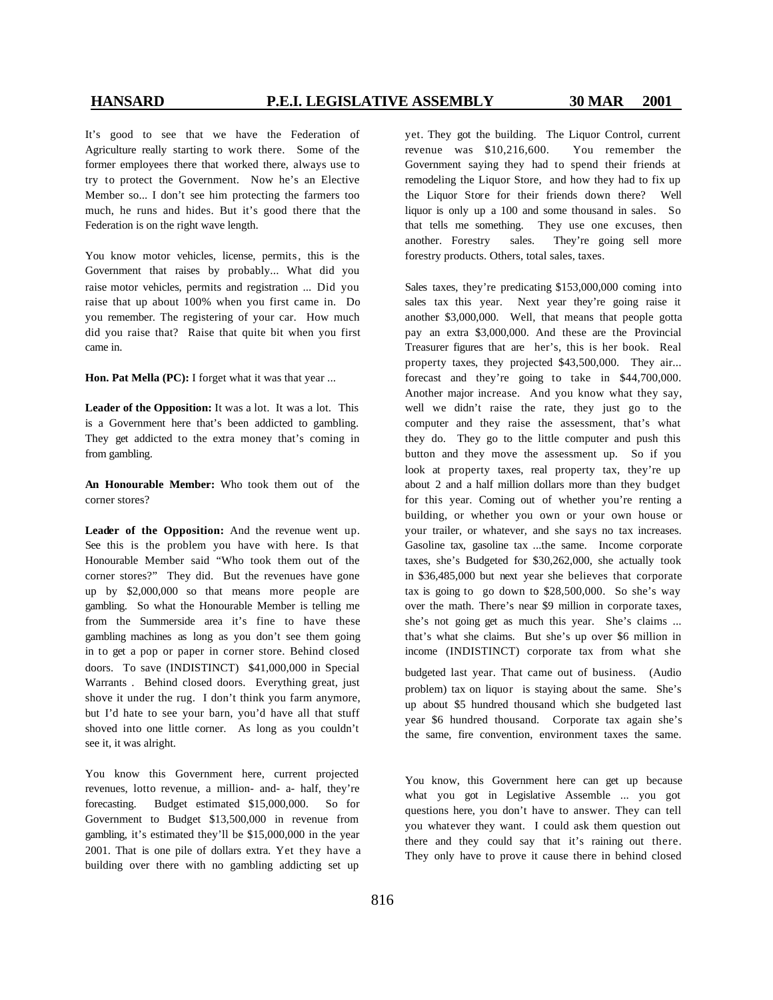It's good to see that we have the Federation of Agriculture really starting to work there. Some of the former employees there that worked there, always use to try to protect the Government. Now he's an Elective Member so... I don't see him protecting the farmers too much, he runs and hides. But it's good there that the Federation is on the right wave length.

You know motor vehicles, license, permits, this is the Government that raises by probably... What did you raise motor vehicles, permits and registration ... Did you raise that up about 100% when you first came in. Do you remember. The registering of your car. How much did you raise that? Raise that quite bit when you first came in.

**Hon. Pat Mella (PC):** I forget what it was that year ...

**Leader of the Opposition:** It was a lot. It was a lot. This is a Government here that's been addicted to gambling. They get addicted to the extra money that's coming in from gambling.

**An Honourable Member:** Who took them out of the corner stores?

**Leader of the Opposition:** And the revenue went up. See this is the problem you have with here. Is that Honourable Member said "Who took them out of the corner stores?" They did. But the revenues have gone up by \$2,000,000 so that means more people are gambling. So what the Honourable Member is telling me from the Summerside area it's fine to have these gambling machines as long as you don't see them going in to get a pop or paper in corner store. Behind closed doors. To save (INDISTINCT) \$41,000,000 in Special Warrants . Behind closed doors. Everything great, just shove it under the rug. I don't think you farm anymore, but I'd hate to see your barn, you'd have all that stuff shoved into one little corner. As long as you couldn't see it, it was alright.

You know this Government here, current projected revenues, lotto revenue, a million- and- a- half, they're forecasting. Budget estimated \$15,000,000. So for Government to Budget \$13,500,000 in revenue from gambling, it's estimated they'll be \$15,000,000 in the year 2001. That is one pile of dollars extra. Yet they have a building over there with no gambling addicting set up

yet. They got the building. The Liquor Control, current revenue was \$10,216,600. You remember the Government saying they had to spend their friends at remodeling the Liquor Store, and how they had to fix up the Liquor Store for their friends down there? Well liquor is only up a 100 and some thousand in sales. So that tells me something. They use one excuses, then another. Forestry sales. They're going sell more forestry products. Others, total sales, taxes.

Sales taxes, they're predicating \$153,000,000 coming into sales tax this year. Next year they're going raise it another \$3,000,000. Well, that means that people gotta pay an extra \$3,000,000. And these are the Provincial Treasurer figures that are her's, this is her book. Real property taxes, they projected \$43,500,000. They air... forecast and they're going to take in \$44,700,000. Another major increase. And you know what they say, well we didn't raise the rate, they just go to the computer and they raise the assessment, that's what they do. They go to the little computer and push this button and they move the assessment up. So if you look at property taxes, real property tax, they're up about 2 and a half million dollars more than they budget for this year. Coming out of whether you're renting a building, or whether you own or your own house or your trailer, or whatever, and she says no tax increases. Gasoline tax, gasoline tax ...the same. Income corporate taxes, she's Budgeted for \$30,262,000, she actually took in \$36,485,000 but next year she believes that corporate tax is going to go down to \$28,500,000. So she's way over the math. There's near \$9 million in corporate taxes, she's not going get as much this year. She's claims ... that's what she claims. But she's up over \$6 million in income (INDISTINCT) corporate tax from what she budgeted last year. That came out of business.(Audio problem) tax on liquor is staying about the same. She's up about \$5 hundred thousand which she budgeted last year \$6 hundred thousand. Corporate tax again she's

You know, this Government here can get up because what you got in Legislative Assemble ... you got questions here, you don't have to answer. They can tell you whatever they want. I could ask them question out there and they could say that it's raining out there. They only have to prove it cause there in behind closed

the same, fire convention, environment taxes the same.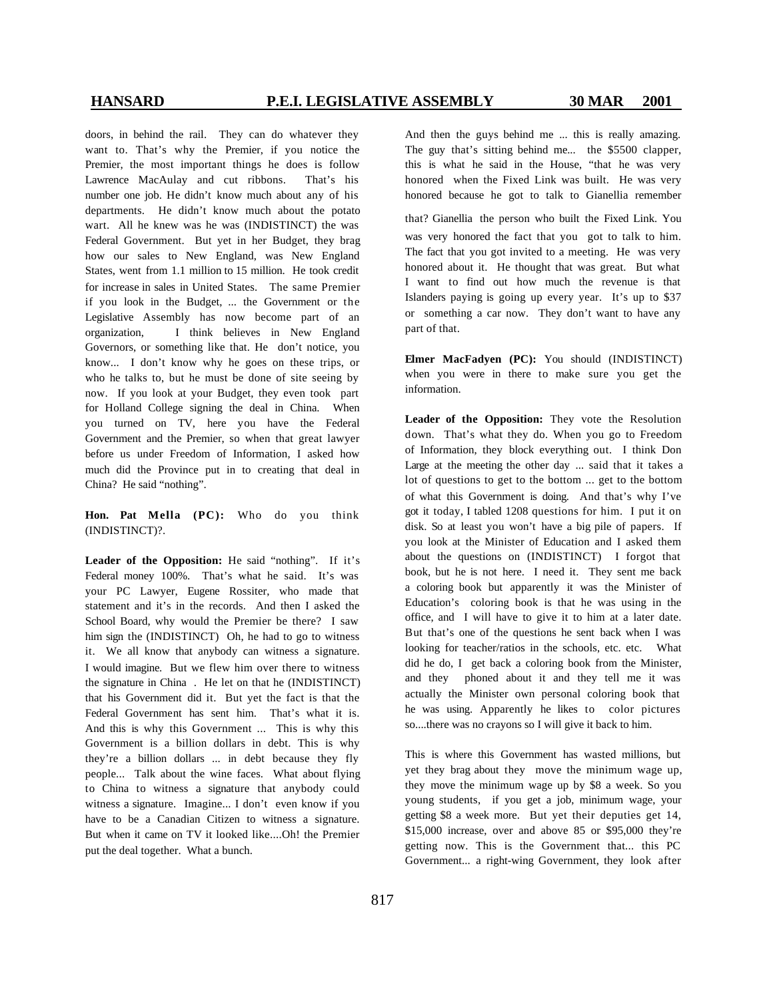doors, in behind the rail. They can do whatever they want to. That's why the Premier, if you notice the Premier, the most important things he does is follow Lawrence MacAulay and cut ribbons. That's his number one job. He didn't know much about any of his departments. He didn't know much about the potato wart. All he knew was he was (INDISTINCT) the was Federal Government. But yet in her Budget, they brag how our sales to New England, was New England States, went from 1.1 million to 15 million. He took credit for increase in sales in United States. The same Premier if you look in the Budget, ... the Government or the Legislative Assembly has now become part of an organization, I think believes in New England Governors, or something like that. He don't notice, you know... I don't know why he goes on these trips, or who he talks to, but he must be done of site seeing by now. If you look at your Budget, they even took part for Holland College signing the deal in China. When you turned on TV, here you have the Federal Government and the Premier, so when that great lawyer before us under Freedom of Information, I asked how much did the Province put in to creating that deal in China? He said "nothing".

**Hon. Pat Mella (PC):** Who do you think (INDISTINCT)?.

**Leader of the Opposition:** He said "nothing". If it's Federal money 100%. That's what he said. It's was your PC Lawyer, Eugene Rossiter, who made that statement and it's in the records. And then I asked the School Board, why would the Premier be there? I saw him sign the (INDISTINCT) Oh, he had to go to witness it. We all know that anybody can witness a signature. I would imagine. But we flew him over there to witness the signature in China . He let on that he (INDISTINCT) that his Government did it. But yet the fact is that the Federal Government has sent him. That's what it is. And this is why this Government ... This is why this Government is a billion dollars in debt. This is why they're a billion dollars ... in debt because they fly people... Talk about the wine faces. What about flying to China to witness a signature that anybody could witness a signature. Imagine... I don't even know if you have to be a Canadian Citizen to witness a signature. But when it came on TV it looked like....Oh! the Premier put the deal together. What a bunch.

And then the guys behind me ... this is really amazing. The guy that's sitting behind me... the \$5500 clapper, this is what he said in the House, "that he was very honored when the Fixed Link was built. He was very honored because he got to talk to Gianellia remember

that? Gianellia the person who built the Fixed Link. You was very honored the fact that you got to talk to him. The fact that you got invited to a meeting. He was very honored about it. He thought that was great. But what I want to find out how much the revenue is that Islanders paying is going up every year. It's up to \$37 or something a car now. They don't want to have any part of that.

**Elmer MacFadyen (PC):** You should (INDISTINCT) when you were in there to make sure you get the information.

**Leader of the Opposition:** They vote the Resolution down. That's what they do. When you go to Freedom of Information, they block everything out. I think Don Large at the meeting the other day ... said that it takes a lot of questions to get to the bottom ... get to the bottom of what this Government is doing. And that's why I've got it today, I tabled 1208 questions for him. I put it on disk. So at least you won't have a big pile of papers. If you look at the Minister of Education and I asked them about the questions on (INDISTINCT) I forgot that book, but he is not here. I need it. They sent me back a coloring book but apparently it was the Minister of Education's coloring book is that he was using in the office, and I will have to give it to him at a later date. But that's one of the questions he sent back when I was looking for teacher/ratios in the schools, etc. etc. What did he do, I get back a coloring book from the Minister, and they phoned about it and they tell me it was actually the Minister own personal coloring book that he was using. Apparently he likes to color pictures so....there was no crayons so I will give it back to him.

This is where this Government has wasted millions, but yet they brag about they move the minimum wage up, they move the minimum wage up by \$8 a week. So you young students, if you get a job, minimum wage, your getting \$8 a week more. But yet their deputies get 14, \$15,000 increase, over and above 85 or \$95,000 they're getting now. This is the Government that... this PC Government... a right-wing Government, they look after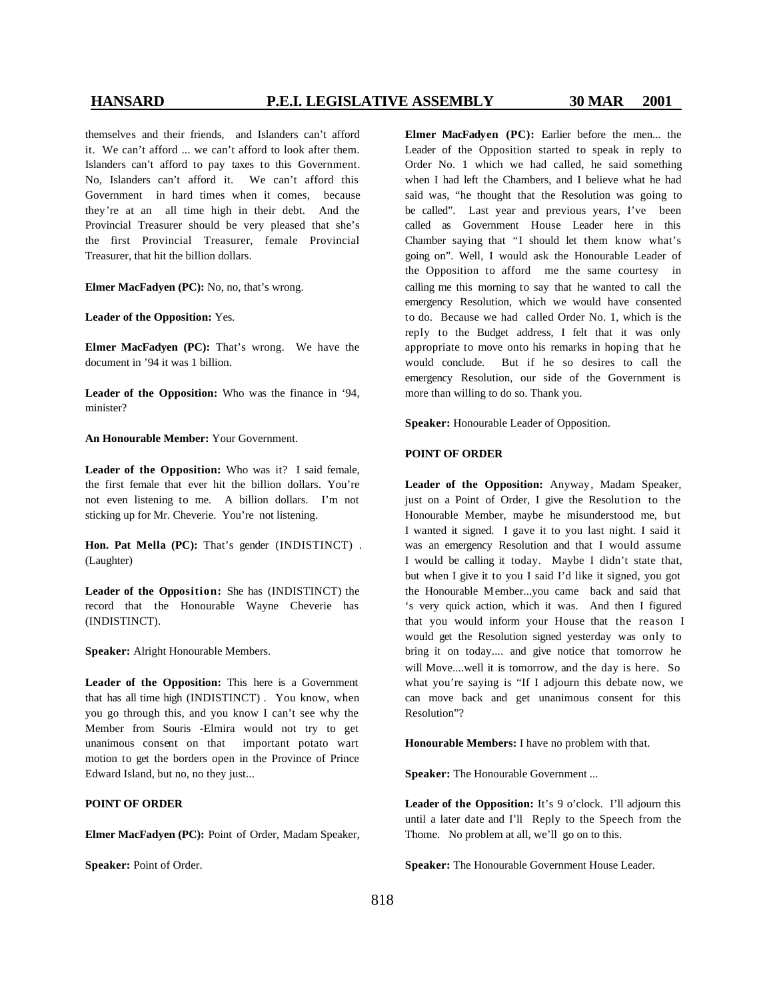themselves and their friends, and Islanders can't afford it. We can't afford ... we can't afford to look after them. Islanders can't afford to pay taxes to this Government. No, Islanders can't afford it. We can't afford this Government in hard times when it comes, because they're at an all time high in their debt. And the Provincial Treasurer should be very pleased that she's the first Provincial Treasurer, female Provincial Treasurer, that hit the billion dollars.

**Elmer MacFadyen (PC):** No, no, that's wrong.

**Leader of the Opposition:** Yes.

**Elmer MacFadyen (PC):** That's wrong. We have the document in '94 it was 1 billion.

**Leader of the Opposition:** Who was the finance in '94, minister?

**An Honourable Member:** Your Government.

**Leader of the Opposition:** Who was it? I said female, the first female that ever hit the billion dollars. You're not even listening to me. A billion dollars. I'm not sticking up for Mr. Cheverie. You're not listening.

**Hon. Pat Mella (PC):** That's gender (INDISTINCT) . (Laughter)

**Leader of the Opposition:** She has (INDISTINCT) the record that the Honourable Wayne Cheverie has (INDISTINCT).

**Speaker:** Alright Honourable Members.

**Leader of the Opposition:** This here is a Government that has all time high (INDISTINCT) . You know, when you go through this, and you know I can't see why the Member from Souris -Elmira would not try to get unanimous consent on that important potato wart motion to get the borders open in the Province of Prince Edward Island, but no, no they just...

### **POINT OF ORDER**

**Elmer MacFadyen (PC):** Point of Order, Madam Speaker,

**Speaker:** Point of Order.

**Elmer MacFadyen (PC):** Earlier before the men... the Leader of the Opposition started to speak in reply to Order No. 1 which we had called, he said something when I had left the Chambers, and I believe what he had said was, "he thought that the Resolution was going to be called". Last year and previous years, I've been called as Government House Leader here in this Chamber saying that "I should let them know what's going on". Well, I would ask the Honourable Leader of the Opposition to afford me the same courtesy in calling me this morning to say that he wanted to call the emergency Resolution, which we would have consented to do. Because we had called Order No. 1, which is the reply to the Budget address, I felt that it was only appropriate to move onto his remarks in hoping that he would conclude. But if he so desires to call the emergency Resolution, our side of the Government is more than willing to do so. Thank you.

**Speaker:** Honourable Leader of Opposition.

### **POINT OF ORDER**

**Leader of the Opposition:** Anyway, Madam Speaker, just on a Point of Order, I give the Resolution to the Honourable Member, maybe he misunderstood me, but I wanted it signed. I gave it to you last night. I said it was an emergency Resolution and that I would assume I would be calling it today. Maybe I didn't state that, but when I give it to you I said I'd like it signed, you got the Honourable Member...you came back and said that 's very quick action, which it was. And then I figured that you would inform your House that the reason I would get the Resolution signed yesterday was only to bring it on today.... and give notice that tomorrow he will Move....well it is tomorrow, and the day is here. So what you're saying is "If I adjourn this debate now, we can move back and get unanimous consent for this Resolution"?

**Honourable Members:** I have no problem with that.

**Speaker:** The Honourable Government ...

**Leader of the Opposition:** It's 9 o'clock. I'll adjourn this until a later date and I'll Reply to the Speech from the Thome. No problem at all, we'll go on to this.

**Speaker:** The Honourable Government House Leader.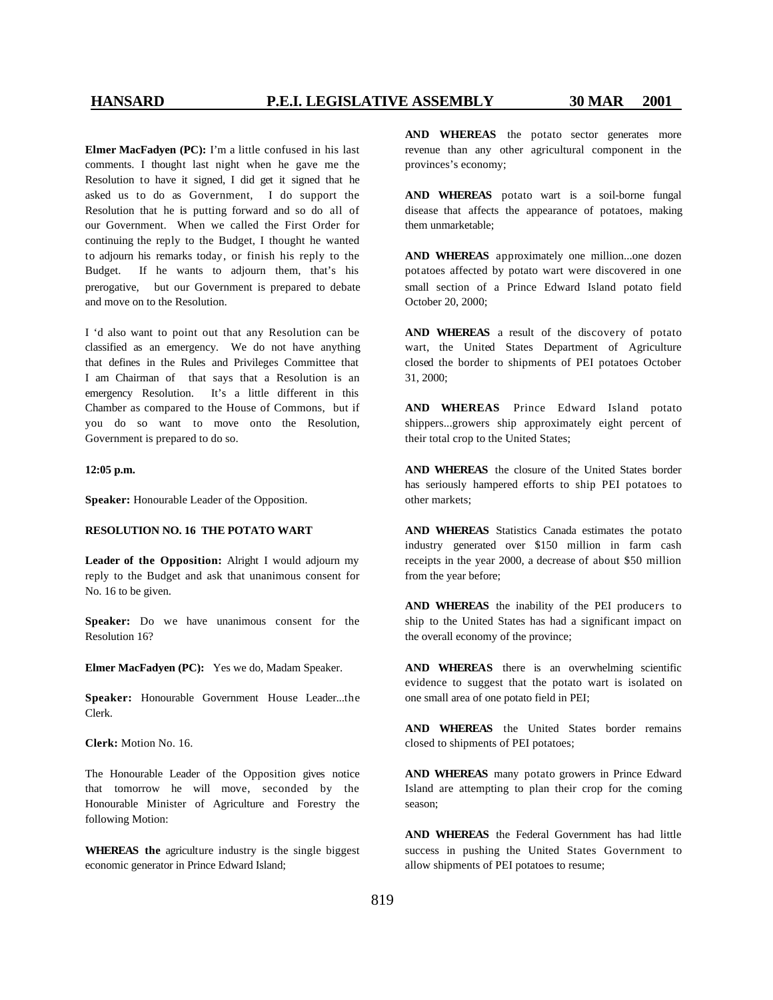**Elmer MacFadyen (PC):** I'm a little confused in his last comments. I thought last night when he gave me the Resolution to have it signed, I did get it signed that he asked us to do as Government, I do support the Resolution that he is putting forward and so do all of our Government. When we called the First Order for continuing the reply to the Budget, I thought he wanted to adjourn his remarks today, or finish his reply to the Budget. If he wants to adjourn them, that's his prerogative, but our Government is prepared to debate and move on to the Resolution.

I 'd also want to point out that any Resolution can be classified as an emergency. We do not have anything that defines in the Rules and Privileges Committee that I am Chairman of that says that a Resolution is an emergency Resolution. It's a little different in this Chamber as compared to the House of Commons, but if you do so want to move onto the Resolution, Government is prepared to do so.

### **12:05 p.m.**

**Speaker:** Honourable Leader of the Opposition.

### **RESOLUTION NO. 16 THE POTATO WART**

**Leader of the Opposition:** Alright I would adjourn my reply to the Budget and ask that unanimous consent for No. 16 to be given.

**Speaker:** Do we have unanimous consent for the Resolution 16?

**Elmer MacFadyen (PC):** Yes we do, Madam Speaker.

**Speaker:** Honourable Government House Leader...the Clerk.

**Clerk:** Motion No. 16.

The Honourable Leader of the Opposition gives notice that tomorrow he will move, seconded by the Honourable Minister of Agriculture and Forestry the following Motion:

**WHEREAS the** agriculture industry is the single biggest economic generator in Prince Edward Island;

**AND WHEREAS** the potato sector generates more revenue than any other agricultural component in the provinces's economy;

**AND WHEREAS** potato wart is a soil-borne fungal disease that affects the appearance of potatoes, making them unmarketable;

**AND WHEREAS** approximately one million...one dozen potatoes affected by potato wart were discovered in one small section of a Prince Edward Island potato field October 20, 2000;

**AND WHEREAS** a result of the discovery of potato wart, the United States Department of Agriculture closed the border to shipments of PEI potatoes October 31, 2000;

**AND WHEREAS** Prince Edward Island potato shippers...growers ship approximately eight percent of their total crop to the United States;

**AND WHEREAS** the closure of the United States border has seriously hampered efforts to ship PEI potatoes to other markets;

**AND WHEREAS** Statistics Canada estimates the potato industry generated over \$150 million in farm cash receipts in the year 2000, a decrease of about \$50 million from the year before;

**AND WHEREAS** the inability of the PEI producers to ship to the United States has had a significant impact on the overall economy of the province;

**AND WHEREAS** there is an overwhelming scientific evidence to suggest that the potato wart is isolated on one small area of one potato field in PEI;

**AND WHEREAS** the United States border remains closed to shipments of PEI potatoes;

**AND WHEREAS** many potato growers in Prince Edward Island are attempting to plan their crop for the coming season;

**AND WHEREAS** the Federal Government has had little success in pushing the United States Government to allow shipments of PEI potatoes to resume;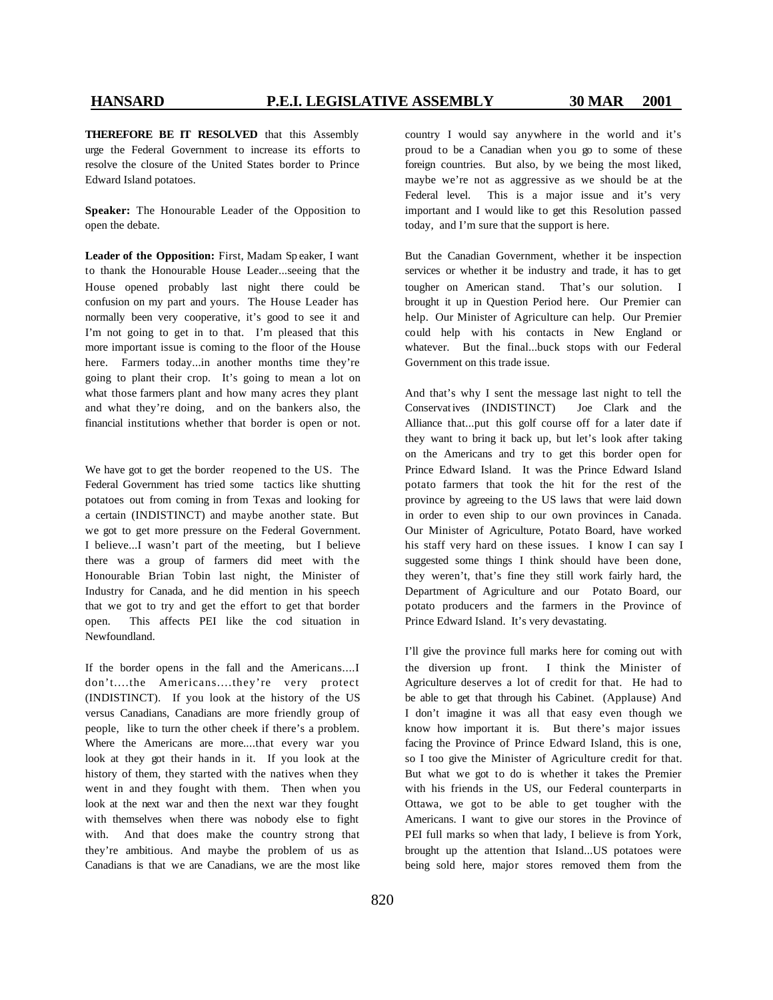**THEREFORE BE IT RESOLVED** that this Assembly urge the Federal Government to increase its efforts to resolve the closure of the United States border to Prince Edward Island potatoes.

**Speaker:** The Honourable Leader of the Opposition to open the debate.

**Leader of the Opposition:** First, Madam Sp eaker, I want to thank the Honourable House Leader...seeing that the House opened probably last night there could be confusion on my part and yours. The House Leader has normally been very cooperative, it's good to see it and I'm not going to get in to that. I'm pleased that this more important issue is coming to the floor of the House here. Farmers today...in another months time they're going to plant their crop. It's going to mean a lot on what those farmers plant and how many acres they plant and what they're doing, and on the bankers also, the financial institutions whether that border is open or not.

We have got to get the border reopened to the US. The Federal Government has tried some tactics like shutting potatoes out from coming in from Texas and looking for a certain (INDISTINCT) and maybe another state. But we got to get more pressure on the Federal Government. I believe...I wasn't part of the meeting, but I believe there was a group of farmers did meet with the Honourable Brian Tobin last night, the Minister of Industry for Canada, and he did mention in his speech that we got to try and get the effort to get that border open. This affects PEI like the cod situation in Newfoundland.

If the border opens in the fall and the Americans....I don't....the Americans....they're very protect (INDISTINCT). If you look at the history of the US versus Canadians, Canadians are more friendly group of people, like to turn the other cheek if there's a problem. Where the Americans are more....that every war you look at they got their hands in it. If you look at the history of them, they started with the natives when they went in and they fought with them. Then when you look at the next war and then the next war they fought with themselves when there was nobody else to fight with. And that does make the country strong that they're ambitious. And maybe the problem of us as Canadians is that we are Canadians, we are the most like

country I would say anywhere in the world and it's proud to be a Canadian when you go to some of these foreign countries. But also, by we being the most liked, maybe we're not as aggressive as we should be at the Federal level. This is a major issue and it's very important and I would like to get this Resolution passed today, and I'm sure that the support is here.

But the Canadian Government, whether it be inspection services or whether it be industry and trade, it has to get tougher on American stand. That's our solution. I brought it up in Question Period here. Our Premier can help. Our Minister of Agriculture can help. Our Premier could help with his contacts in New England or whatever. But the final...buck stops with our Federal Government on this trade issue.

And that's why I sent the message last night to tell the Conservatives (INDISTINCT) Joe Clark and the Alliance that...put this golf course off for a later date if they want to bring it back up, but let's look after taking on the Americans and try to get this border open for Prince Edward Island. It was the Prince Edward Island potato farmers that took the hit for the rest of the province by agreeing to the US laws that were laid down in order to even ship to our own provinces in Canada. Our Minister of Agriculture, Potato Board, have worked his staff very hard on these issues. I know I can say I suggested some things I think should have been done, they weren't, that's fine they still work fairly hard, the Department of Agriculture and our Potato Board, our potato producers and the farmers in the Province of Prince Edward Island. It's very devastating.

I'll give the province full marks here for coming out with the diversion up front. I think the Minister of Agriculture deserves a lot of credit for that. He had to be able to get that through his Cabinet. (Applause) And I don't imagine it was all that easy even though we know how important it is. But there's major issues facing the Province of Prince Edward Island, this is one, so I too give the Minister of Agriculture credit for that. But what we got to do is whether it takes the Premier with his friends in the US, our Federal counterparts in Ottawa, we got to be able to get tougher with the Americans. I want to give our stores in the Province of PEI full marks so when that lady, I believe is from York, brought up the attention that Island...US potatoes were being sold here, major stores removed them from the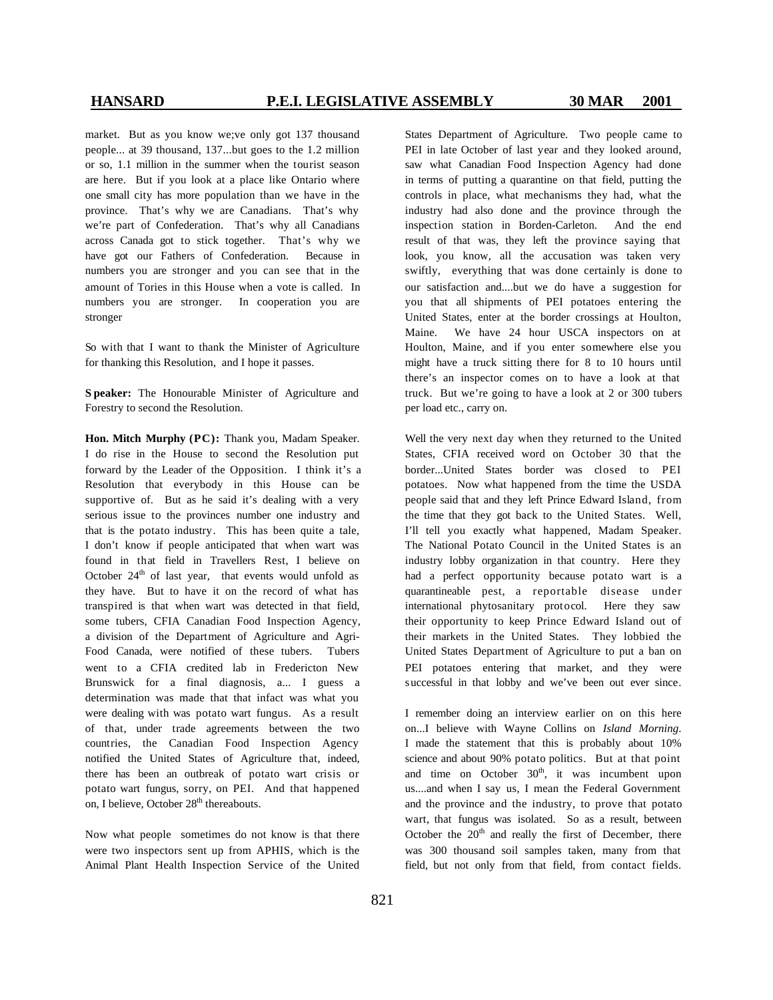market. But as you know we;ve only got 137 thousand people... at 39 thousand, 137...but goes to the 1.2 million or so, 1.1 million in the summer when the tourist season are here. But if you look at a place like Ontario where one small city has more population than we have in the province. That's why we are Canadians. That's why we're part of Confederation. That's why all Canadians across Canada got to stick together. That's why we have got our Fathers of Confederation. Because in numbers you are stronger and you can see that in the amount of Tories in this House when a vote is called. In numbers you are stronger. In cooperation you are stronger

So with that I want to thank the Minister of Agriculture for thanking this Resolution, and I hope it passes.

**S peaker:** The Honourable Minister of Agriculture and Forestry to second the Resolution.

**Hon. Mitch Murphy (PC):** Thank you, Madam Speaker. I do rise in the House to second the Resolution put forward by the Leader of the Opposition. I think it's a Resolution that everybody in this House can be supportive of. But as he said it's dealing with a very serious issue to the provinces number one industry and that is the potato industry. This has been quite a tale, I don't know if people anticipated that when wart was found in that field in Travellers Rest, I believe on October  $24<sup>th</sup>$  of last year, that events would unfold as they have. But to have it on the record of what has transpired is that when wart was detected in that field, some tubers, CFIA Canadian Food Inspection Agency, a division of the Department of Agriculture and Agri-Food Canada, were notified of these tubers. Tubers went to a CFIA credited lab in Fredericton New Brunswick for a final diagnosis, a... I guess a determination was made that that infact was what you were dealing with was potato wart fungus. As a result of that, under trade agreements between the two countries, the Canadian Food Inspection Agency notified the United States of Agriculture that, indeed, there has been an outbreak of potato wart crisis or potato wart fungus, sorry, on PEI. And that happened on, I believe, October 28<sup>th</sup> thereabouts.

Now what people sometimes do not know is that there were two inspectors sent up from APHIS, which is the Animal Plant Health Inspection Service of the United States Department of Agriculture. Two people came to PEI in late October of last year and they looked around, saw what Canadian Food Inspection Agency had done in terms of putting a quarantine on that field, putting the controls in place, what mechanisms they had, what the industry had also done and the province through the inspection station in Borden-Carleton. And the end result of that was, they left the province saying that look, you know, all the accusation was taken very swiftly, everything that was done certainly is done to our satisfaction and....but we do have a suggestion for you that all shipments of PEI potatoes entering the United States, enter at the border crossings at Houlton, Maine. We have 24 hour USCA inspectors on at Houlton, Maine, and if you enter somewhere else you might have a truck sitting there for 8 to 10 hours until there's an inspector comes on to have a look at that truck. But we're going to have a look at 2 or 300 tubers per load etc., carry on.

Well the very next day when they returned to the United States, CFIA received word on October 30 that the border...United States border was closed to PEI potatoes. Now what happened from the time the USDA people said that and they left Prince Edward Island, from the time that they got back to the United States. Well, I'll tell you exactly what happened, Madam Speaker. The National Potato Council in the United States is an industry lobby organization in that country. Here they had a perfect opportunity because potato wart is a quarantineable pest, a reportable disease under international phytosanitary protocol. Here they saw their opportunity to keep Prince Edward Island out of their markets in the United States. They lobbied the United States Department of Agriculture to put a ban on PEI potatoes entering that market, and they were successful in that lobby and we've been out ever since.

I remember doing an interview earlier on on this here on...I believe with Wayne Collins on *Island Morning*. I made the statement that this is probably about 10% science and about 90% potato politics. But at that point and time on October  $30<sup>th</sup>$ , it was incumbent upon us....and when I say us, I mean the Federal Government and the province and the industry, to prove that potato wart, that fungus was isolated. So as a result, between October the  $20<sup>th</sup>$  and really the first of December, there was 300 thousand soil samples taken, many from that field, but not only from that field, from contact fields.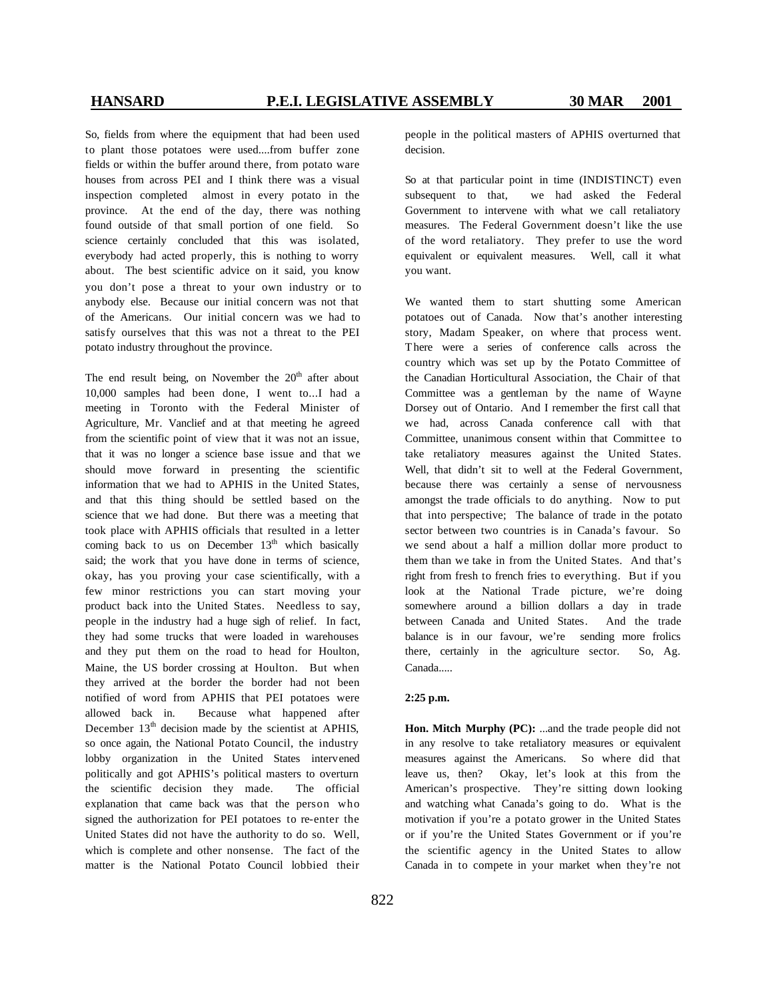So, fields from where the equipment that had been used to plant those potatoes were used....from buffer zone fields or within the buffer around there, from potato ware houses from across PEI and I think there was a visual inspection completed almost in every potato in the province. At the end of the day, there was nothing found outside of that small portion of one field. So science certainly concluded that this was isolated, everybody had acted properly, this is nothing to worry about. The best scientific advice on it said, you know you don't pose a threat to your own industry or to anybody else. Because our initial concern was not that of the Americans. Our initial concern was we had to satisfy ourselves that this was not a threat to the PEI potato industry throughout the province.

The end result being, on November the  $20<sup>th</sup>$  after about 10,000 samples had been done, I went to...I had a meeting in Toronto with the Federal Minister of Agriculture, Mr. Vanclief and at that meeting he agreed from the scientific point of view that it was not an issue, that it was no longer a science base issue and that we should move forward in presenting the scientific information that we had to APHIS in the United States, and that this thing should be settled based on the science that we had done. But there was a meeting that took place with APHIS officials that resulted in a letter coming back to us on December  $13<sup>th</sup>$  which basically said; the work that you have done in terms of science, okay, has you proving your case scientifically, with a few minor restrictions you can start moving your product back into the United States. Needless to say, people in the industry had a huge sigh of relief. In fact, they had some trucks that were loaded in warehouses and they put them on the road to head for Houlton, Maine, the US border crossing at Houlton. But when they arrived at the border the border had not been notified of word from APHIS that PEI potatoes were allowed back in. Because what happened after December  $13<sup>th</sup>$  decision made by the scientist at APHIS, so once again, the National Potato Council, the industry lobby organization in the United States intervened politically and got APHIS's political masters to overturn the scientific decision they made. The official explanation that came back was that the person who signed the authorization for PEI potatoes to re-enter the United States did not have the authority to do so. Well, which is complete and other nonsense. The fact of the matter is the National Potato Council lobbied their

people in the political masters of APHIS overturned that decision.

So at that particular point in time (INDISTINCT) even subsequent to that, we had asked the Federal Government to intervene with what we call retaliatory measures. The Federal Government doesn't like the use of the word retaliatory. They prefer to use the word equivalent or equivalent measures. Well, call it what you want.

We wanted them to start shutting some American potatoes out of Canada. Now that's another interesting story, Madam Speaker, on where that process went. There were a series of conference calls across the country which was set up by the Potato Committee of the Canadian Horticultural Association, the Chair of that Committee was a gentleman by the name of Wayne Dorsey out of Ontario. And I remember the first call that we had, across Canada conference call with that Committee, unanimous consent within that Committee to take retaliatory measures against the United States. Well, that didn't sit to well at the Federal Government, because there was certainly a sense of nervousness amongst the trade officials to do anything. Now to put that into perspective; The balance of trade in the potato sector between two countries is in Canada's favour. So we send about a half a million dollar more product to them than we take in from the United States. And that's right from fresh to french fries to everything. But if you look at the National Trade picture, we're doing somewhere around a billion dollars a day in trade between Canada and United States. And the trade balance is in our favour, we're sending more frolics there, certainly in the agriculture sector. So, Ag. Canada.....

### **2:25 p.m.**

**Hon. Mitch Murphy (PC):** ...and the trade people did not in any resolve to take retaliatory measures or equivalent measures against the Americans. So where did that leave us, then? Okay, let's look at this from the American's prospective. They're sitting down looking and watching what Canada's going to do. What is the motivation if you're a potato grower in the United States or if you're the United States Government or if you're the scientific agency in the United States to allow Canada in to compete in your market when they're not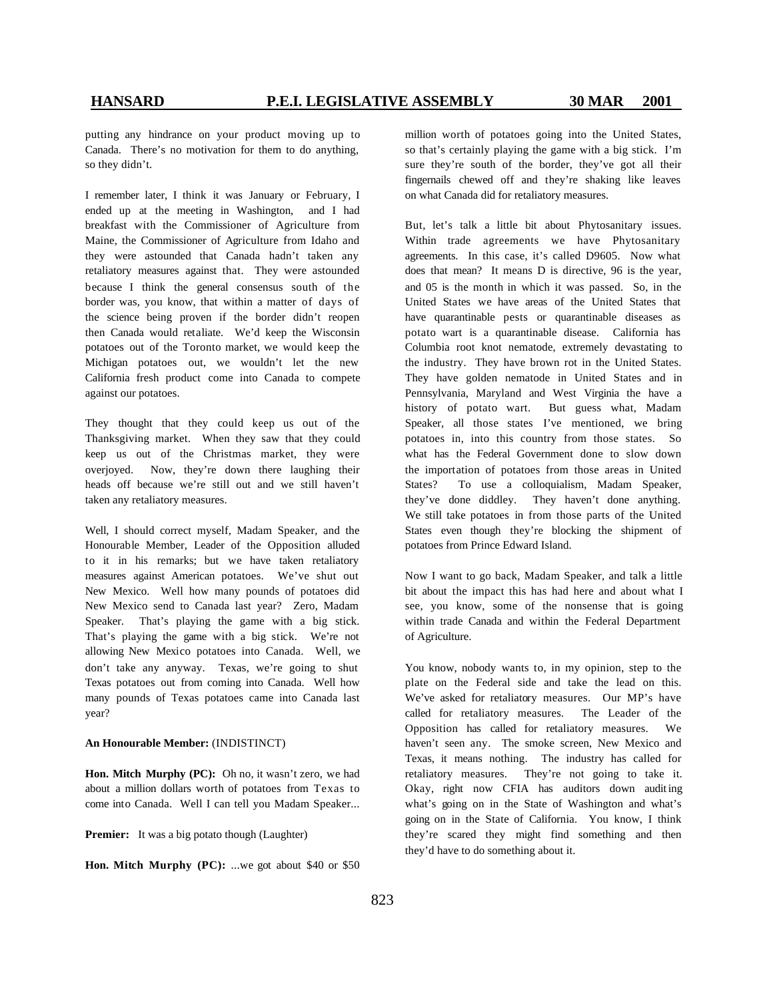putting any hindrance on your product moving up to Canada. There's no motivation for them to do anything, so they didn't.

I remember later, I think it was January or February, I ended up at the meeting in Washington, and I had breakfast with the Commissioner of Agriculture from Maine, the Commissioner of Agriculture from Idaho and they were astounded that Canada hadn't taken any retaliatory measures against that. They were astounded because I think the general consensus south of the border was, you know, that within a matter of days of the science being proven if the border didn't reopen then Canada would retaliate. We'd keep the Wisconsin potatoes out of the Toronto market, we would keep the Michigan potatoes out, we wouldn't let the new California fresh product come into Canada to compete against our potatoes.

They thought that they could keep us out of the Thanksgiving market. When they saw that they could keep us out of the Christmas market, they were overjoyed. Now, they're down there laughing their heads off because we're still out and we still haven't taken any retaliatory measures.

Well, I should correct myself, Madam Speaker, and the Honourable Member, Leader of the Opposition alluded to it in his remarks; but we have taken retaliatory measures against American potatoes. We've shut out New Mexico. Well how many pounds of potatoes did New Mexico send to Canada last year? Zero, Madam Speaker. That's playing the game with a big stick. That's playing the game with a big stick. We're not allowing New Mexico potatoes into Canada. Well, we don't take any anyway. Texas, we're going to shut Texas potatoes out from coming into Canada. Well how many pounds of Texas potatoes came into Canada last year?

### **An Honourable Member:** (INDISTINCT)

**Hon. Mitch Murphy (PC):** Oh no, it wasn't zero, we had about a million dollars worth of potatoes from Texas to come into Canada. Well I can tell you Madam Speaker...

**Premier:** It was a big potato though (Laughter)

**Hon. Mitch Murphy (PC):** ...we got about \$40 or \$50

million worth of potatoes going into the United States, so that's certainly playing the game with a big stick. I'm sure they're south of the border, they've got all their fingernails chewed off and they're shaking like leaves on what Canada did for retaliatory measures.

But, let's talk a little bit about Phytosanitary issues. Within trade agreements we have Phytosanitary agreements. In this case, it's called D9605. Now what does that mean? It means D is directive, 96 is the year, and 05 is the month in which it was passed. So, in the United States we have areas of the United States that have quarantinable pests or quarantinable diseases as potato wart is a quarantinable disease. California has Columbia root knot nematode, extremely devastating to the industry. They have brown rot in the United States. They have golden nematode in United States and in Pennsylvania, Maryland and West Virginia the have a history of potato wart. But guess what, Madam Speaker, all those states I've mentioned, we bring potatoes in, into this country from those states. So what has the Federal Government done to slow down the importation of potatoes from those areas in United States? To use a colloquialism, Madam Speaker, they've done diddley. They haven't done anything. We still take potatoes in from those parts of the United States even though they're blocking the shipment of potatoes from Prince Edward Island.

Now I want to go back, Madam Speaker, and talk a little bit about the impact this has had here and about what I see, you know, some of the nonsense that is going within trade Canada and within the Federal Department of Agriculture.

You know, nobody wants to, in my opinion, step to the plate on the Federal side and take the lead on this. We've asked for retaliatory measures. Our MP's have called for retaliatory measures. The Leader of the Opposition has called for retaliatory measures. We haven't seen any. The smoke screen, New Mexico and Texas, it means nothing. The industry has called for retaliatory measures. They're not going to take it. Okay, right now CFIA has auditors down auditing what's going on in the State of Washington and what's going on in the State of California. You know, I think they're scared they might find something and then they'd have to do something about it.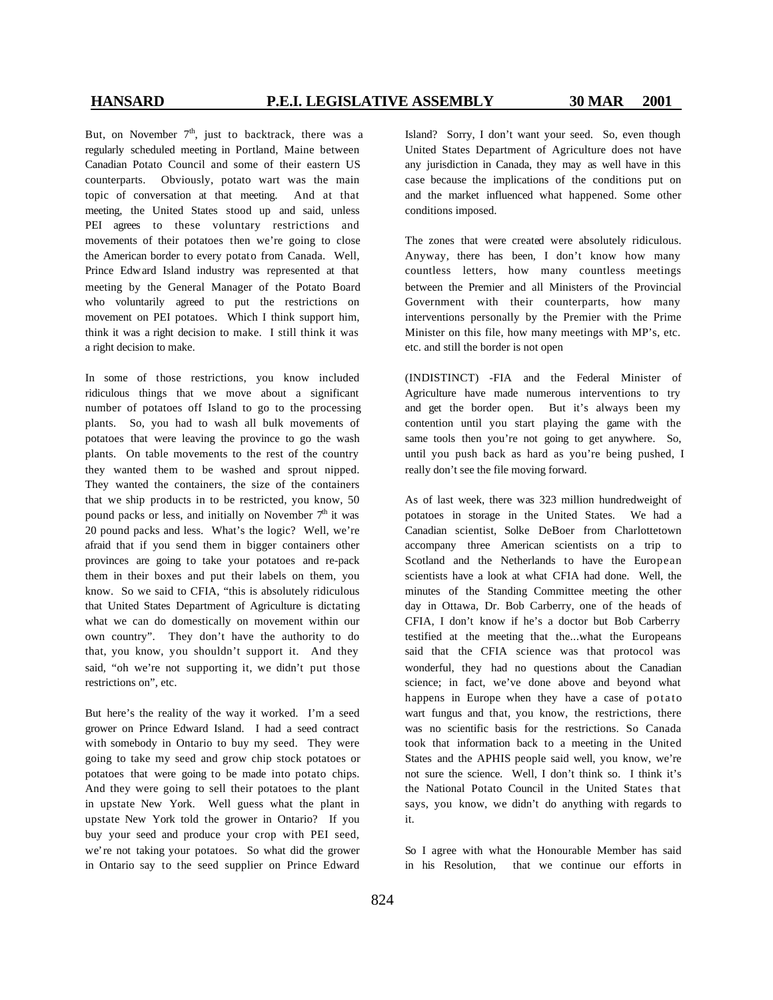But, on November  $7<sup>th</sup>$ , just to backtrack, there was a regularly scheduled meeting in Portland, Maine between Canadian Potato Council and some of their eastern US counterparts. Obviously, potato wart was the main topic of conversation at that meeting. And at that meeting, the United States stood up and said, unless PEI agrees to these voluntary restrictions and movements of their potatoes then we're going to close the American border to every potato from Canada. Well, Prince Edward Island industry was represented at that meeting by the General Manager of the Potato Board who voluntarily agreed to put the restrictions on movement on PEI potatoes. Which I think support him, think it was a right decision to make. I still think it was a right decision to make.

In some of those restrictions, you know included ridiculous things that we move about a significant number of potatoes off Island to go to the processing plants. So, you had to wash all bulk movements of potatoes that were leaving the province to go the wash plants. On table movements to the rest of the country they wanted them to be washed and sprout nipped. They wanted the containers, the size of the containers that we ship products in to be restricted, you know, 50 pound packs or less, and initially on November  $7<sup>th</sup>$  it was 20 pound packs and less. What's the logic? Well, we're afraid that if you send them in bigger containers other provinces are going to take your potatoes and re-pack them in their boxes and put their labels on them, you know. So we said to CFIA, "this is absolutely ridiculous that United States Department of Agriculture is dictating what we can do domestically on movement within our own country". They don't have the authority to do that, you know, you shouldn't support it. And they said, "oh we're not supporting it, we didn't put those restrictions on", etc.

But here's the reality of the way it worked. I'm a seed grower on Prince Edward Island. I had a seed contract with somebody in Ontario to buy my seed. They were going to take my seed and grow chip stock potatoes or potatoes that were going to be made into potato chips. And they were going to sell their potatoes to the plant in upstate New York. Well guess what the plant in upstate New York told the grower in Ontario? If you buy your seed and produce your crop with PEI seed, we're not taking your potatoes. So what did the grower in Ontario say to the seed supplier on Prince Edward Island? Sorry, I don't want your seed. So, even though United States Department of Agriculture does not have any jurisdiction in Canada, they may as well have in this case because the implications of the conditions put on and the market influenced what happened. Some other conditions imposed.

The zones that were created were absolutely ridiculous. Anyway, there has been, I don't know how many countless letters, how many countless meetings between the Premier and all Ministers of the Provincial Government with their counterparts, how many interventions personally by the Premier with the Prime Minister on this file, how many meetings with MP's, etc. etc. and still the border is not open

(INDISTINCT) -FIA and the Federal Minister of Agriculture have made numerous interventions to try and get the border open. But it's always been my contention until you start playing the game with the same tools then you're not going to get anywhere. So, until you push back as hard as you're being pushed, I really don't see the file moving forward.

As of last week, there was 323 million hundredweight of potatoes in storage in the United States. We had a Canadian scientist, Solke DeBoer from Charlottetown accompany three American scientists on a trip to Scotland and the Netherlands to have the European scientists have a look at what CFIA had done. Well, the minutes of the Standing Committee meeting the other day in Ottawa, Dr. Bob Carberry, one of the heads of CFIA, I don't know if he's a doctor but Bob Carberry testified at the meeting that the...what the Europeans said that the CFIA science was that protocol was wonderful, they had no questions about the Canadian science; in fact, we've done above and beyond what happens in Europe when they have a case of potato wart fungus and that, you know, the restrictions, there was no scientific basis for the restrictions. So Canada took that information back to a meeting in the United States and the APHIS people said well, you know, we're not sure the science. Well, I don't think so. I think it's the National Potato Council in the United States that says, you know, we didn't do anything with regards to it.

So I agree with what the Honourable Member has said in his Resolution, that we continue our efforts in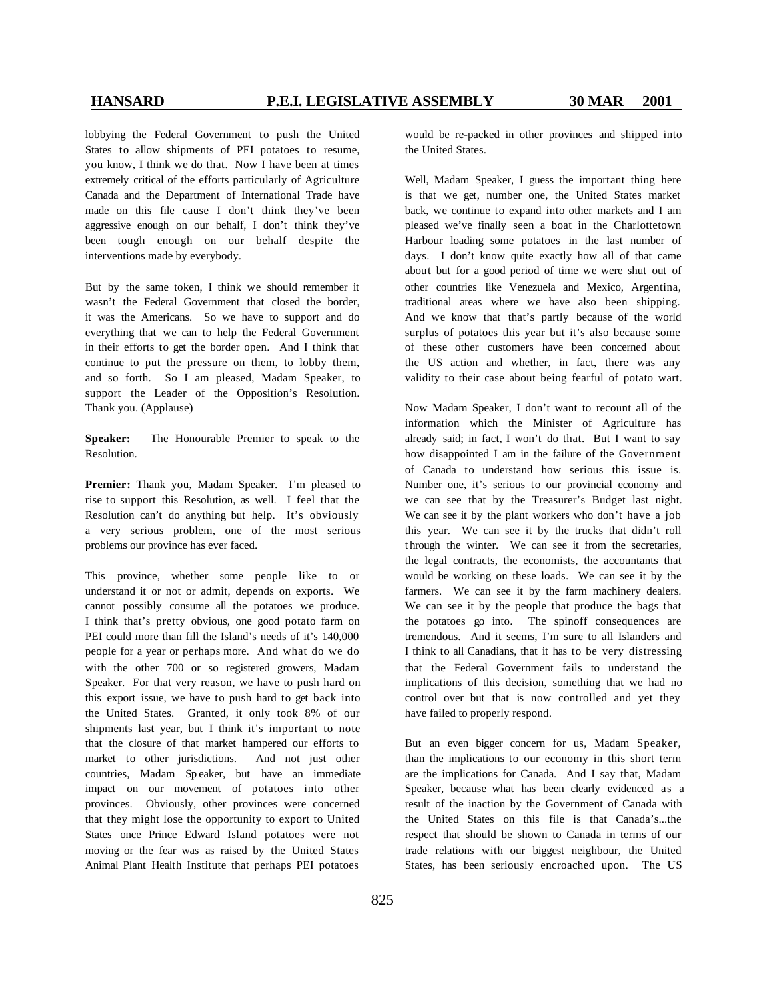lobbying the Federal Government to push the United States to allow shipments of PEI potatoes to resume, you know, I think we do that. Now I have been at times extremely critical of the efforts particularly of Agriculture Canada and the Department of International Trade have made on this file cause I don't think they've been aggressive enough on our behalf, I don't think they've been tough enough on our behalf despite the interventions made by everybody.

But by the same token, I think we should remember it wasn't the Federal Government that closed the border, it was the Americans. So we have to support and do everything that we can to help the Federal Government in their efforts to get the border open. And I think that continue to put the pressure on them, to lobby them, and so forth. So I am pleased, Madam Speaker, to support the Leader of the Opposition's Resolution. Thank you. (Applause)

**Speaker:** The Honourable Premier to speak to the Resolution.

**Premier:** Thank you, Madam Speaker. I'm pleased to rise to support this Resolution, as well. I feel that the Resolution can't do anything but help. It's obviously a very serious problem, one of the most serious problems our province has ever faced.

This province, whether some people like to or understand it or not or admit, depends on exports. We cannot possibly consume all the potatoes we produce. I think that's pretty obvious, one good potato farm on PEI could more than fill the Island's needs of it's 140,000 people for a year or perhaps more. And what do we do with the other 700 or so registered growers, Madam Speaker. For that very reason, we have to push hard on this export issue, we have to push hard to get back into the United States. Granted, it only took 8% of our shipments last year, but I think it's important to note that the closure of that market hampered our efforts to market to other jurisdictions. And not just other countries, Madam Sp eaker, but have an immediate impact on our movement of potatoes into other provinces. Obviously, other provinces were concerned that they might lose the opportunity to export to United States once Prince Edward Island potatoes were not moving or the fear was as raised by the United States Animal Plant Health Institute that perhaps PEI potatoes

would be re-packed in other provinces and shipped into the United States.

Well, Madam Speaker, I guess the important thing here is that we get, number one, the United States market back, we continue to expand into other markets and I am pleased we've finally seen a boat in the Charlottetown Harbour loading some potatoes in the last number of days. I don't know quite exactly how all of that came about but for a good period of time we were shut out of other countries like Venezuela and Mexico, Argentina, traditional areas where we have also been shipping. And we know that that's partly because of the world surplus of potatoes this year but it's also because some of these other customers have been concerned about the US action and whether, in fact, there was any validity to their case about being fearful of potato wart.

Now Madam Speaker, I don't want to recount all of the information which the Minister of Agriculture has already said; in fact, I won't do that. But I want to say how disappointed I am in the failure of the Government of Canada to understand how serious this issue is. Number one, it's serious to our provincial economy and we can see that by the Treasurer's Budget last night. We can see it by the plant workers who don't have a job this year. We can see it by the trucks that didn't roll t hrough the winter. We can see it from the secretaries, the legal contracts, the economists, the accountants that would be working on these loads. We can see it by the farmers. We can see it by the farm machinery dealers. We can see it by the people that produce the bags that the potatoes go into. The spinoff consequences are tremendous. And it seems, I'm sure to all Islanders and I think to all Canadians, that it has to be very distressing that the Federal Government fails to understand the implications of this decision, something that we had no control over but that is now controlled and yet they have failed to properly respond.

But an even bigger concern for us, Madam Speaker, than the implications to our economy in this short term are the implications for Canada. And I say that, Madam Speaker, because what has been clearly evidenced as a result of the inaction by the Government of Canada with the United States on this file is that Canada's...the respect that should be shown to Canada in terms of our trade relations with our biggest neighbour, the United States, has been seriously encroached upon. The US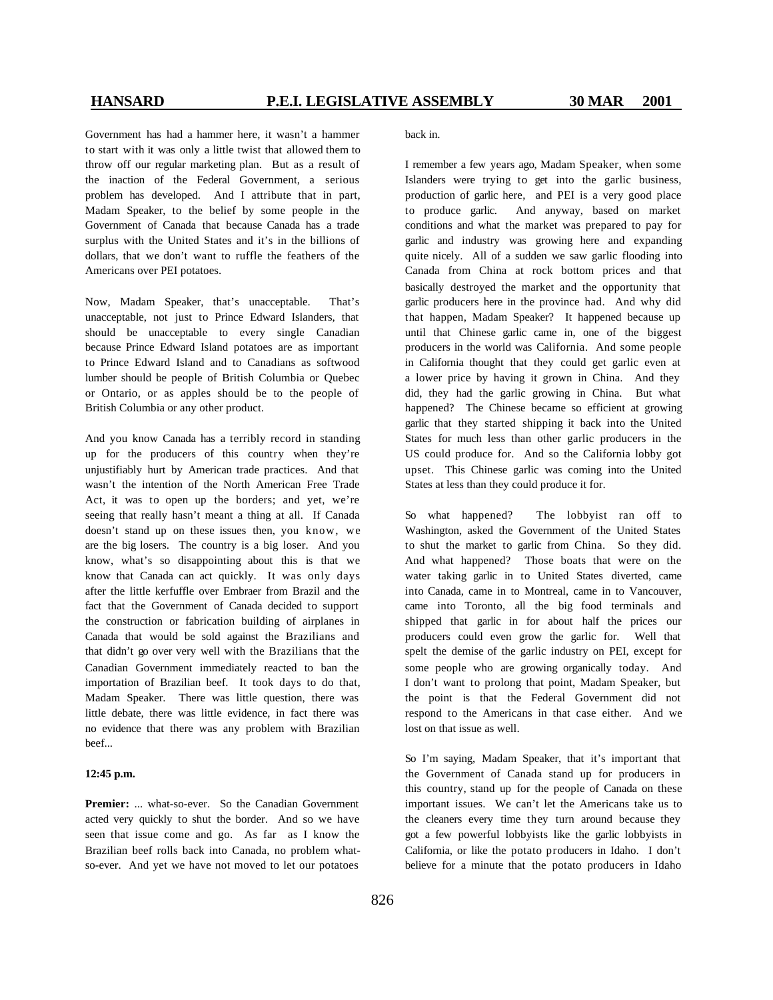Government has had a hammer here, it wasn't a hammer to start with it was only a little twist that allowed them to throw off our regular marketing plan. But as a result of the inaction of the Federal Government, a serious problem has developed. And I attribute that in part, Madam Speaker, to the belief by some people in the Government of Canada that because Canada has a trade surplus with the United States and it's in the billions of dollars, that we don't want to ruffle the feathers of the Americans over PEI potatoes.

Now, Madam Speaker, that's unacceptable. That's unacceptable, not just to Prince Edward Islanders, that should be unacceptable to every single Canadian because Prince Edward Island potatoes are as important to Prince Edward Island and to Canadians as softwood lumber should be people of British Columbia or Quebec or Ontario, or as apples should be to the people of British Columbia or any other product.

And you know Canada has a terribly record in standing up for the producers of this country when they're unjustifiably hurt by American trade practices. And that wasn't the intention of the North American Free Trade Act, it was to open up the borders; and yet, we're seeing that really hasn't meant a thing at all. If Canada doesn't stand up on these issues then, you know, we are the big losers. The country is a big loser. And you know, what's so disappointing about this is that we know that Canada can act quickly. It was only days after the little kerfuffle over Embraer from Brazil and the fact that the Government of Canada decided to support the construction or fabrication building of airplanes in Canada that would be sold against the Brazilians and that didn't go over very well with the Brazilians that the Canadian Government immediately reacted to ban the importation of Brazilian beef. It took days to do that, Madam Speaker. There was little question, there was little debate, there was little evidence, in fact there was no evidence that there was any problem with Brazilian beef...

### **12:45 p.m.**

**Premier:** ... what-so-ever. So the Canadian Government acted very quickly to shut the border. And so we have seen that issue come and go. As far as I know the Brazilian beef rolls back into Canada, no problem whatso-ever. And yet we have not moved to let our potatoes back in.

I remember a few years ago, Madam Speaker, when some Islanders were trying to get into the garlic business, production of garlic here, and PEI is a very good place to produce garlic. And anyway, based on market conditions and what the market was prepared to pay for garlic and industry was growing here and expanding quite nicely. All of a sudden we saw garlic flooding into Canada from China at rock bottom prices and that basically destroyed the market and the opportunity that garlic producers here in the province had. And why did that happen, Madam Speaker? It happened because up until that Chinese garlic came in, one of the biggest producers in the world was California. And some people in California thought that they could get garlic even at a lower price by having it grown in China. And they did, they had the garlic growing in China. But what happened? The Chinese became so efficient at growing garlic that they started shipping it back into the United States for much less than other garlic producers in the US could produce for. And so the California lobby got upset. This Chinese garlic was coming into the United States at less than they could produce it for.

So what happened? The lobbyist ran off to Washington, asked the Government of the United States to shut the market to garlic from China. So they did. And what happened? Those boats that were on the water taking garlic in to United States diverted, came into Canada, came in to Montreal, came in to Vancouver, came into Toronto, all the big food terminals and shipped that garlic in for about half the prices our producers could even grow the garlic for. Well that spelt the demise of the garlic industry on PEI, except for some people who are growing organically today. And I don't want to prolong that point, Madam Speaker, but the point is that the Federal Government did not respond to the Americans in that case either. And we lost on that issue as well.

So I'm saying, Madam Speaker, that it's import ant that the Government of Canada stand up for producers in this country, stand up for the people of Canada on these important issues. We can't let the Americans take us to the cleaners every time they turn around because they got a few powerful lobbyists like the garlic lobbyists in California, or like the potato producers in Idaho. I don't believe for a minute that the potato producers in Idaho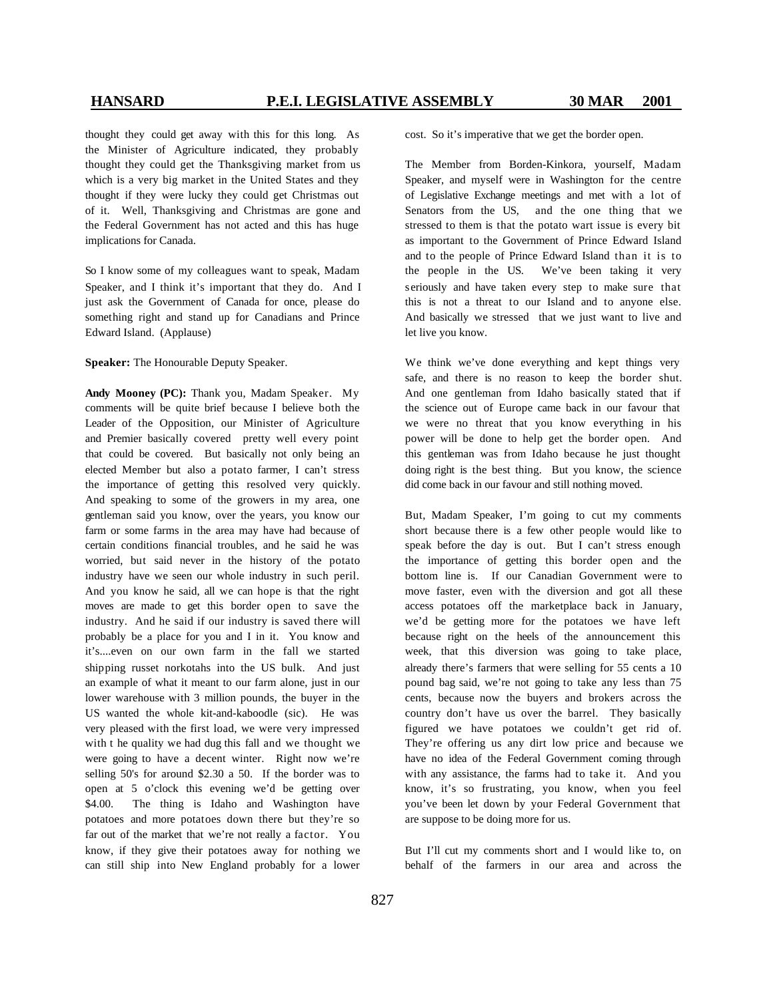thought they could get away with this for this long. As the Minister of Agriculture indicated, they probably thought they could get the Thanksgiving market from us which is a very big market in the United States and they thought if they were lucky they could get Christmas out of it. Well, Thanksgiving and Christmas are gone and the Federal Government has not acted and this has huge implications for Canada.

So I know some of my colleagues want to speak, Madam Speaker, and I think it's important that they do. And I just ask the Government of Canada for once, please do something right and stand up for Canadians and Prince Edward Island. (Applause)

**Speaker:** The Honourable Deputy Speaker.

**Andy Mooney (PC):** Thank you, Madam Speaker. My comments will be quite brief because I believe both the Leader of the Opposition, our Minister of Agriculture and Premier basically covered pretty well every point that could be covered. But basically not only being an elected Member but also a potato farmer, I can't stress the importance of getting this resolved very quickly. And speaking to some of the growers in my area, one gentleman said you know, over the years, you know our farm or some farms in the area may have had because of certain conditions financial troubles, and he said he was worried, but said never in the history of the potato industry have we seen our whole industry in such peril. And you know he said, all we can hope is that the right moves are made to get this border open to save the industry. And he said if our industry is saved there will probably be a place for you and I in it. You know and it's....even on our own farm in the fall we started shipping russet norkotahs into the US bulk. And just an example of what it meant to our farm alone, just in our lower warehouse with 3 million pounds, the buyer in the US wanted the whole kit-and-kaboodle (sic). He was very pleased with the first load, we were very impressed with t he quality we had dug this fall and we thought we were going to have a decent winter. Right now we're selling 50's for around \$2.30 a 50. If the border was to open at 5 o'clock this evening we'd be getting over \$4.00. The thing is Idaho and Washington have potatoes and more potatoes down there but they're so far out of the market that we're not really a factor. You know, if they give their potatoes away for nothing we can still ship into New England probably for a lower cost. So it's imperative that we get the border open.

The Member from Borden-Kinkora, yourself, Madam Speaker, and myself were in Washington for the centre of Legislative Exchange meetings and met with a lot of Senators from the US, and the one thing that we stressed to them is that the potato wart issue is every bit as important to the Government of Prince Edward Island and to the people of Prince Edward Island than it is to the people in the US. We've been taking it very seriously and have taken every step to make sure that this is not a threat to our Island and to anyone else. And basically we stressed that we just want to live and let live you know.

We think we've done everything and kept things very safe, and there is no reason to keep the border shut. And one gentleman from Idaho basically stated that if the science out of Europe came back in our favour that we were no threat that you know everything in his power will be done to help get the border open. And this gentleman was from Idaho because he just thought doing right is the best thing. But you know, the science did come back in our favour and still nothing moved.

But, Madam Speaker, I'm going to cut my comments short because there is a few other people would like to speak before the day is out. But I can't stress enough the importance of getting this border open and the bottom line is. If our Canadian Government were to move faster, even with the diversion and got all these access potatoes off the marketplace back in January, we'd be getting more for the potatoes we have left because right on the heels of the announcement this week, that this diversion was going to take place, already there's farmers that were selling for 55 cents a 10 pound bag said, we're not going to take any less than 75 cents, because now the buyers and brokers across the country don't have us over the barrel. They basically figured we have potatoes we couldn't get rid of. They're offering us any dirt low price and because we have no idea of the Federal Government coming through with any assistance, the farms had to take it. And you know, it's so frustrating, you know, when you feel you've been let down by your Federal Government that are suppose to be doing more for us.

But I'll cut my comments short and I would like to, on behalf of the farmers in our area and across the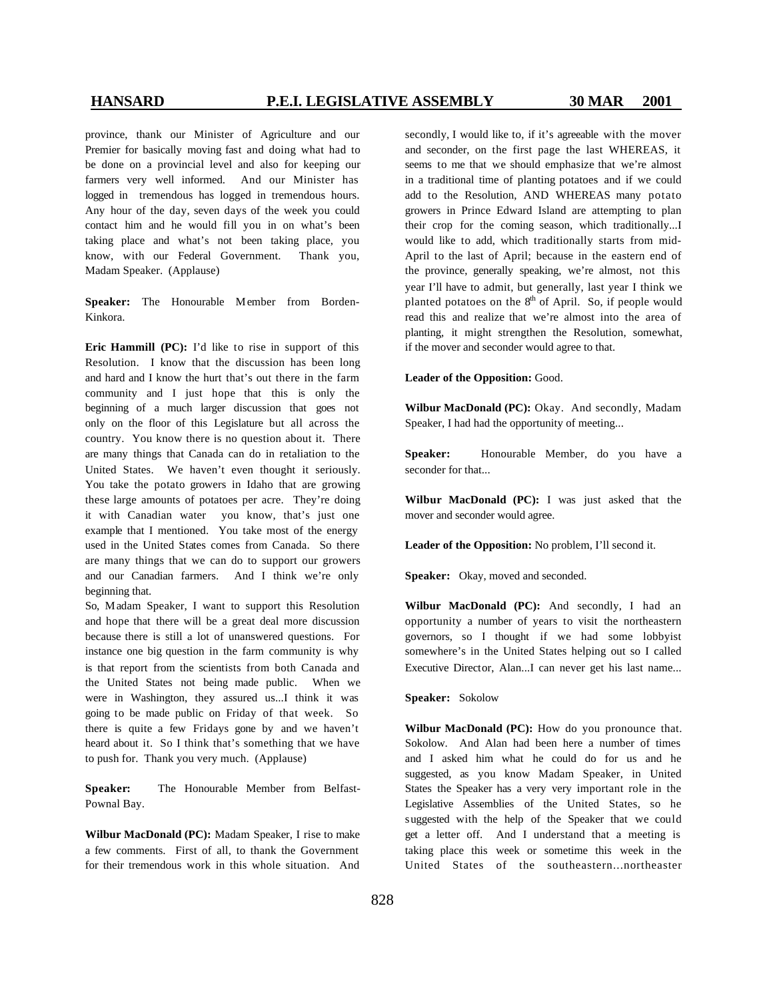province, thank our Minister of Agriculture and our Premier for basically moving fast and doing what had to be done on a provincial level and also for keeping our farmers very well informed. And our Minister has logged in tremendous has logged in tremendous hours. Any hour of the day, seven days of the week you could contact him and he would fill you in on what's been taking place and what's not been taking place, you know, with our Federal Government. Thank you, Madam Speaker. (Applause)

Speaker: The Honourable Member from Borden-Kinkora.

**Eric Hammill (PC):** I'd like to rise in support of this Resolution. I know that the discussion has been long and hard and I know the hurt that's out there in the farm community and I just hope that this is only the beginning of a much larger discussion that goes not only on the floor of this Legislature but all across the country. You know there is no question about it. There are many things that Canada can do in retaliation to the United States. We haven't even thought it seriously. You take the potato growers in Idaho that are growing these large amounts of potatoes per acre. They're doing it with Canadian water you know, that's just one example that I mentioned. You take most of the energy used in the United States comes from Canada. So there are many things that we can do to support our growers and our Canadian farmers. And I think we're only beginning that.

So, M adam Speaker, I want to support this Resolution and hope that there will be a great deal more discussion because there is still a lot of unanswered questions. For instance one big question in the farm community is why is that report from the scientists from both Canada and the United States not being made public. When we were in Washington, they assured us...I think it was going to be made public on Friday of that week. So there is quite a few Fridays gone by and we haven't heard about it. So I think that's something that we have to push for. Thank you very much. (Applause)

**Speaker:** The Honourable Member from Belfast-Pownal Bay.

**Wilbur MacDonald (PC):** Madam Speaker, I rise to make a few comments. First of all, to thank the Government for their tremendous work in this whole situation. And

secondly, I would like to, if it's agreeable with the mover and seconder, on the first page the last WHEREAS, it seems to me that we should emphasize that we're almost in a traditional time of planting potatoes and if we could add to the Resolution, AND WHEREAS many potato growers in Prince Edward Island are attempting to plan their crop for the coming season, which traditionally...I would like to add, which traditionally starts from mid-April to the last of April; because in the eastern end of the province, generally speaking, we're almost, not this year I'll have to admit, but generally, last year I think we planted potatoes on the  $8<sup>th</sup>$  of April. So, if people would read this and realize that we're almost into the area of planting, it might strengthen the Resolution, somewhat, if the mover and seconder would agree to that.

### **Leader of the Opposition:** Good.

**Wilbur MacDonald (PC):** Okay. And secondly, Madam Speaker, I had had the opportunity of meeting...

**Speaker:** Honourable Member, do you have a seconder for that...

**Wilbur MacDonald (PC):** I was just asked that the mover and seconder would agree.

**Leader of the Opposition:** No problem, I'll second it.

Speaker: Okay, moved and seconded.

**Wilbur MacDonald (PC):** And secondly, I had an opportunity a number of years to visit the northeastern governors, so I thought if we had some lobbyist somewhere's in the United States helping out so I called Executive Director, Alan...I can never get his last name...

### **Speaker:** Sokolow

**Wilbur MacDonald (PC):** How do you pronounce that. Sokolow. And Alan had been here a number of times and I asked him what he could do for us and he suggested, as you know Madam Speaker, in United States the Speaker has a very very important role in the Legislative Assemblies of the United States, so he suggested with the help of the Speaker that we could get a letter off. And I understand that a meeting is taking place this week or sometime this week in the United States of the southeastern...northeaster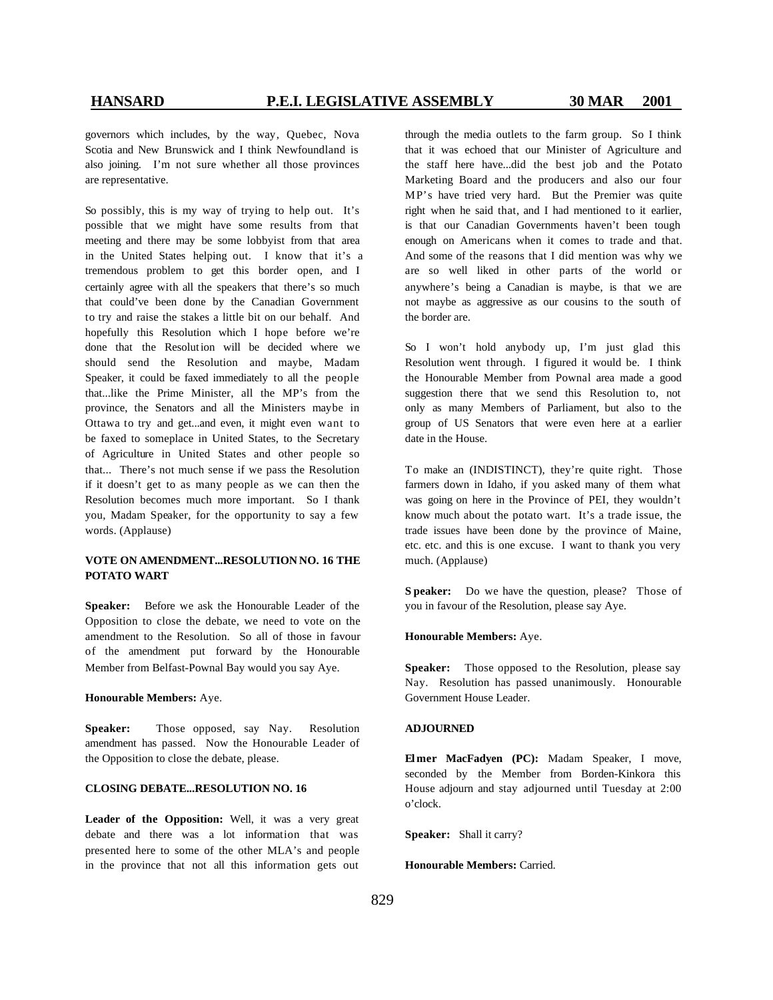governors which includes, by the way, Quebec, Nova Scotia and New Brunswick and I think Newfoundland is also joining. I'm not sure whether all those provinces are representative.

So possibly, this is my way of trying to help out. It's possible that we might have some results from that meeting and there may be some lobbyist from that area in the United States helping out. I know that it's a tremendous problem to get this border open, and I certainly agree with all the speakers that there's so much that could've been done by the Canadian Government to try and raise the stakes a little bit on our behalf. And hopefully this Resolution which I hope before we're done that the Resolution will be decided where we should send the Resolution and maybe, Madam Speaker, it could be faxed immediately to all the people that...like the Prime Minister, all the MP's from the province, the Senators and all the Ministers maybe in Ottawa to try and get...and even, it might even want to be faxed to someplace in United States, to the Secretary of Agriculture in United States and other people so that... There's not much sense if we pass the Resolution if it doesn't get to as many people as we can then the Resolution becomes much more important. So I thank you, Madam Speaker, for the opportunity to say a few words. (Applause)

### **VOTE ON AMENDMENT...RESOLUTION NO. 16 THE POTATO WART**

**Speaker:** Before we ask the Honourable Leader of the Opposition to close the debate, we need to vote on the amendment to the Resolution. So all of those in favour of the amendment put forward by the Honourable Member from Belfast-Pownal Bay would you say Aye.

### **Honourable Members:** Aye.

**Speaker:** Those opposed, say Nay. Resolution amendment has passed. Now the Honourable Leader of the Opposition to close the debate, please.

### **CLOSING DEBATE...RESOLUTION NO. 16**

**Leader of the Opposition:** Well, it was a very great debate and there was a lot information that was presented here to some of the other MLA's and people in the province that not all this information gets out through the media outlets to the farm group. So I think that it was echoed that our Minister of Agriculture and the staff here have...did the best job and the Potato Marketing Board and the producers and also our four MP's have tried very hard. But the Premier was quite right when he said that, and I had mentioned to it earlier, is that our Canadian Governments haven't been tough enough on Americans when it comes to trade and that. And some of the reasons that I did mention was why we are so well liked in other parts of the world or anywhere's being a Canadian is maybe, is that we are not maybe as aggressive as our cousins to the south of the border are.

So I won't hold anybody up, I'm just glad this Resolution went through. I figured it would be. I think the Honourable Member from Pownal area made a good suggestion there that we send this Resolution to, not only as many Members of Parliament, but also to the group of US Senators that were even here at a earlier date in the House.

To make an (INDISTINCT), they're quite right. Those farmers down in Idaho, if you asked many of them what was going on here in the Province of PEI, they wouldn't know much about the potato wart. It's a trade issue, the trade issues have been done by the province of Maine, etc. etc. and this is one excuse. I want to thank you very much. (Applause)

**S peaker:** Do we have the question, please? Those of you in favour of the Resolution, please say Aye.

### **Honourable Members:** Aye.

Speaker: Those opposed to the Resolution, please say Nay. Resolution has passed unanimously. Honourable Government House Leader.

### **ADJOURNED**

**Elmer MacFadyen (PC):** Madam Speaker, I move, seconded by the Member from Borden-Kinkora this House adjourn and stay adjourned until Tuesday at 2:00 o'clock.

**Speaker:** Shall it carry?

**Honourable Members:** Carried.